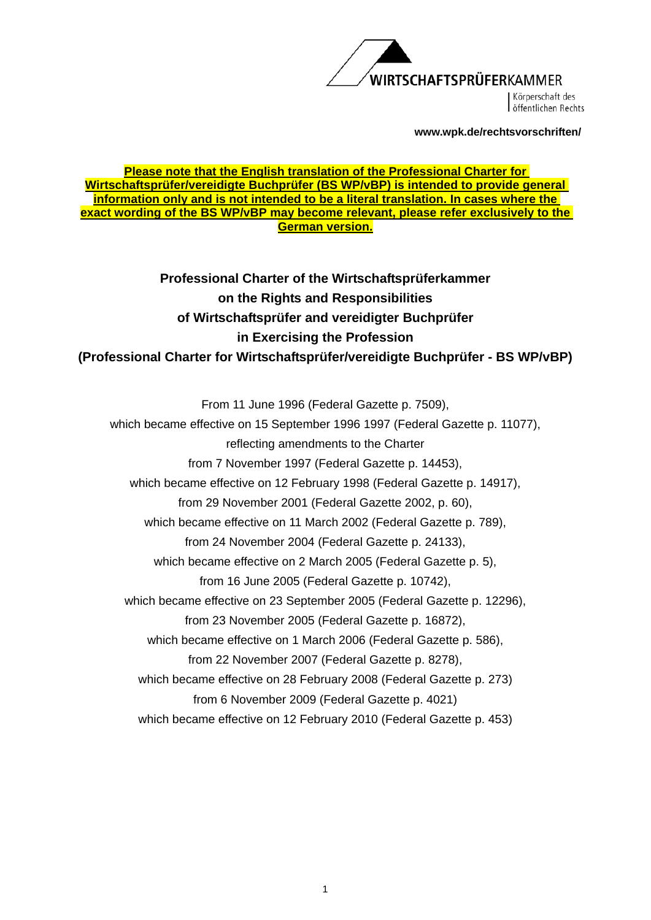

Körperschaft des öffentlichen Rechts

**www.wpk.de/rechtsvorschriften/** 

#### **Please note that the English translation of the Professional Charter for Wirtschaftsprüfer/vereidigte Buchprüfer (BS WP/vBP) is intended to provide general information only and is not intended to be a literal translation. In cases where the exact wording of the BS WP/vBP may become relevant, please refer exclusively to the German version.**

**Professional Charter of the Wirtschaftsprüferkammer on the Rights and Responsibilities of Wirtschaftsprüfer and vereidigter Buchprüfer in Exercising the Profession (Professional Charter for Wirtschaftsprüfer/vereidigte Buchprüfer - BS WP/vBP)** 

From 11 June 1996 (Federal Gazette p. 7509), which became effective on 15 September 1996 1997 (Federal Gazette p. 11077), reflecting amendments to the Charter from 7 November 1997 (Federal Gazette p. 14453), which became effective on 12 February 1998 (Federal Gazette p. 14917), from 29 November 2001 (Federal Gazette 2002, p. 60), which became effective on 11 March 2002 (Federal Gazette p. 789), from 24 November 2004 (Federal Gazette p. 24133), which became effective on 2 March 2005 (Federal Gazette p. 5), from 16 June 2005 (Federal Gazette p. 10742), which became effective on 23 September 2005 (Federal Gazette p. 12296), from 23 November 2005 (Federal Gazette p. 16872), which became effective on 1 March 2006 (Federal Gazette p. 586), from 22 November 2007 (Federal Gazette p. 8278), which became effective on 28 February 2008 (Federal Gazette p. 273) from 6 November 2009 (Federal Gazette p. 4021) which became effective on 12 February 2010 (Federal Gazette p. 453)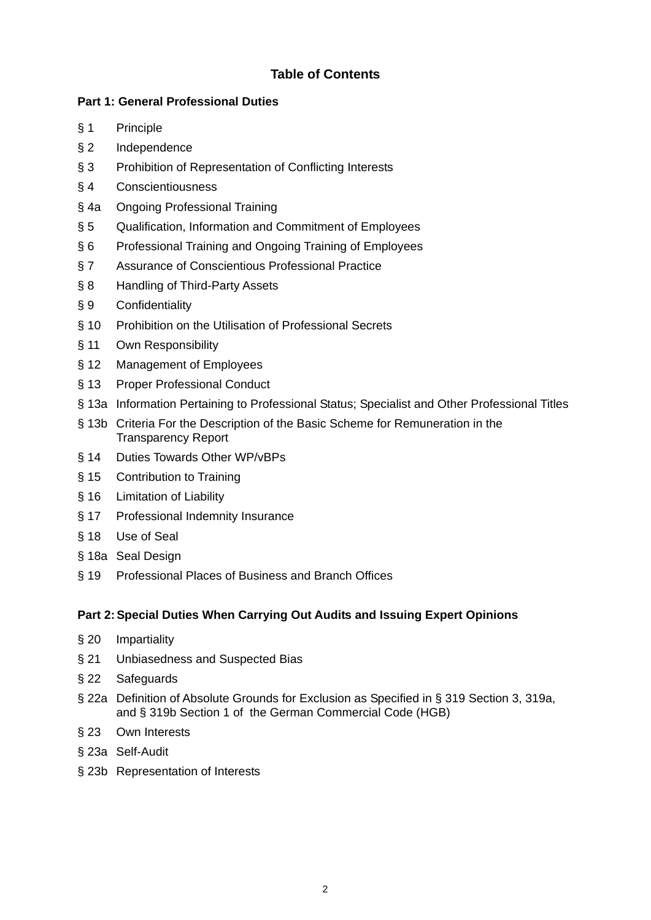## **Table of Contents**

### **Part 1: General Professional Duties**

- § 1 Principle
- § 2 Independence
- § 3 Prohibition of Representation of Conflicting Interests
- § 4 Conscientiousness
- § 4a Ongoing Professional Training
- § 5 Qualification, Information and Commitment of Employees
- § 6 Professional Training and Ongoing Training of Employees
- § 7 Assurance of Conscientious Professional Practice
- § 8 Handling of Third-Party Assets
- § 9 Confidentiality
- § 10 Prohibition on the Utilisation of Professional Secrets
- § 11 Own Responsibility
- § 12 Management of Employees
- § 13 Proper Professional Conduct
- § 13a Information Pertaining to Professional Status; Specialist and Other Professional Titles
- § 13b Criteria For the Description of the Basic Scheme for Remuneration in the Transparency Report
- § 14 Duties Towards Other WP/vBPs
- § 15 Contribution to Training
- § 16 Limitation of Liability
- § 17 Professional Indemnity Insurance
- § 18 Use of Seal
- § 18a Seal Design
- § 19 Professional Places of Business and Branch Offices

### **Part 2: Special Duties When Carrying Out Audits and Issuing Expert Opinions**

- § 20 Impartiality
- § 21 Unbiasedness and Suspected Bias
- § 22 Safeguards
- § 22a Definition of Absolute Grounds for Exclusion as Specified in § 319 Section 3, 319a, and § 319b Section 1 of the German Commercial Code (HGB)
- § 23 Own Interests
- § 23a Self-Audit
- § 23b Representation of Interests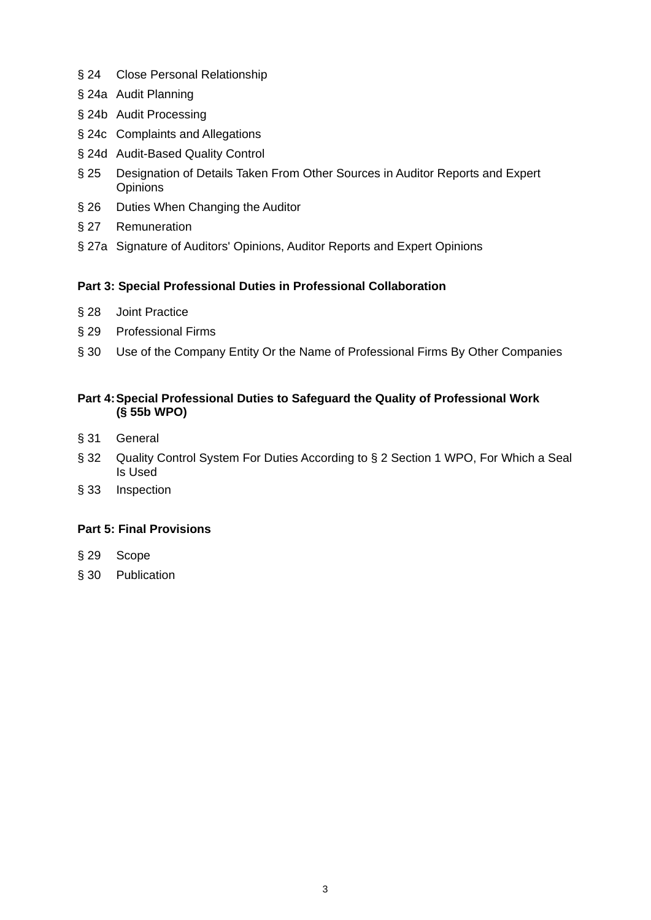- § 24 Close Personal Relationship
- § 24a Audit Planning
- § 24b Audit Processing
- § 24c Complaints and Allegations
- § 24d Audit-Based Quality Control
- § 25 Designation of Details Taken From Other Sources in Auditor Reports and Expert **Opinions**
- § 26 Duties When Changing the Auditor
- § 27 Remuneration
- § 27a Signature of Auditors' Opinions, Auditor Reports and Expert Opinions

#### **Part 3: Special Professional Duties in Professional Collaboration**

- § 28 Joint Practice
- § 29 Professional Firms
- § 30 Use of the Company Entity Or the Name of Professional Firms By Other Companies

### **Part 4: Special Professional Duties to Safeguard the Quality of Professional Work (§ 55b WPO)**

- § 31 General
- § 32 Quality Control System For Duties According to § 2 Section 1 WPO, For Which a Seal Is Used
- § 33 Inspection

### **Part 5: Final Provisions**

- § 29 Scope
- § 30 Publication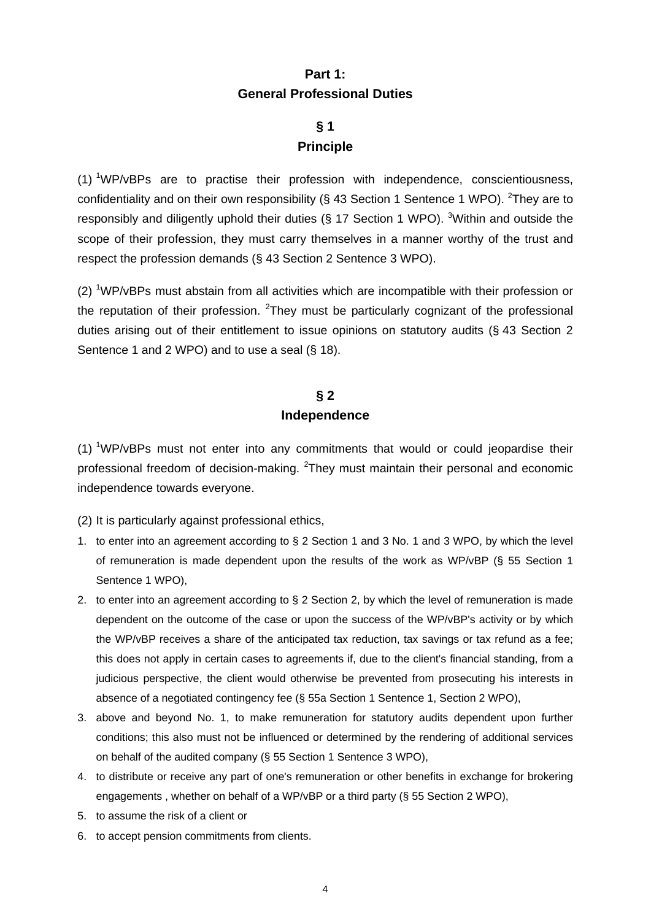# **Part 1: General Professional Duties**

# **§ 1 Principle**

(1) <sup>1</sup>WP/vBPs are to practise their profession with independence, conscientiousness, confidentiality and on their own responsibility (§ 43 Section 1 Sentence 1 WPO). <sup>2</sup>They are to responsibly and diligently uphold their duties ( $\S$  17 Section 1 WPO). <sup>3</sup> Within and outside the scope of their profession, they must carry themselves in a manner worthy of the trust and respect the profession demands (§ 43 Section 2 Sentence 3 WPO).

 $(2)$  <sup>1</sup>WP/vBPs must abstain from all activities which are incompatible with their profession or the reputation of their profession.  $2$ They must be particularly cognizant of the professional duties arising out of their entitlement to issue opinions on statutory audits (§ 43 Section 2 Sentence 1 and 2 WPO) and to use a seal (§ 18).

### **§ 2 Independence**

 $(1)$  <sup>1</sup>WP/vBPs must not enter into any commitments that would or could jeopardise their professional freedom of decision-making. <sup>2</sup>They must maintain their personal and economic independence towards everyone.

(2) It is particularly against professional ethics,

- 1. to enter into an agreement according to § 2 Section 1 and 3 No. 1 and 3 WPO, by which the level of remuneration is made dependent upon the results of the work as WP/vBP (§ 55 Section 1 Sentence 1 WPO),
- 2. to enter into an agreement according to § 2 Section 2, by which the level of remuneration is made dependent on the outcome of the case or upon the success of the WP/vBP's activity or by which the WP/vBP receives a share of the anticipated tax reduction, tax savings or tax refund as a fee; this does not apply in certain cases to agreements if, due to the client's financial standing, from a judicious perspective, the client would otherwise be prevented from prosecuting his interests in absence of a negotiated contingency fee (§ 55a Section 1 Sentence 1, Section 2 WPO),
- 3. above and beyond No. 1, to make remuneration for statutory audits dependent upon further conditions; this also must not be influenced or determined by the rendering of additional services on behalf of the audited company (§ 55 Section 1 Sentence 3 WPO),
- 4. to distribute or receive any part of one's remuneration or other benefits in exchange for brokering engagements , whether on behalf of a WP/vBP or a third party (§ 55 Section 2 WPO),
- 5. to assume the risk of a client or
- 6. to accept pension commitments from clients.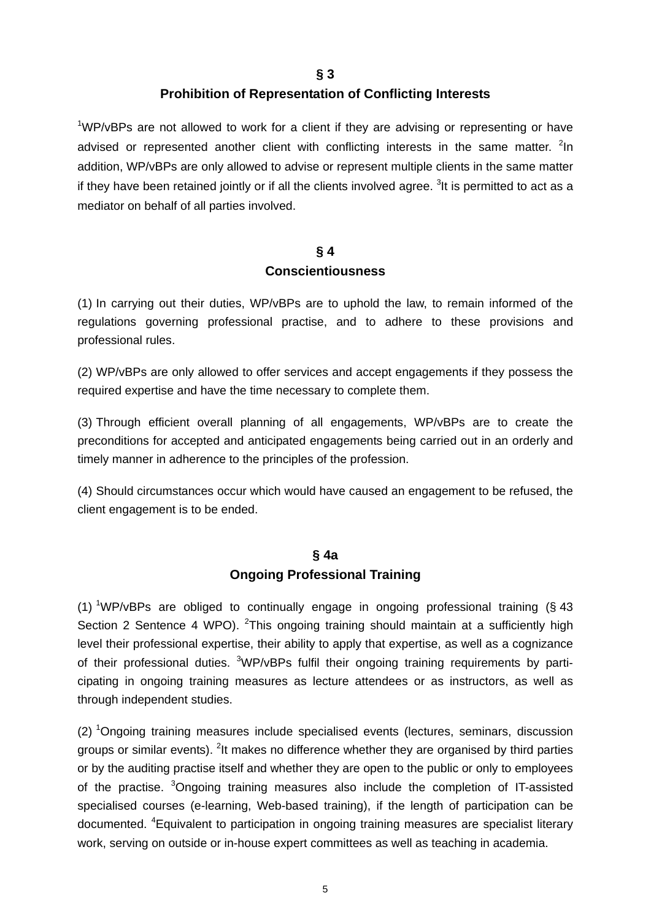**§ 3** 

### **Prohibition of Representation of Conflicting Interests**

<sup>1</sup>WP/vBPs are not allowed to work for a client if they are advising or representing or have advised or represented another client with conflicting interests in the same matter.  $2$ In addition, WP/vBPs are only allowed to advise or represent multiple clients in the same matter if they have been retained jointly or if all the clients involved agree. <sup>3</sup>It is permitted to act as a mediator on behalf of all parties involved.

### **§ 4 Conscientiousness**

(1) In carrying out their duties, WP/vBPs are to uphold the law, to remain informed of the regulations governing professional practise, and to adhere to these provisions and professional rules.

(2) WP/vBPs are only allowed to offer services and accept engagements if they possess the required expertise and have the time necessary to complete them.

(3) Through efficient overall planning of all engagements, WP/vBPs are to create the preconditions for accepted and anticipated engagements being carried out in an orderly and timely manner in adherence to the principles of the profession.

(4) Should circumstances occur which would have caused an engagement to be refused, the client engagement is to be ended.

## **§ 4a Ongoing Professional Training**

(1) <sup>1</sup>WP/vBPs are obliged to continually engage in ongoing professional training (§ 43 Section 2 Sentence 4 WPO). <sup>2</sup>This ongoing training should maintain at a sufficiently high level their professional expertise, their ability to apply that expertise, as well as a cognizance of their professional duties. <sup>3</sup>WP/vBPs fulfil their ongoing training requirements by participating in ongoing training measures as lecture attendees or as instructors, as well as through independent studies.

(2) <sup>1</sup>Ongoing training measures include specialised events (lectures, seminars, discussion groups or similar events). <sup>2</sup>It makes no difference whether they are organised by third parties or by the auditing practise itself and whether they are open to the public or only to employees of the practise. <sup>3</sup>Ongoing training measures also include the completion of IT-assisted specialised courses (e-learning, Web-based training), if the length of participation can be documented. <sup>4</sup>Equivalent to participation in ongoing training measures are specialist literary work, serving on outside or in-house expert committees as well as teaching in academia.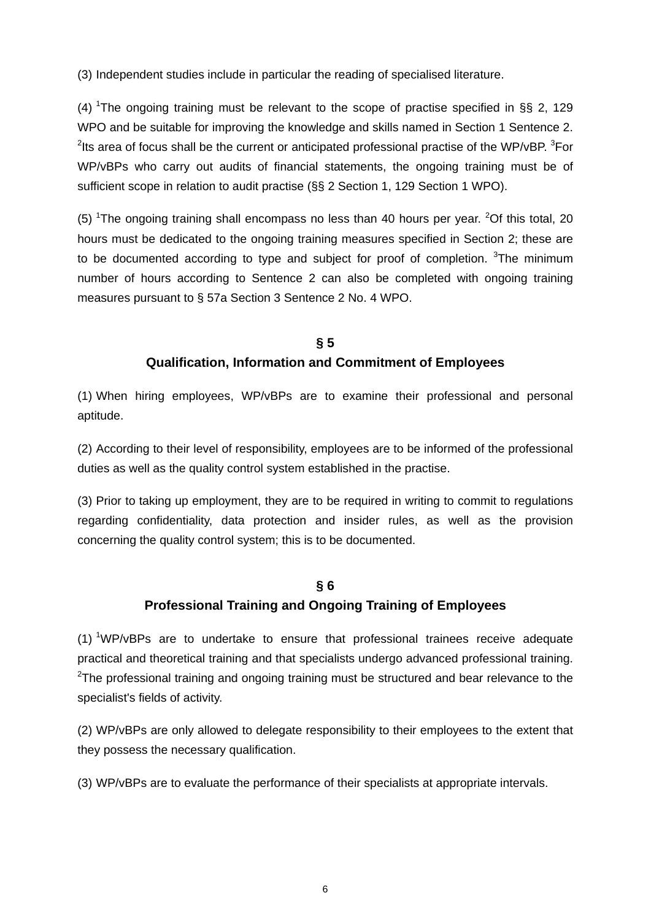(3) Independent studies include in particular the reading of specialised literature.

(4) <sup>1</sup>The ongoing training must be relevant to the scope of practise specified in §§ 2, 129 WPO and be suitable for improving the knowledge and skills named in Section 1 Sentence 2. <sup>2</sup>lts area of focus shall be the current or anticipated professional practise of the WP/vBP.  $3$ For WP/vBPs who carry out audits of financial statements, the ongoing training must be of sufficient scope in relation to audit practise (§§ 2 Section 1, 129 Section 1 WPO).

(5) <sup>1</sup>The ongoing training shall encompass no less than 40 hours per year. <sup>2</sup>Of this total, 20 hours must be dedicated to the ongoing training measures specified in Section 2; these are to be documented according to type and subject for proof of completion.  $3$ The minimum number of hours according to Sentence 2 can also be completed with ongoing training measures pursuant to § 57a Section 3 Sentence 2 No. 4 WPO.

### **§ 5 Qualification, Information and Commitment of Employees**

(1) When hiring employees, WP/vBPs are to examine their professional and personal aptitude.

(2) According to their level of responsibility, employees are to be informed of the professional duties as well as the quality control system established in the practise.

(3) Prior to taking up employment, they are to be required in writing to commit to regulations regarding confidentiality, data protection and insider rules, as well as the provision concerning the quality control system; this is to be documented.

### **§ 6**

### **Professional Training and Ongoing Training of Employees**

 $(1)$  <sup>1</sup>WP/vBPs are to undertake to ensure that professional trainees receive adequate practical and theoretical training and that specialists undergo advanced professional training.  $2$ The professional training and ongoing training must be structured and bear relevance to the specialist's fields of activity.

(2) WP/vBPs are only allowed to delegate responsibility to their employees to the extent that they possess the necessary qualification.

(3) WP/vBPs are to evaluate the performance of their specialists at appropriate intervals.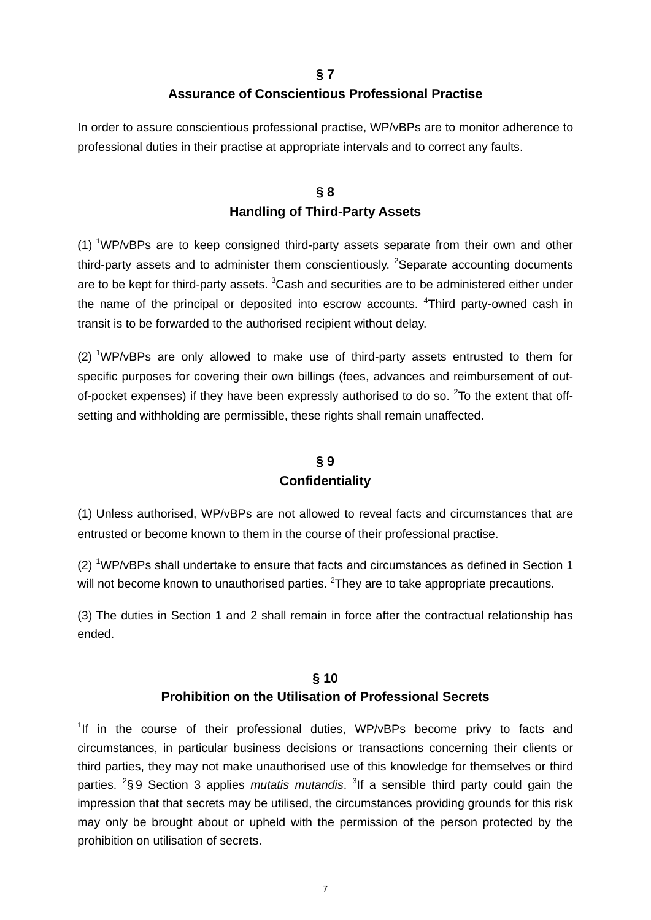### **§ 7 Assurance of Conscientious Professional Practise**

In order to assure conscientious professional practise, WP/vBPs are to monitor adherence to professional duties in their practise at appropriate intervals and to correct any faults.

# **§ 8 Handling of Third-Party Assets**

(1)  $1$  WP/vBPs are to keep consigned third-party assets separate from their own and other third-party assets and to administer them conscientiously. <sup>2</sup>Separate accounting documents are to be kept for third-party assets. <sup>3</sup>Cash and securities are to be administered either under the name of the principal or deposited into escrow accounts. <sup>4</sup>Third party-owned cash in transit is to be forwarded to the authorised recipient without delay.

 $(2)$  <sup>1</sup>WP/vBPs are only allowed to make use of third-party assets entrusted to them for specific purposes for covering their own billings (fees, advances and reimbursement of outof-pocket expenses) if they have been expressly authorised to do so.  $2$ To the extent that offsetting and withholding are permissible, these rights shall remain unaffected.

# **§ 9 Confidentiality**

(1) Unless authorised, WP/vBPs are not allowed to reveal facts and circumstances that are entrusted or become known to them in the course of their professional practise.

 $(2)$  <sup>1</sup>WP/vBPs shall undertake to ensure that facts and circumstances as defined in Section 1 will not become known to unauthorised parties. <sup>2</sup>They are to take appropriate precautions.

(3) The duties in Section 1 and 2 shall remain in force after the contractual relationship has ended.

### **§ 10 Prohibition on the Utilisation of Professional Secrets**

<sup>1</sup>If in the course of their professional duties, WP/vBPs become privy to facts and circumstances, in particular business decisions or transactions concerning their clients or third parties, they may not make unauthorised use of this knowledge for themselves or third parties. <sup>2</sup>§9 Section 3 applies *mutatis mutandis*. <sup>3</sup>If a sensible third party could gain the impression that that secrets may be utilised, the circumstances providing grounds for this risk may only be brought about or upheld with the permission of the person protected by the prohibition on utilisation of secrets.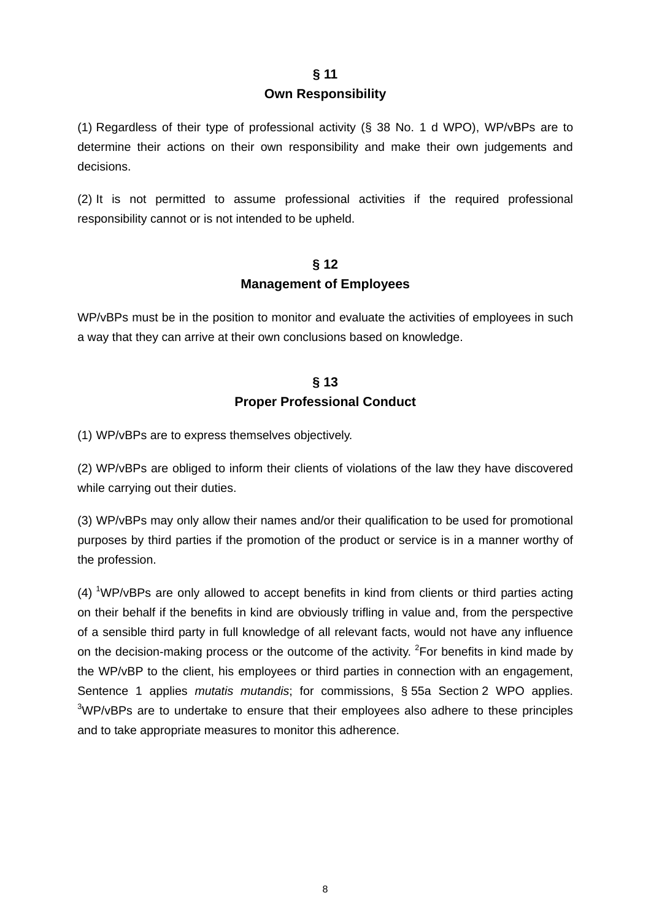#### **Own Responsibility**

(1) Regardless of their type of professional activity (§ 38 No. 1 d WPO), WP/vBPs are to determine their actions on their own responsibility and make their own judgements and decisions.

(2) It is not permitted to assume professional activities if the required professional responsibility cannot or is not intended to be upheld.

# **§ 12 Management of Employees**

WP/vBPs must be in the position to monitor and evaluate the activities of employees in such a way that they can arrive at their own conclusions based on knowledge.

# **§ 13 Proper Professional Conduct**

(1) WP/vBPs are to express themselves objectively.

(2) WP/vBPs are obliged to inform their clients of violations of the law they have discovered while carrying out their duties.

(3) WP/vBPs may only allow their names and/or their qualification to be used for promotional purposes by third parties if the promotion of the product or service is in a manner worthy of the profession.

 $(4)$  <sup>1</sup>WP/vBPs are only allowed to accept benefits in kind from clients or third parties acting on their behalf if the benefits in kind are obviously trifling in value and, from the perspective of a sensible third party in full knowledge of all relevant facts, would not have any influence on the decision-making process or the outcome of the activity.  ${}^{2}$ For benefits in kind made by the WP/vBP to the client, his employees or third parties in connection with an engagement, Sentence 1 applies *mutatis mutandis*; for commissions, § 55a Section 2 WPO applies.  $3$ WP/vBPs are to undertake to ensure that their employees also adhere to these principles and to take appropriate measures to monitor this adherence.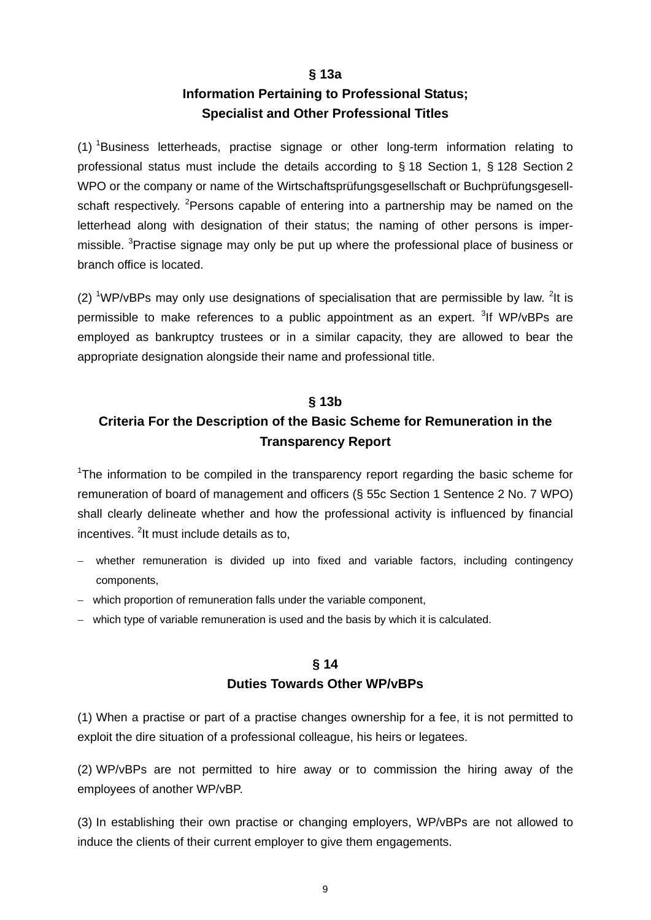#### **§ 13a**

# **Information Pertaining to Professional Status; Specialist and Other Professional Titles**

(1) <sup>1</sup>Business letterheads, practise signage or other long-term information relating to professional status must include the details according to § 18 Section 1, § 128 Section 2 WPO or the company or name of the Wirtschaftsprüfungsgesellschaft or Buchprüfungsgesellschaft respectively. <sup>2</sup>Persons capable of entering into a partnership may be named on the letterhead along with designation of their status; the naming of other persons is impermissible. <sup>3</sup>Practise signage may only be put up where the professional place of business or branch office is located.

(2) <sup>1</sup>WP/vBPs may only use designations of specialisation that are permissible by law. <sup>2</sup>It is permissible to make references to a public appointment as an expert. <sup>3</sup>If WP/vBPs are employed as bankruptcy trustees or in a similar capacity, they are allowed to bear the appropriate designation alongside their name and professional title.

### **§ 13b**

# **Criteria For the Description of the Basic Scheme for Remuneration in the Transparency Report**

<sup>1</sup>The information to be compiled in the transparency report regarding the basic scheme for remuneration of board of management and officers (§ 55c Section 1 Sentence 2 No. 7 WPO) shall clearly delineate whether and how the professional activity is influenced by financial incentives. <sup>2</sup>lt must include details as to,

- whether remuneration is divided up into fixed and variable factors, including contingency components,
- which proportion of remuneration falls under the variable component,
- which type of variable remuneration is used and the basis by which it is calculated.

# **§ 14 Duties Towards Other WP/vBPs**

(1) When a practise or part of a practise changes ownership for a fee, it is not permitted to exploit the dire situation of a professional colleague, his heirs or legatees.

(2) WP/vBPs are not permitted to hire away or to commission the hiring away of the employees of another WP/vBP.

(3) In establishing their own practise or changing employers, WP/vBPs are not allowed to induce the clients of their current employer to give them engagements.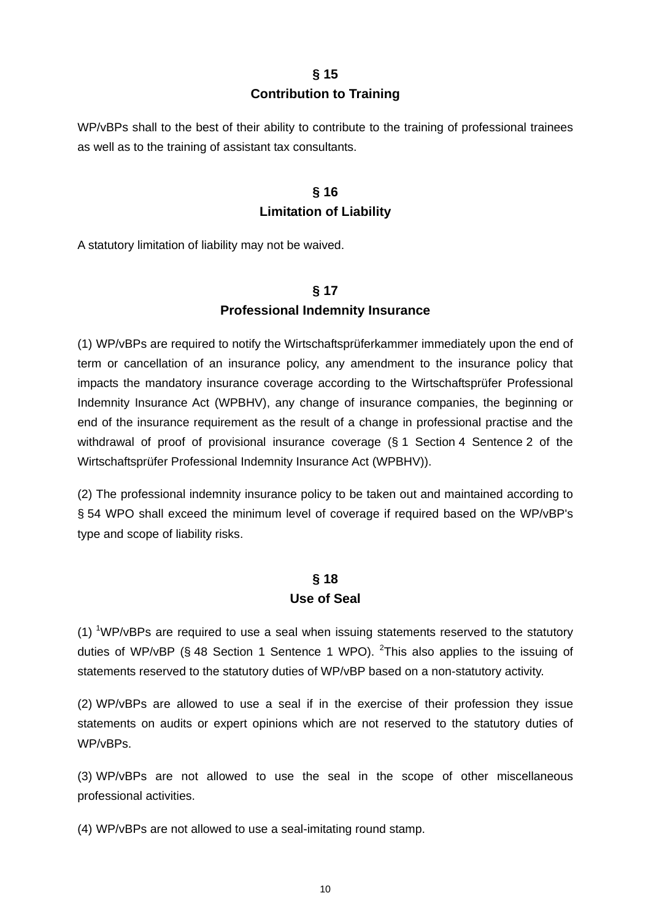#### **§ 15**

#### **Contribution to Training**

WP/vBPs shall to the best of their ability to contribute to the training of professional trainees as well as to the training of assistant tax consultants.

# **§ 16 Limitation of Liability**

A statutory limitation of liability may not be waived.

## **§ 17 Professional Indemnity Insurance**

(1) WP/vBPs are required to notify the Wirtschaftsprüferkammer immediately upon the end of term or cancellation of an insurance policy, any amendment to the insurance policy that impacts the mandatory insurance coverage according to the Wirtschaftsprüfer Professional Indemnity Insurance Act (WPBHV), any change of insurance companies, the beginning or end of the insurance requirement as the result of a change in professional practise and the withdrawal of proof of provisional insurance coverage (§ 1 Section 4 Sentence 2 of the Wirtschaftsprüfer Professional Indemnity Insurance Act (WPBHV)).

(2) The professional indemnity insurance policy to be taken out and maintained according to § 54 WPO shall exceed the minimum level of coverage if required based on the WP/vBP's type and scope of liability risks.

### **§ 18 Use of Seal**

 $(1)$  <sup>1</sup>WP/vBPs are required to use a seal when issuing statements reserved to the statutory duties of WP/vBP (§ 48 Section 1 Sentence 1 WPO). <sup>2</sup>This also applies to the issuing of statements reserved to the statutory duties of WP/vBP based on a non-statutory activity.

(2) WP/vBPs are allowed to use a seal if in the exercise of their profession they issue statements on audits or expert opinions which are not reserved to the statutory duties of WP/vBPs.

(3) WP/vBPs are not allowed to use the seal in the scope of other miscellaneous professional activities.

(4) WP/vBPs are not allowed to use a seal-imitating round stamp.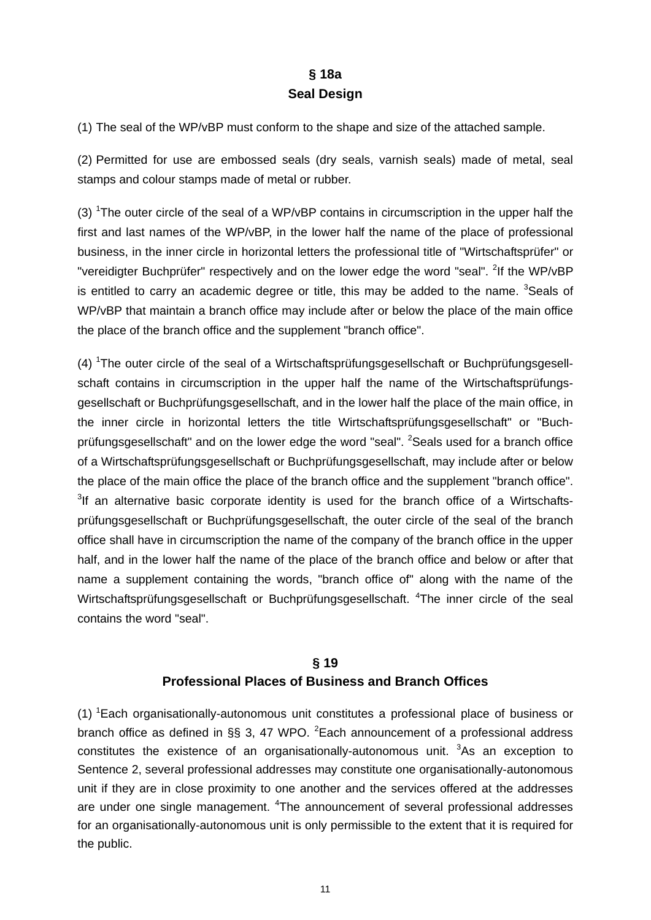# **§ 18a Seal Design**

(1) The seal of the WP/vBP must conform to the shape and size of the attached sample.

(2) Permitted for use are embossed seals (dry seals, varnish seals) made of metal, seal stamps and colour stamps made of metal or rubber.

(3) <sup>1</sup>The outer circle of the seal of a WP/vBP contains in circumscription in the upper half the first and last names of the WP/vBP, in the lower half the name of the place of professional business, in the inner circle in horizontal letters the professional title of "Wirtschaftsprüfer" or "vereidigter Buchprüfer" respectively and on the lower edge the word "seal". <sup>2</sup>If the WP/vBP is entitled to carry an academic degree or title, this may be added to the name.  $3$ Seals of WP/vBP that maintain a branch office may include after or below the place of the main office the place of the branch office and the supplement "branch office".

(4) <sup>1</sup>The outer circle of the seal of a Wirtschaftsprüfungsgesellschaft or Buchprüfungsgesellschaft contains in circumscription in the upper half the name of the Wirtschaftsprüfungsgesellschaft or Buchprüfungsgesellschaft, and in the lower half the place of the main office, in the inner circle in horizontal letters the title Wirtschaftsprüfungsgesellschaft" or "Buchprüfungsgesellschaft" and on the lower edge the word "seal". <sup>2</sup>Seals used for a branch office of a Wirtschaftsprüfungsgesellschaft or Buchprüfungsgesellschaft, may include after or below the place of the main office the place of the branch office and the supplement "branch office". <sup>3</sup>If an alternative basic corporate identity is used for the branch office of a Wirtschaftsprüfungsgesellschaft or Buchprüfungsgesellschaft, the outer circle of the seal of the branch office shall have in circumscription the name of the company of the branch office in the upper half, and in the lower half the name of the place of the branch office and below or after that name a supplement containing the words, "branch office of" along with the name of the Wirtschaftsprüfungsgesellschaft or Buchprüfungsgesellschaft. <sup>4</sup>The inner circle of the seal contains the word "seal".

# **§ 19 Professional Places of Business and Branch Offices**

(1) <sup>1</sup>Each organisationally-autonomous unit constitutes a professional place of business or branch office as defined in §§ 3, 47 WPO.  ${}^{2}$ Each announcement of a professional address constitutes the existence of an organisationally-autonomous unit.  $3As$  an exception to Sentence 2, several professional addresses may constitute one organisationally-autonomous unit if they are in close proximity to one another and the services offered at the addresses are under one single management. <sup>4</sup>The announcement of several professional addresses for an organisationally-autonomous unit is only permissible to the extent that it is required for the public.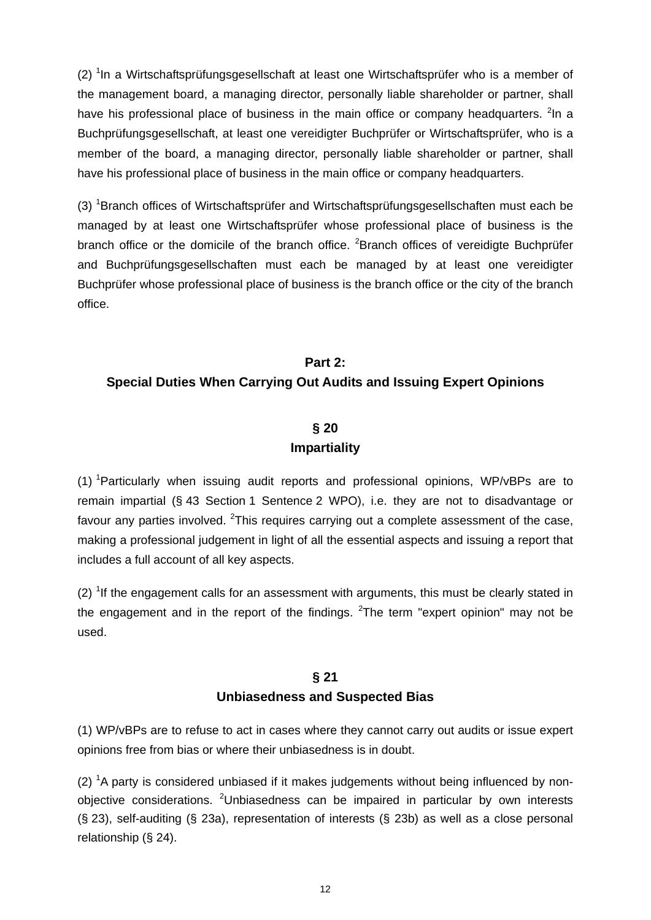(2) <sup>1</sup>In a Wirtschaftsprüfungsgesellschaft at least one Wirtschaftsprüfer who is a member of the management board, a managing director, personally liable shareholder or partner, shall have his professional place of business in the main office or company headquarters. <sup>2</sup>In a Buchprüfungsgesellschaft, at least one vereidigter Buchprüfer or Wirtschaftsprüfer, who is a member of the board, a managing director, personally liable shareholder or partner, shall have his professional place of business in the main office or company headquarters.

(3) <sup>1</sup> Branch offices of Wirtschaftsprüfer and Wirtschaftsprüfungsgesellschaften must each be managed by at least one Wirtschaftsprüfer whose professional place of business is the branch office or the domicile of the branch office. <sup>2</sup> Branch offices of vereidigte Buchprüfer and Buchprüfungsgesellschaften must each be managed by at least one vereidigter Buchprüfer whose professional place of business is the branch office or the city of the branch office.

# **Part 2: Special Duties When Carrying Out Audits and Issuing Expert Opinions**

# **§ 20**

### **Impartiality**

(1) <sup>1</sup>Particularly when issuing audit reports and professional opinions, WP/vBPs are to remain impartial (§ 43 Section 1 Sentence 2 WPO), i.e. they are not to disadvantage or favour any parties involved. <sup>2</sup>This requires carrying out a complete assessment of the case, making a professional judgement in light of all the essential aspects and issuing a report that includes a full account of all key aspects.

 $(2)$  <sup>1</sup>If the engagement calls for an assessment with arguments, this must be clearly stated in the engagement and in the report of the findings.  $2$ The term "expert opinion" may not be used.

## **§ 21 Unbiasedness and Suspected Bias**

(1) WP/vBPs are to refuse to act in cases where they cannot carry out audits or issue expert opinions free from bias or where their unbiasedness is in doubt.

 $(2)$  <sup>1</sup>A party is considered unbiased if it makes judgements without being influenced by nonobjective considerations. <sup>2</sup>Unbiasedness can be impaired in particular by own interests (§ 23), self-auditing (§ 23a), representation of interests (§ 23b) as well as a close personal relationship (§ 24).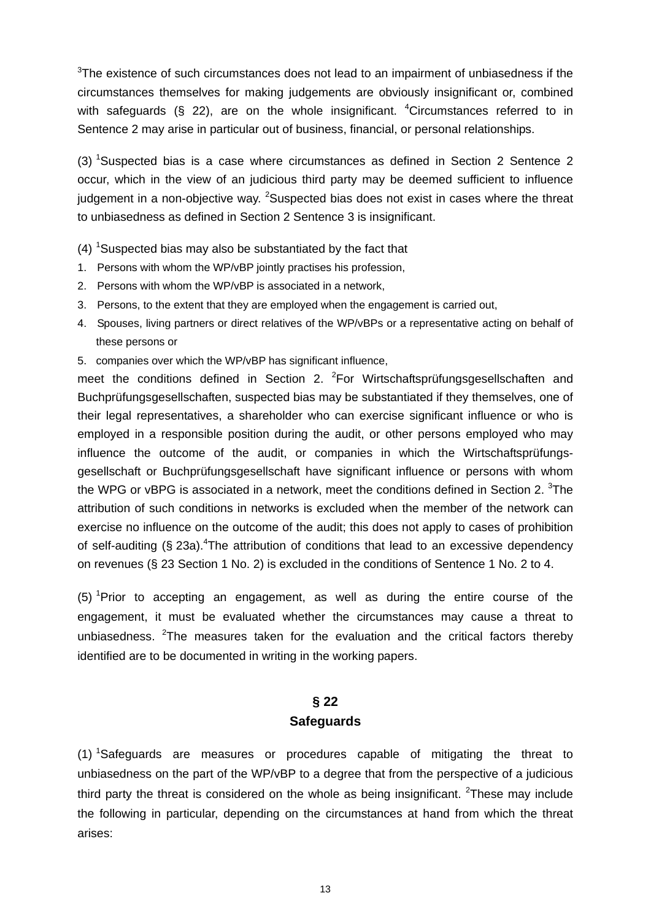$3$ The existence of such circumstances does not lead to an impairment of unbiasedness if the circumstances themselves for making judgements are obviously insignificant or, combined with safeguards  $(\S$  22), are on the whole insignificant. <sup>4</sup>Circumstances referred to in Sentence 2 may arise in particular out of business, financial, or personal relationships.

 $(3)$  <sup>1</sup>Suspected bias is a case where circumstances as defined in Section 2 Sentence 2 occur, which in the view of an judicious third party may be deemed sufficient to influence judgement in a non-objective way. <sup>2</sup>Suspected bias does not exist in cases where the threat to unbiasedness as defined in Section 2 Sentence 3 is insignificant.

 $(4)$  <sup>1</sup>Suspected bias may also be substantiated by the fact that

- 1. Persons with whom the WP/vBP jointly practises his profession,
- 2. Persons with whom the WP/vBP is associated in a network,
- 3. Persons, to the extent that they are employed when the engagement is carried out,
- 4. Spouses, living partners or direct relatives of the WP/vBPs or a representative acting on behalf of these persons or
- 5. companies over which the WP/vBP has significant influence,

meet the conditions defined in Section 2.  ${}^{2}$ For Wirtschaftsprüfungsgesellschaften and Buchprüfungsgesellschaften, suspected bias may be substantiated if they themselves, one of their legal representatives, a shareholder who can exercise significant influence or who is employed in a responsible position during the audit, or other persons employed who may influence the outcome of the audit, or companies in which the Wirtschaftsprüfungsgesellschaft or Buchprüfungsgesellschaft have significant influence or persons with whom the WPG or vBPG is associated in a network, meet the conditions defined in Section 2.  $3$ The attribution of such conditions in networks is excluded when the member of the network can exercise no influence on the outcome of the audit; this does not apply to cases of prohibition of self-auditing (§ 23a).<sup>4</sup>The attribution of conditions that lead to an excessive dependency on revenues (§ 23 Section 1 No. 2) is excluded in the conditions of Sentence 1 No. 2 to 4.

(5) <sup>1</sup> Prior to accepting an engagement, as well as during the entire course of the engagement, it must be evaluated whether the circumstances may cause a threat to unbiasedness.  $2$ The measures taken for the evaluation and the critical factors thereby identified are to be documented in writing in the working papers.

# **§ 22 Safeguards**

(1) <sup>1</sup> Safeguards are measures or procedures capable of mitigating the threat to unbiasedness on the part of the WP/vBP to a degree that from the perspective of a judicious third party the threat is considered on the whole as being insignificant. <sup>2</sup>These may include the following in particular, depending on the circumstances at hand from which the threat arises: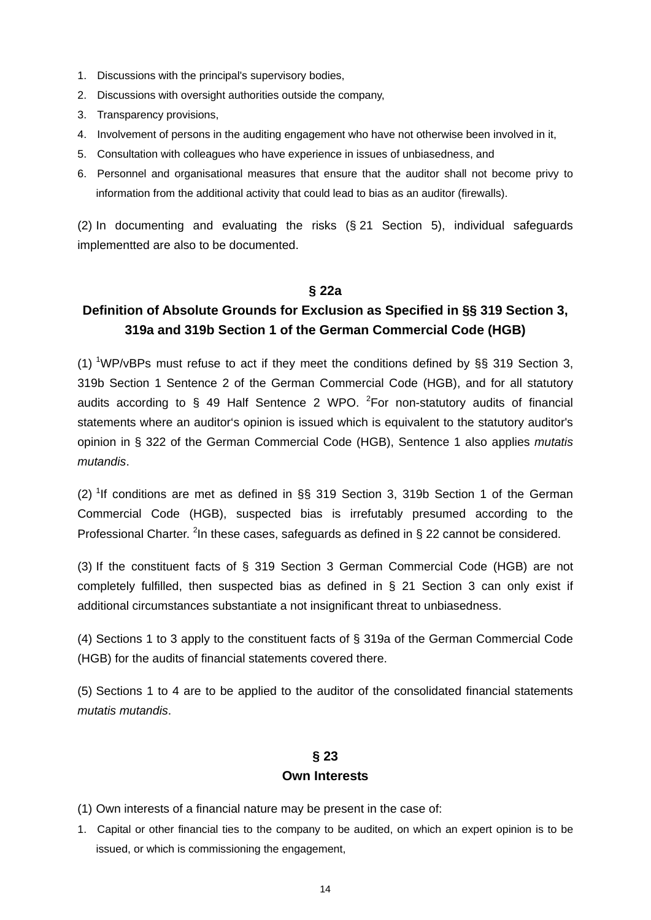- 1. Discussions with the principal's supervisory bodies,
- 2. Discussions with oversight authorities outside the company,
- 3. Transparency provisions,
- 4. Involvement of persons in the auditing engagement who have not otherwise been involved in it,
- 5. Consultation with colleagues who have experience in issues of unbiasedness, and
- 6. Personnel and organisational measures that ensure that the auditor shall not become privy to information from the additional activity that could lead to bias as an auditor (firewalls).

(2) In documenting and evaluating the risks (§ 21 Section 5), individual safeguards implementted are also to be documented.

#### **§ 22a**

# **Definition of Absolute Grounds for Exclusion as Specified in §§ 319 Section 3, 319a and 319b Section 1 of the German Commercial Code (HGB)**

(1) <sup>1</sup>WP/vBPs must refuse to act if they meet the conditions defined by  $\S\S$  319 Section 3, 319b Section 1 Sentence 2 of the German Commercial Code (HGB), and for all statutory audits according to  $\S$  49 Half Sentence 2 WPO. <sup>2</sup> For non-statutory audits of financial statements where an auditor's opinion is issued which is equivalent to the statutory auditor's opinion in § 322 of the German Commercial Code (HGB), Sentence 1 also applies *mutatis mutandis*.

(2) <sup>1</sup>If conditions are met as defined in  $\S$  319 Section 3, 319b Section 1 of the German Commercial Code (HGB), suspected bias is irrefutably presumed according to the Professional Charter. <sup>2</sup>In these cases, safeguards as defined in § 22 cannot be considered.

(3) If the constituent facts of § 319 Section 3 German Commercial Code (HGB) are not completely fulfilled, then suspected bias as defined in § 21 Section 3 can only exist if additional circumstances substantiate a not insignificant threat to unbiasedness.

(4) Sections 1 to 3 apply to the constituent facts of § 319a of the German Commercial Code (HGB) for the audits of financial statements covered there.

(5) Sections 1 to 4 are to be applied to the auditor of the consolidated financial statements *mutatis mutandis*.

## **§ 23 Own Interests**

(1) Own interests of a financial nature may be present in the case of:

1. Capital or other financial ties to the company to be audited, on which an expert opinion is to be issued, or which is commissioning the engagement,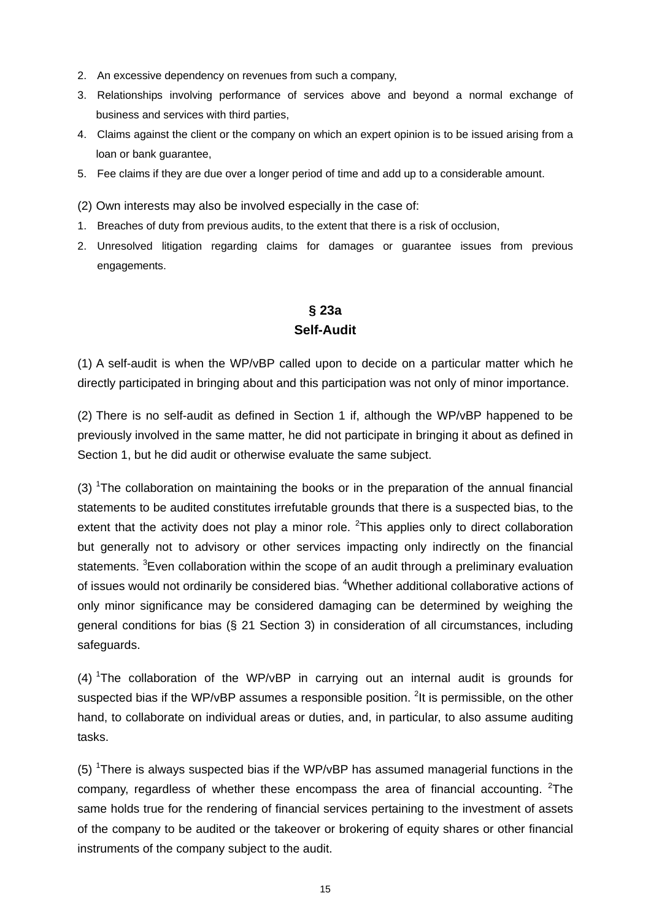- 2. An excessive dependency on revenues from such a company,
- 3. Relationships involving performance of services above and beyond a normal exchange of business and services with third parties,
- 4. Claims against the client or the company on which an expert opinion is to be issued arising from a loan or bank guarantee,
- 5. Fee claims if they are due over a longer period of time and add up to a considerable amount.
- (2) Own interests may also be involved especially in the case of:
- 1. Breaches of duty from previous audits, to the extent that there is a risk of occlusion,
- 2. Unresolved litigation regarding claims for damages or guarantee issues from previous engagements.

# **§ 23a Self-Audit**

(1) A self-audit is when the WP/vBP called upon to decide on a particular matter which he directly participated in bringing about and this participation was not only of minor importance.

(2) There is no self-audit as defined in Section 1 if, although the WP/vBP happened to be previously involved in the same matter, he did not participate in bringing it about as defined in Section 1, but he did audit or otherwise evaluate the same subject.

(3) <sup>1</sup>The collaboration on maintaining the books or in the preparation of the annual financial statements to be audited constitutes irrefutable grounds that there is a suspected bias, to the extent that the activity does not play a minor role.  ${}^{2}$ This applies only to direct collaboration but generally not to advisory or other services impacting only indirectly on the financial statements. <sup>3</sup> Even collaboration within the scope of an audit through a preliminary evaluation of issues would not ordinarily be considered bias. <sup>4</sup>Whether additional collaborative actions of only minor significance may be considered damaging can be determined by weighing the general conditions for bias (§ 21 Section 3) in consideration of all circumstances, including safeguards.

(4) <sup>1</sup>The collaboration of the WP/vBP in carrying out an internal audit is grounds for suspected bias if the WP/vBP assumes a responsible position.  $2$ It is permissible, on the other hand, to collaborate on individual areas or duties, and, in particular, to also assume auditing tasks.

(5) <sup>1</sup>There is always suspected bias if the WP/vBP has assumed managerial functions in the company, regardless of whether these encompass the area of financial accounting.  $2$ The same holds true for the rendering of financial services pertaining to the investment of assets of the company to be audited or the takeover or brokering of equity shares or other financial instruments of the company subject to the audit.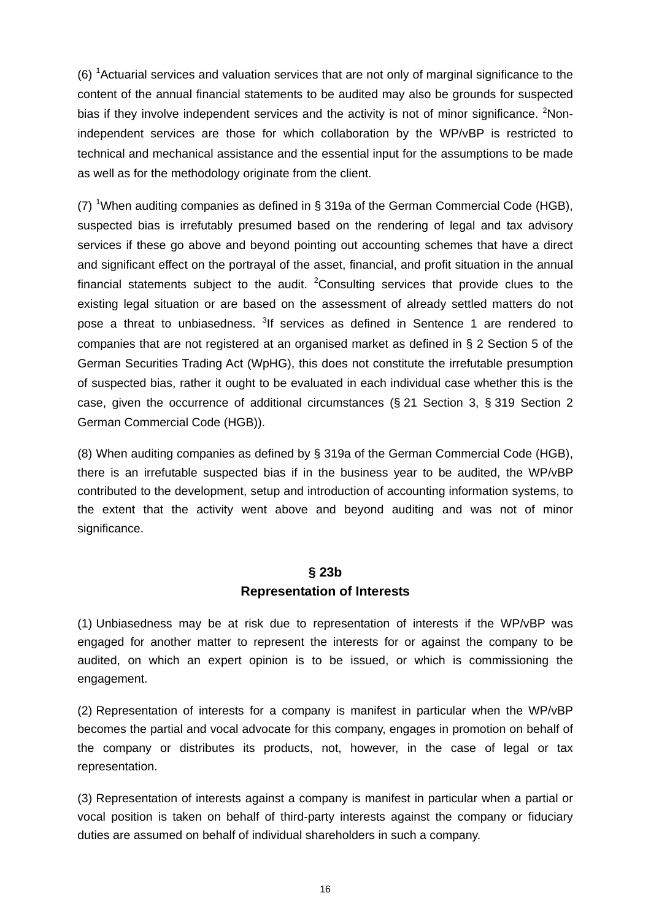(6) <sup>1</sup> Actuarial services and valuation services that are not only of marginal significance to the content of the annual financial statements to be audited may also be grounds for suspected bias if they involve independent services and the activity is not of minor significance. <sup>2</sup>Nonindependent services are those for which collaboration by the WP/vBP is restricted to technical and mechanical assistance and the essential input for the assumptions to be made as well as for the methodology originate from the client.

(7) <sup>1</sup>When auditing companies as defined in § 319a of the German Commercial Code (HGB), suspected bias is irrefutably presumed based on the rendering of legal and tax advisory services if these go above and beyond pointing out accounting schemes that have a direct and significant effect on the portrayal of the asset, financial, and profit situation in the annual financial statements subject to the audit.  $2$ Consulting services that provide clues to the existing legal situation or are based on the assessment of already settled matters do not pose a threat to unbiasedness. <sup>3</sup>If services as defined in Sentence 1 are rendered to companies that are not registered at an organised market as defined in § 2 Section 5 of the German Securities Trading Act (WpHG), this does not constitute the irrefutable presumption of suspected bias, rather it ought to be evaluated in each individual case whether this is the case, given the occurrence of additional circumstances (§ 21 Section 3, § 319 Section 2 German Commercial Code (HGB)).

(8) When auditing companies as defined by § 319a of the German Commercial Code (HGB), there is an irrefutable suspected bias if in the business year to be audited, the WP/vBP contributed to the development, setup and introduction of accounting information systems, to the extent that the activity went above and beyond auditing and was not of minor significance.

### **§ 23b Representation of Interests**

(1) Unbiasedness may be at risk due to representation of interests if the WP/vBP was engaged for another matter to represent the interests for or against the company to be audited, on which an expert opinion is to be issued, or which is commissioning the engagement.

(2) Representation of interests for a company is manifest in particular when the WP/vBP becomes the partial and vocal advocate for this company, engages in promotion on behalf of the company or distributes its products, not, however, in the case of legal or tax representation.

(3) Representation of interests against a company is manifest in particular when a partial or vocal position is taken on behalf of third-party interests against the company or fiduciary duties are assumed on behalf of individual shareholders in such a company.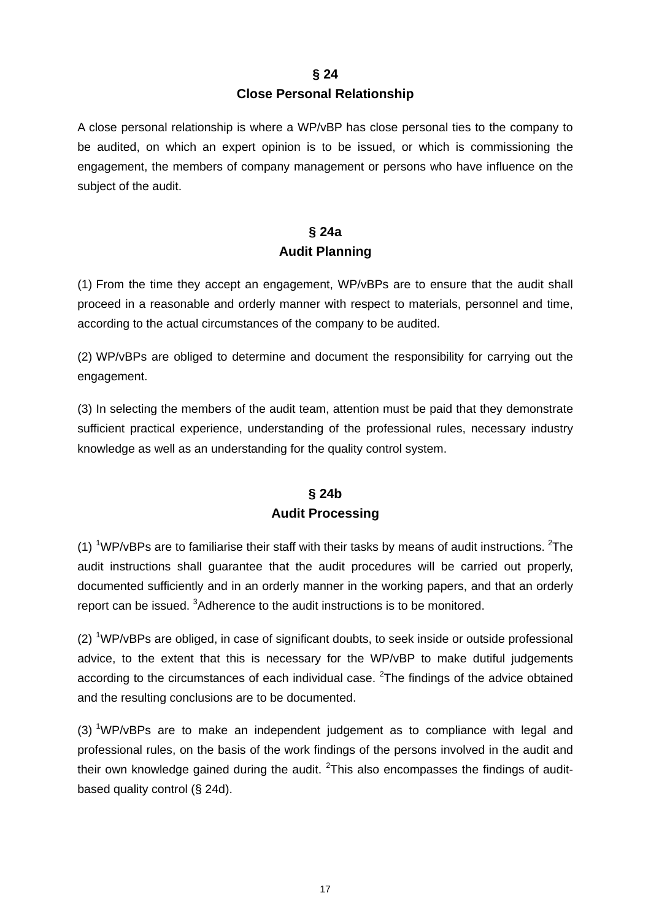#### **§ 24**

#### **Close Personal Relationship**

A close personal relationship is where a WP/vBP has close personal ties to the company to be audited, on which an expert opinion is to be issued, or which is commissioning the engagement, the members of company management or persons who have influence on the subject of the audit.

# **§ 24a Audit Planning**

(1) From the time they accept an engagement, WP/vBPs are to ensure that the audit shall proceed in a reasonable and orderly manner with respect to materials, personnel and time, according to the actual circumstances of the company to be audited.

(2) WP/vBPs are obliged to determine and document the responsibility for carrying out the engagement.

(3) In selecting the members of the audit team, attention must be paid that they demonstrate sufficient practical experience, understanding of the professional rules, necessary industry knowledge as well as an understanding for the quality control system.

# **§ 24b Audit Processing**

(1) <sup>1</sup>WP/vBPs are to familiarise their staff with their tasks by means of audit instructions. <sup>2</sup>The audit instructions shall guarantee that the audit procedures will be carried out properly, documented sufficiently and in an orderly manner in the working papers, and that an orderly report can be issued. <sup>3</sup>Adherence to the audit instructions is to be monitored.

(2) <sup>1</sup>WP/vBPs are obliged, in case of significant doubts, to seek inside or outside professional advice, to the extent that this is necessary for the WP/vBP to make dutiful judgements according to the circumstances of each individual case.  $2$ The findings of the advice obtained and the resulting conclusions are to be documented.

(3)  $1$ WP/vBPs are to make an independent judgement as to compliance with legal and professional rules, on the basis of the work findings of the persons involved in the audit and their own knowledge gained during the audit.  $2$ This also encompasses the findings of auditbased quality control (§ 24d).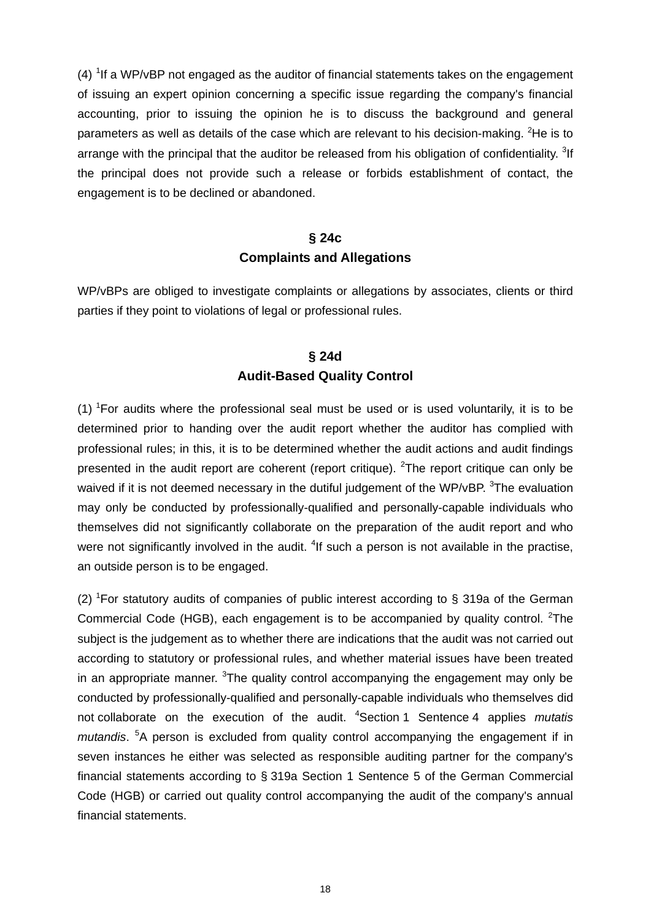$(4)$  <sup>1</sup> If a WP/vBP not engaged as the auditor of financial statements takes on the engagement of issuing an expert opinion concerning a specific issue regarding the company's financial accounting, prior to issuing the opinion he is to discuss the background and general parameters as well as details of the case which are relevant to his decision-making.  ${}^{2}$ He is to arrange with the principal that the auditor be released from his obligation of confidentiality. <sup>3</sup>If the principal does not provide such a release or forbids establishment of contact, the engagement is to be declined or abandoned.

### **§ 24c Complaints and Allegations**

WP/vBPs are obliged to investigate complaints or allegations by associates, clients or third parties if they point to violations of legal or professional rules.

# **§ 24d Audit-Based Quality Control**

 $(1)$  <sup>1</sup>For audits where the professional seal must be used or is used voluntarily, it is to be determined prior to handing over the audit report whether the auditor has complied with professional rules; in this, it is to be determined whether the audit actions and audit findings presented in the audit report are coherent (report critique). <sup>2</sup>The report critique can only be waived if it is not deemed necessary in the dutiful judgement of the WP/vBP.  $3$ The evaluation may only be conducted by professionally-qualified and personally-capable individuals who themselves did not significantly collaborate on the preparation of the audit report and who were not significantly involved in the audit. <sup>4</sup>If such a person is not available in the practise, an outside person is to be engaged.

(2) <sup>1</sup>For statutory audits of companies of public interest according to § 319a of the German Commercial Code (HGB), each engagement is to be accompanied by quality control.  ${}^{2}$ The subject is the judgement as to whether there are indications that the audit was not carried out according to statutory or professional rules, and whether material issues have been treated in an appropriate manner. <sup>3</sup>The quality control accompanying the engagement may only be conducted by professionally-qualified and personally-capable individuals who themselves did not collaborate on the execution of the audit. <sup>4</sup> Section 1 Sentence 4 applies *mutatis*  mutandis.<sup>5</sup>A person is excluded from quality control accompanying the engagement if in seven instances he either was selected as responsible auditing partner for the company's financial statements according to § 319a Section 1 Sentence 5 of the German Commercial Code (HGB) or carried out quality control accompanying the audit of the company's annual financial statements.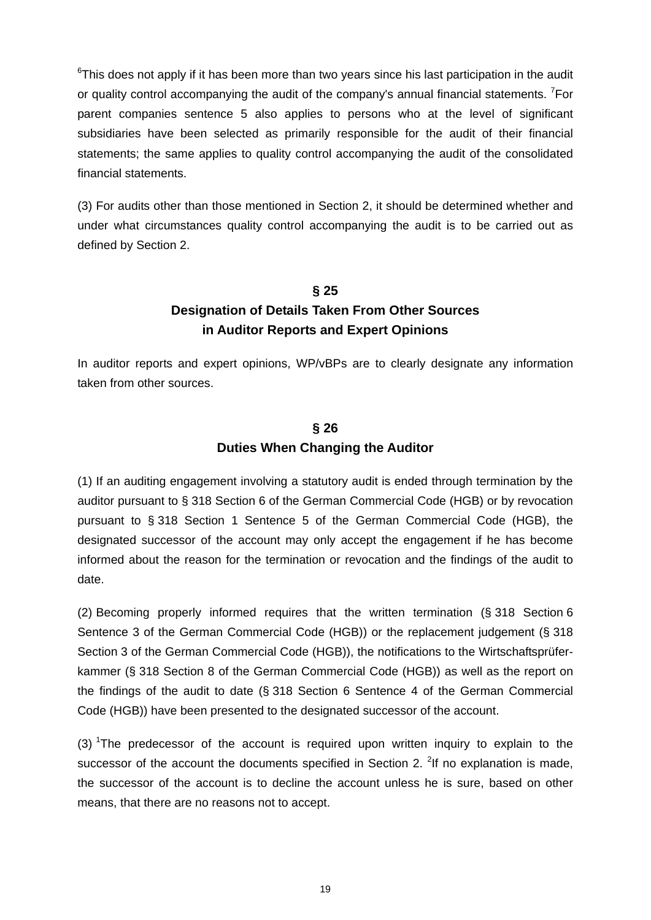$6$ This does not apply if it has been more than two years since his last participation in the audit or quality control accompanying the audit of the company's annual financial statements. <sup>7</sup>For parent companies sentence 5 also applies to persons who at the level of significant subsidiaries have been selected as primarily responsible for the audit of their financial statements; the same applies to quality control accompanying the audit of the consolidated financial statements.

(3) For audits other than those mentioned in Section 2, it should be determined whether and under what circumstances quality control accompanying the audit is to be carried out as defined by Section 2.

# **§ 25 Designation of Details Taken From Other Sources in Auditor Reports and Expert Opinions**

In auditor reports and expert opinions, WP/vBPs are to clearly designate any information taken from other sources.

# **§ 26 Duties When Changing the Auditor**

(1) If an auditing engagement involving a statutory audit is ended through termination by the auditor pursuant to § 318 Section 6 of the German Commercial Code (HGB) or by revocation pursuant to § 318 Section 1 Sentence 5 of the German Commercial Code (HGB), the designated successor of the account may only accept the engagement if he has become informed about the reason for the termination or revocation and the findings of the audit to date.

(2) Becoming properly informed requires that the written termination (§ 318 Section 6 Sentence 3 of the German Commercial Code (HGB)) or the replacement judgement (§ 318 Section 3 of the German Commercial Code (HGB)), the notifications to the Wirtschaftsprüferkammer (§ 318 Section 8 of the German Commercial Code (HGB)) as well as the report on the findings of the audit to date (§ 318 Section 6 Sentence 4 of the German Commercial Code (HGB)) have been presented to the designated successor of the account.

(3) <sup>1</sup>The predecessor of the account is required upon written inquiry to explain to the successor of the account the documents specified in Section 2.  $2$ If no explanation is made, the successor of the account is to decline the account unless he is sure, based on other means, that there are no reasons not to accept.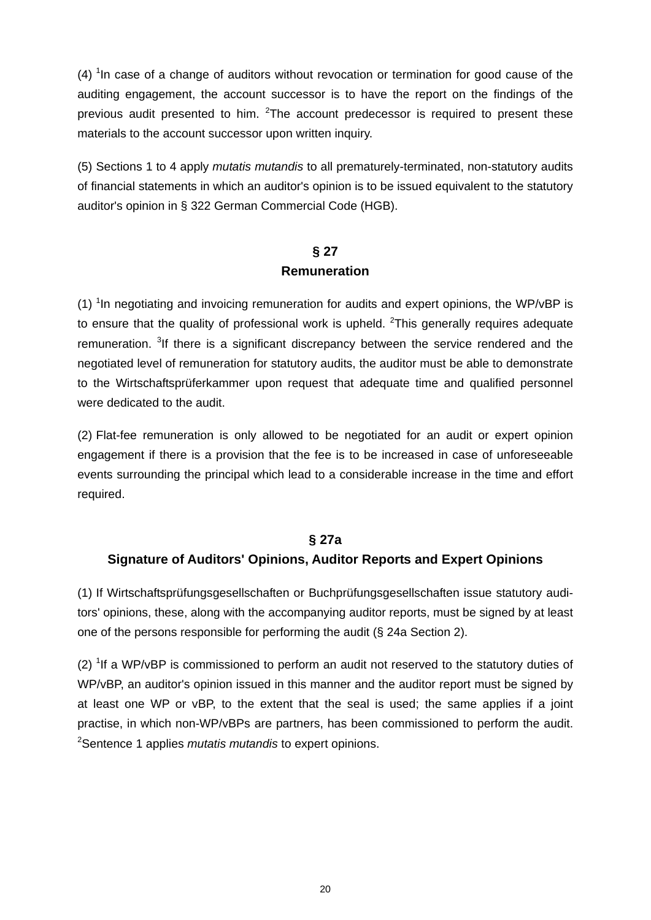$(4)$  <sup>1</sup> In case of a change of auditors without revocation or termination for good cause of the auditing engagement, the account successor is to have the report on the findings of the previous audit presented to him.  $2$ The account predecessor is required to present these materials to the account successor upon written inquiry.

(5) Sections 1 to 4 apply *mutatis mutandis* to all prematurely-terminated, non-statutory audits of financial statements in which an auditor's opinion is to be issued equivalent to the statutory auditor's opinion in § 322 German Commercial Code (HGB).

### **§ 27 Remuneration**

(1) <sup>1</sup>In negotiating and invoicing remuneration for audits and expert opinions, the WP/vBP is to ensure that the quality of professional work is upheld.  $2$ This generally requires adequate remuneration. <sup>3</sup>If there is a significant discrepancy between the service rendered and the negotiated level of remuneration for statutory audits, the auditor must be able to demonstrate to the Wirtschaftsprüferkammer upon request that adequate time and qualified personnel were dedicated to the audit.

(2) Flat-fee remuneration is only allowed to be negotiated for an audit or expert opinion engagement if there is a provision that the fee is to be increased in case of unforeseeable events surrounding the principal which lead to a considerable increase in the time and effort required.

### **§ 27a**

### **Signature of Auditors' Opinions, Auditor Reports and Expert Opinions**

(1) If Wirtschaftsprüfungsgesellschaften or Buchprüfungsgesellschaften issue statutory auditors' opinions, these, along with the accompanying auditor reports, must be signed by at least one of the persons responsible for performing the audit (§ 24a Section 2).

(2)  $1$ If a WP/vBP is commissioned to perform an audit not reserved to the statutory duties of WP/vBP, an auditor's opinion issued in this manner and the auditor report must be signed by at least one WP or vBP, to the extent that the seal is used; the same applies if a joint practise, in which non-WP/vBPs are partners, has been commissioned to perform the audit. 2 Sentence 1 applies *mutatis mutandis* to expert opinions.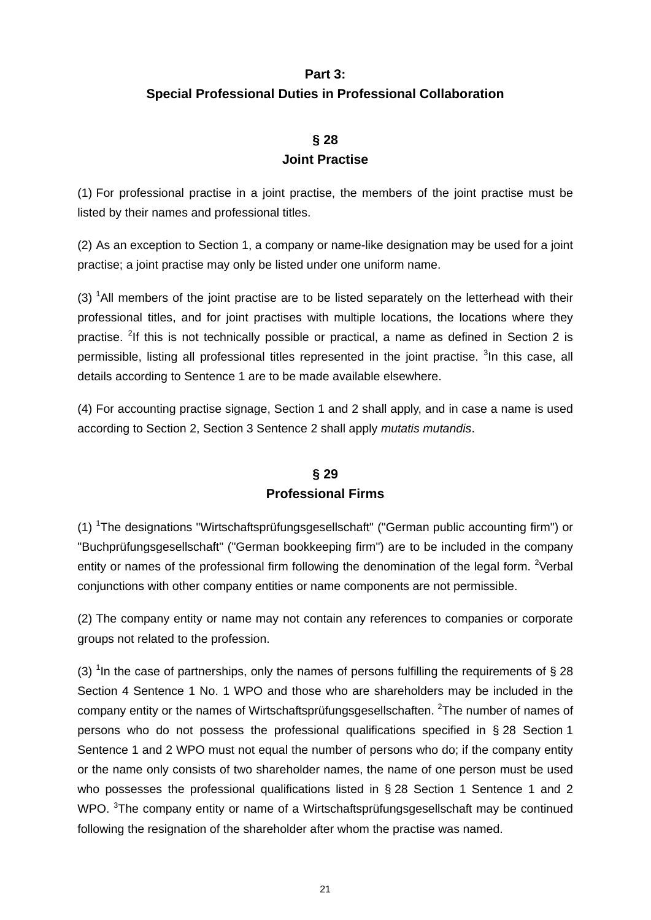# **Part 3: Special Professional Duties in Professional Collaboration**

# **§ 28 Joint Practise**

(1) For professional practise in a joint practise, the members of the joint practise must be listed by their names and professional titles.

(2) As an exception to Section 1, a company or name-like designation may be used for a joint practise; a joint practise may only be listed under one uniform name.

 $(3)$  <sup>1</sup>All members of the joint practise are to be listed separately on the letterhead with their professional titles, and for joint practises with multiple locations, the locations where they practise. <sup>2</sup>If this is not technically possible or practical, a name as defined in Section 2 is permissible, listing all professional titles represented in the joint practise. <sup>3</sup>In this case, all details according to Sentence 1 are to be made available elsewhere.

(4) For accounting practise signage, Section 1 and 2 shall apply, and in case a name is used according to Section 2, Section 3 Sentence 2 shall apply *mutatis mutandis*.

# **§ 29 Professional Firms**

(1) <sup>1</sup>The designations "Wirtschaftsprüfungsgesellschaft" ("German public accounting firm") or "Buchprüfungsgesellschaft" ("German bookkeeping firm") are to be included in the company entity or names of the professional firm following the denomination of the legal form. <sup>2</sup>Verbal conjunctions with other company entities or name components are not permissible.

(2) The company entity or name may not contain any references to companies or corporate groups not related to the profession.

(3) <sup>1</sup>In the case of partnerships, only the names of persons fulfilling the requirements of § 28 Section 4 Sentence 1 No. 1 WPO and those who are shareholders may be included in the company entity or the names of Wirtschaftsprüfungsgesellschaften. <sup>2</sup>The number of names of persons who do not possess the professional qualifications specified in § 28 Section 1 Sentence 1 and 2 WPO must not equal the number of persons who do; if the company entity or the name only consists of two shareholder names, the name of one person must be used who possesses the professional qualifications listed in § 28 Section 1 Sentence 1 and 2 WPO. <sup>3</sup>The company entity or name of a Wirtschaftsprüfungsgesellschaft may be continued following the resignation of the shareholder after whom the practise was named.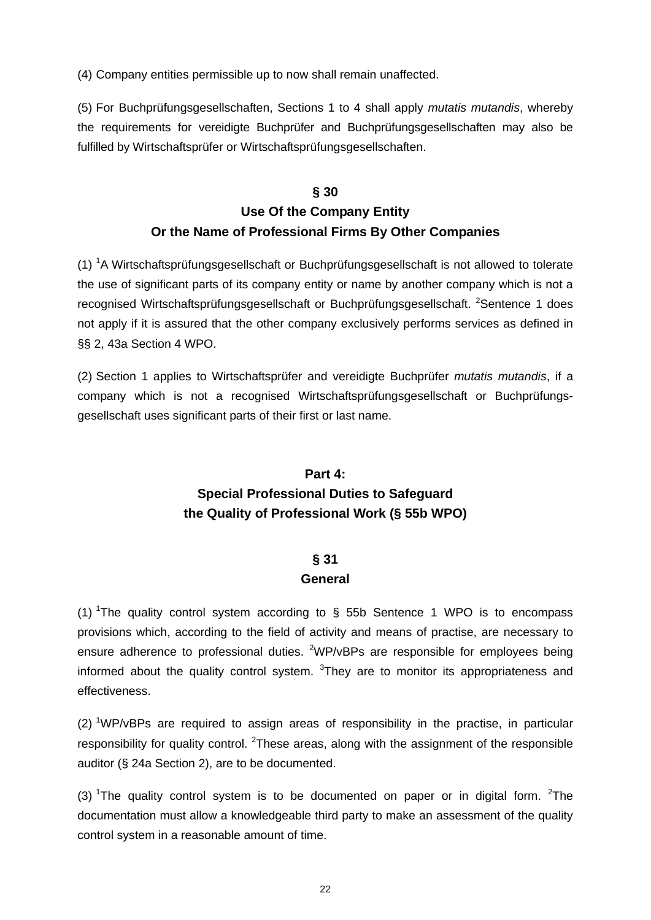(4) Company entities permissible up to now shall remain unaffected.

(5) For Buchprüfungsgesellschaften, Sections 1 to 4 shall apply *mutatis mutandis*, whereby the requirements for vereidigte Buchprüfer and Buchprüfungsgesellschaften may also be fulfilled by Wirtschaftsprüfer or Wirtschaftsprüfungsgesellschaften.

# **§ 30 Use Of the Company Entity Or the Name of Professional Firms By Other Companies**

(1) <sup>1</sup>A Wirtschaftsprüfungsgesellschaft or Buchprüfungsgesellschaft is not allowed to tolerate the use of significant parts of its company entity or name by another company which is not a recognised Wirtschaftsprüfungsgesellschaft or Buchprüfungsgesellschaft. <sup>2</sup>Sentence 1 does not apply if it is assured that the other company exclusively performs services as defined in §§ 2, 43a Section 4 WPO.

(2) Section 1 applies to Wirtschaftsprüfer and vereidigte Buchprüfer *mutatis mutandis*, if a company which is not a recognised Wirtschaftsprüfungsgesellschaft or Buchprüfungsgesellschaft uses significant parts of their first or last name.

# **Part 4: Special Professional Duties to Safeguard the Quality of Professional Work (§ 55b WPO)**

# **§ 31 General**

(1) <sup>1</sup>The quality control system according to  $\S$  55b Sentence 1 WPO is to encompass provisions which, according to the field of activity and means of practise, are necessary to ensure adherence to professional duties.  $2WP/VBPs$  are responsible for employees being informed about the quality control system.  $3$ They are to monitor its appropriateness and effectiveness.

(2) <sup>1</sup>WP/vBPs are required to assign areas of responsibility in the practise, in particular responsibility for quality control. <sup>2</sup>These areas, along with the assignment of the responsible auditor (§ 24a Section 2), are to be documented.

(3) <sup>1</sup>The quality control system is to be documented on paper or in digital form. <sup>2</sup>The documentation must allow a knowledgeable third party to make an assessment of the quality control system in a reasonable amount of time.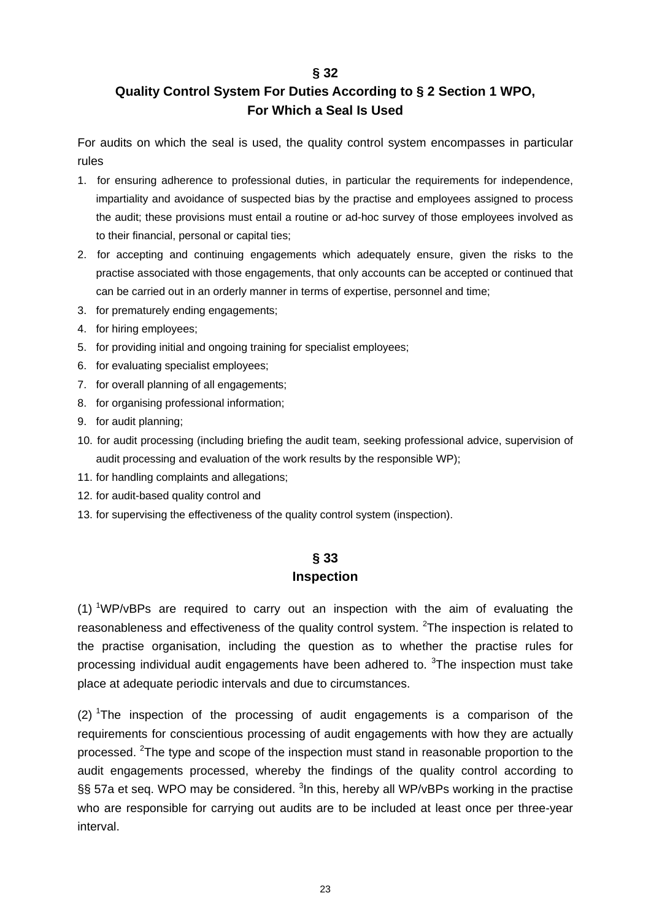#### **§ 32**

# **Quality Control System For Duties According to § 2 Section 1 WPO, For Which a Seal Is Used**

For audits on which the seal is used, the quality control system encompasses in particular rules

- 1. for ensuring adherence to professional duties, in particular the requirements for independence, impartiality and avoidance of suspected bias by the practise and employees assigned to process the audit; these provisions must entail a routine or ad-hoc survey of those employees involved as to their financial, personal or capital ties;
- 2. for accepting and continuing engagements which adequately ensure, given the risks to the practise associated with those engagements, that only accounts can be accepted or continued that can be carried out in an orderly manner in terms of expertise, personnel and time;
- 3. for prematurely ending engagements;
- 4. for hiring employees;
- 5. for providing initial and ongoing training for specialist employees;
- 6. for evaluating specialist employees;
- 7. for overall planning of all engagements;
- 8. for organising professional information;
- 9. for audit planning;
- 10. for audit processing (including briefing the audit team, seeking professional advice, supervision of audit processing and evaluation of the work results by the responsible WP);
- 11. for handling complaints and allegations;
- 12. for audit-based quality control and
- 13. for supervising the effectiveness of the quality control system (inspection).

### **§ 33 Inspection**

(1) <sup>1</sup>WP/vBPs are required to carry out an inspection with the aim of evaluating the reasonableness and effectiveness of the quality control system.  ${}^{2}$ The inspection is related to the practise organisation, including the question as to whether the practise rules for processing individual audit engagements have been adhered to. <sup>3</sup>The inspection must take place at adequate periodic intervals and due to circumstances.

 $(2)$  The inspection of the processing of audit engagements is a comparison of the requirements for conscientious processing of audit engagements with how they are actually processed. <sup>2</sup>The type and scope of the inspection must stand in reasonable proportion to the audit engagements processed, whereby the findings of the quality control according to §§ 57a et seq. WPO may be considered. <sup>3</sup>In this, hereby all WP/vBPs working in the practise who are responsible for carrying out audits are to be included at least once per three-year interval.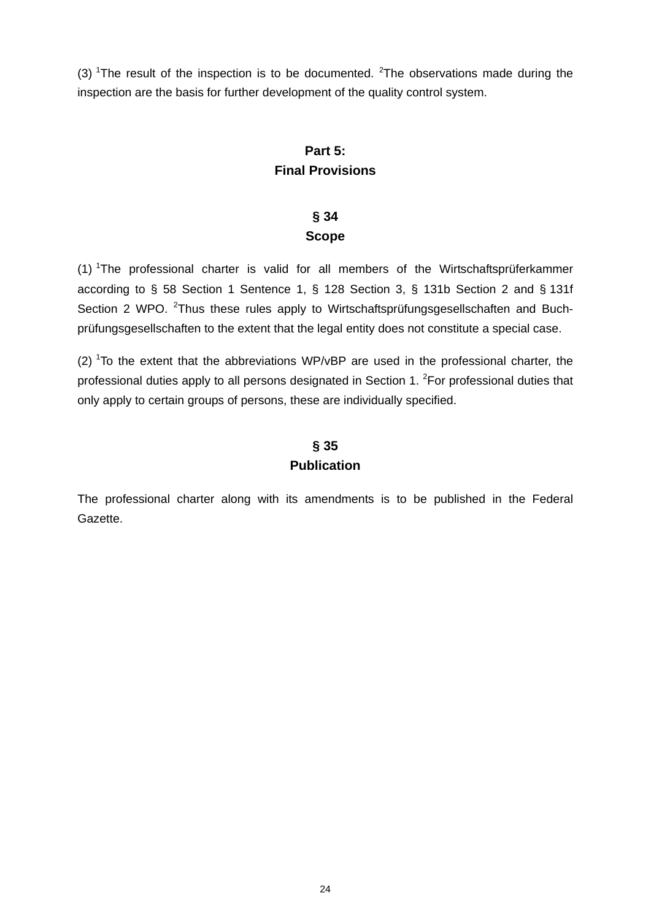(3) <sup>1</sup>The result of the inspection is to be documented. <sup>2</sup>The observations made during the inspection are the basis for further development of the quality control system.

# **Part 5: Final Provisions**

# **§ 34 Scope**

(1) <sup>1</sup>The professional charter is valid for all members of the Wirtschaftsprüferkammer according to § 58 Section 1 Sentence 1, § 128 Section 3, § 131b Section 2 and § 131f Section 2 WPO. <sup>2</sup>Thus these rules apply to Wirtschaftsprüfungsgesellschaften and Buchprüfungsgesellschaften to the extent that the legal entity does not constitute a special case.

(2)  $\text{1}$ To the extent that the abbreviations WP/vBP are used in the professional charter, the professional duties apply to all persons designated in Section 1.  ${}^{2}$ For professional duties that only apply to certain groups of persons, these are individually specified.

# **§ 35 Publication**

The professional charter along with its amendments is to be published in the Federal Gazette.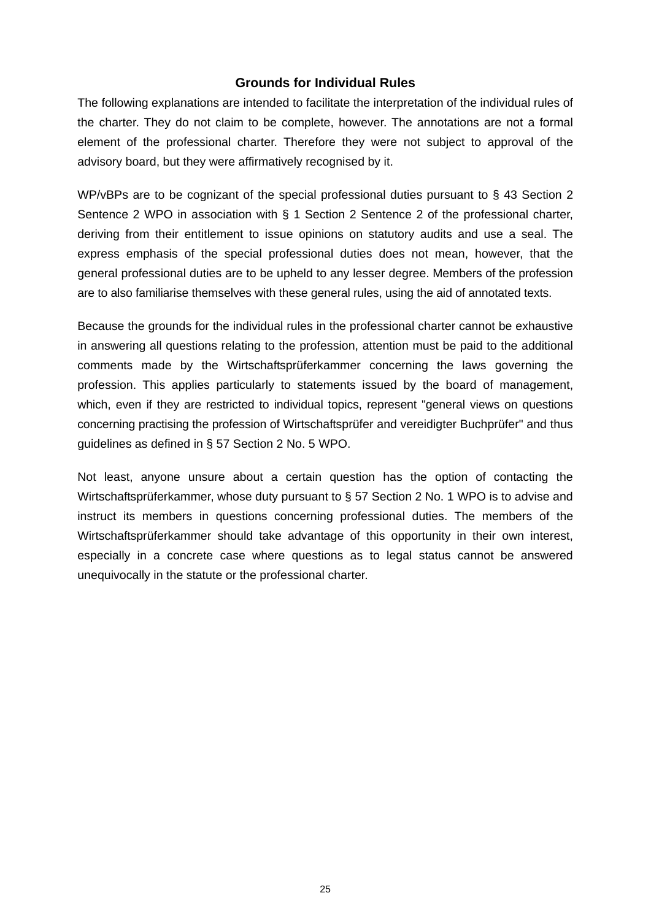### **Grounds for Individual Rules**

The following explanations are intended to facilitate the interpretation of the individual rules of the charter. They do not claim to be complete, however. The annotations are not a formal element of the professional charter. Therefore they were not subject to approval of the advisory board, but they were affirmatively recognised by it.

WP/vBPs are to be cognizant of the special professional duties pursuant to § 43 Section 2 Sentence 2 WPO in association with § 1 Section 2 Sentence 2 of the professional charter, deriving from their entitlement to issue opinions on statutory audits and use a seal. The express emphasis of the special professional duties does not mean, however, that the general professional duties are to be upheld to any lesser degree. Members of the profession are to also familiarise themselves with these general rules, using the aid of annotated texts.

Because the grounds for the individual rules in the professional charter cannot be exhaustive in answering all questions relating to the profession, attention must be paid to the additional comments made by the Wirtschaftsprüferkammer concerning the laws governing the profession. This applies particularly to statements issued by the board of management, which, even if they are restricted to individual topics, represent "general views on questions concerning practising the profession of Wirtschaftsprüfer and vereidigter Buchprüfer" and thus guidelines as defined in § 57 Section 2 No. 5 WPO.

Not least, anyone unsure about a certain question has the option of contacting the Wirtschaftsprüferkammer, whose duty pursuant to § 57 Section 2 No. 1 WPO is to advise and instruct its members in questions concerning professional duties. The members of the Wirtschaftsprüferkammer should take advantage of this opportunity in their own interest, especially in a concrete case where questions as to legal status cannot be answered unequivocally in the statute or the professional charter.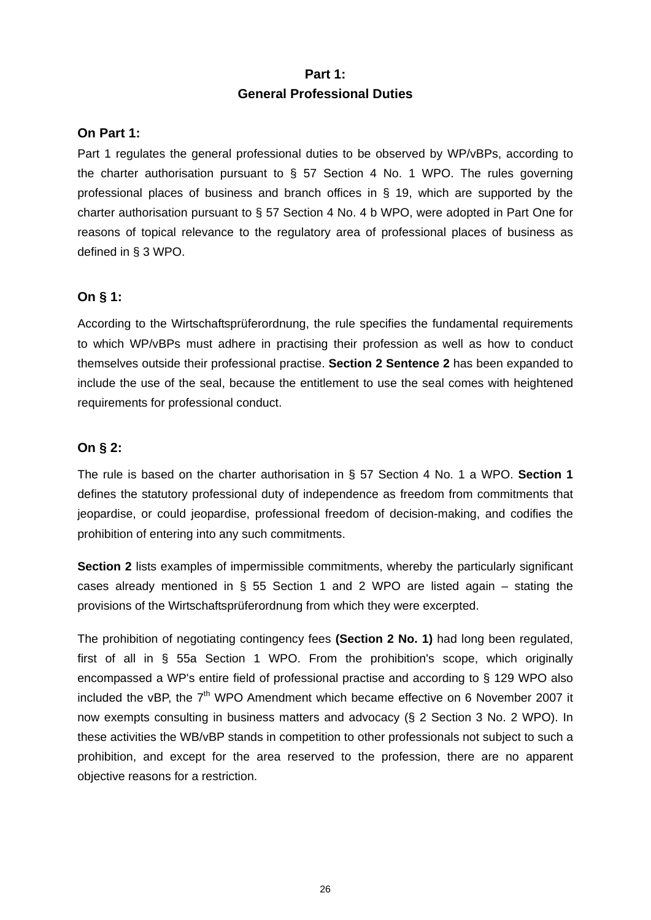#### **Part 1:**

#### **General Professional Duties**

#### **On Part 1:**

Part 1 regulates the general professional duties to be observed by WP/vBPs, according to the charter authorisation pursuant to § 57 Section 4 No. 1 WPO. The rules governing professional places of business and branch offices in § 19, which are supported by the charter authorisation pursuant to § 57 Section 4 No. 4 b WPO, were adopted in Part One for reasons of topical relevance to the regulatory area of professional places of business as defined in § 3 WPO.

### **On § 1:**

According to the Wirtschaftsprüferordnung, the rule specifies the fundamental requirements to which WP/vBPs must adhere in practising their profession as well as how to conduct themselves outside their professional practise. **Section 2 Sentence 2** has been expanded to include the use of the seal, because the entitlement to use the seal comes with heightened requirements for professional conduct.

### **On § 2:**

The rule is based on the charter authorisation in § 57 Section 4 No. 1 a WPO. **Section 1**  defines the statutory professional duty of independence as freedom from commitments that jeopardise, or could jeopardise, professional freedom of decision-making, and codifies the prohibition of entering into any such commitments.

**Section 2** lists examples of impermissible commitments, whereby the particularly significant cases already mentioned in § 55 Section 1 and 2 WPO are listed again – stating the provisions of the Wirtschaftsprüferordnung from which they were excerpted.

The prohibition of negotiating contingency fees **(Section 2 No. 1)** had long been regulated, first of all in § 55a Section 1 WPO. From the prohibition's scope, which originally encompassed a WP's entire field of professional practise and according to § 129 WPO also included the vBP, the  $7<sup>th</sup>$  WPO Amendment which became effective on 6 November 2007 it now exempts consulting in business matters and advocacy (§ 2 Section 3 No. 2 WPO). In these activities the WB/vBP stands in competition to other professionals not subject to such a prohibition, and except for the area reserved to the profession, there are no apparent objective reasons for a restriction.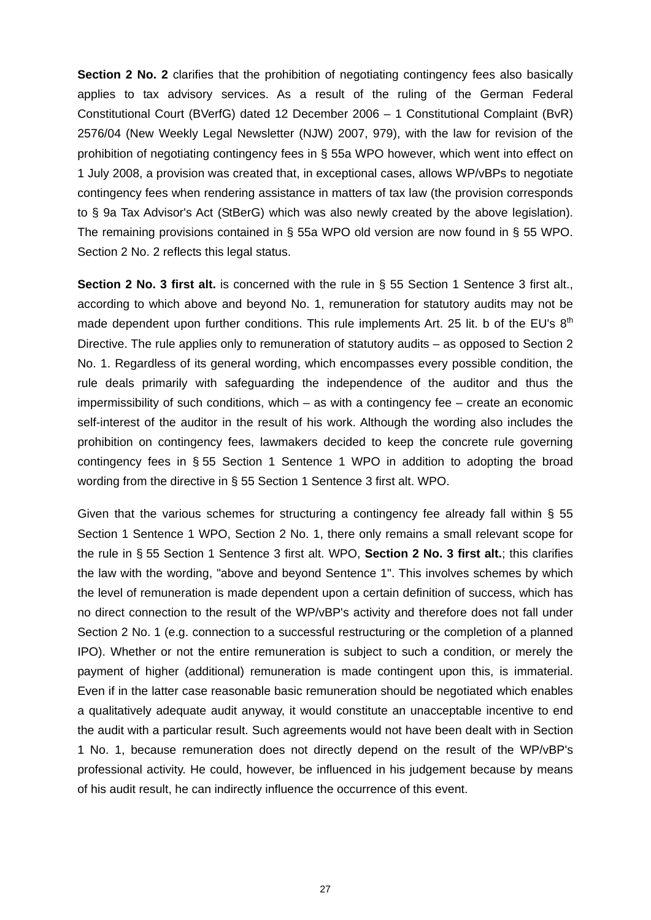**Section 2 No. 2** clarifies that the prohibition of negotiating contingency fees also basically applies to tax advisory services. As a result of the ruling of the German Federal Constitutional Court (BVerfG) dated 12 December 2006 – 1 Constitutional Complaint (BvR) 2576/04 (New Weekly Legal Newsletter (NJW) 2007, 979), with the law for revision of the prohibition of negotiating contingency fees in § 55a WPO however, which went into effect on 1 July 2008, a provision was created that, in exceptional cases, allows WP/vBPs to negotiate contingency fees when rendering assistance in matters of tax law (the provision corresponds to § 9a Tax Advisor's Act (StBerG) which was also newly created by the above legislation). The remaining provisions contained in § 55a WPO old version are now found in § 55 WPO. Section 2 No. 2 reflects this legal status.

**Section 2 No. 3 first alt.** is concerned with the rule in § 55 Section 1 Sentence 3 first alt., according to which above and beyond No. 1, remuneration for statutory audits may not be made dependent upon further conditions. This rule implements Art. 25 lit. b of the EU's  $8<sup>th</sup>$ Directive. The rule applies only to remuneration of statutory audits – as opposed to Section 2 No. 1. Regardless of its general wording, which encompasses every possible condition, the rule deals primarily with safeguarding the independence of the auditor and thus the impermissibility of such conditions, which – as with a contingency fee – create an economic self-interest of the auditor in the result of his work. Although the wording also includes the prohibition on contingency fees, lawmakers decided to keep the concrete rule governing contingency fees in § 55 Section 1 Sentence 1 WPO in addition to adopting the broad wording from the directive in § 55 Section 1 Sentence 3 first alt. WPO.

Given that the various schemes for structuring a contingency fee already fall within § 55 Section 1 Sentence 1 WPO, Section 2 No. 1, there only remains a small relevant scope for the rule in § 55 Section 1 Sentence 3 first alt. WPO, **Section 2 No. 3 first alt.**; this clarifies the law with the wording, "above and beyond Sentence 1". This involves schemes by which the level of remuneration is made dependent upon a certain definition of success, which has no direct connection to the result of the WP/vBP's activity and therefore does not fall under Section 2 No. 1 (e.g. connection to a successful restructuring or the completion of a planned IPO). Whether or not the entire remuneration is subject to such a condition, or merely the payment of higher (additional) remuneration is made contingent upon this, is immaterial. Even if in the latter case reasonable basic remuneration should be negotiated which enables a qualitatively adequate audit anyway, it would constitute an unacceptable incentive to end the audit with a particular result. Such agreements would not have been dealt with in Section 1 No. 1, because remuneration does not directly depend on the result of the WP/vBP's professional activity. He could, however, be influenced in his judgement because by means of his audit result, he can indirectly influence the occurrence of this event.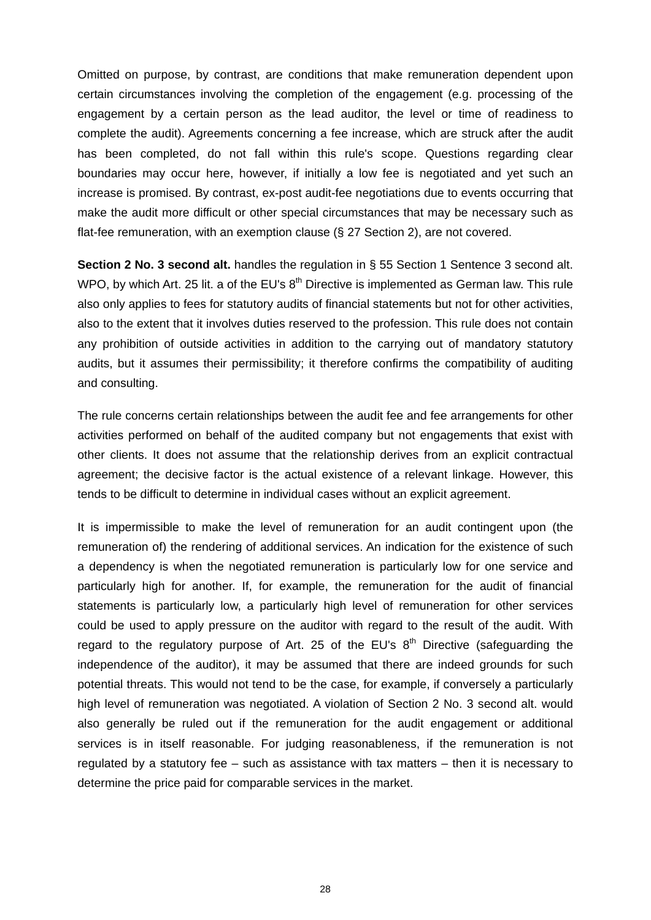Omitted on purpose, by contrast, are conditions that make remuneration dependent upon certain circumstances involving the completion of the engagement (e.g. processing of the engagement by a certain person as the lead auditor, the level or time of readiness to complete the audit). Agreements concerning a fee increase, which are struck after the audit has been completed, do not fall within this rule's scope. Questions regarding clear boundaries may occur here, however, if initially a low fee is negotiated and yet such an increase is promised. By contrast, ex-post audit-fee negotiations due to events occurring that make the audit more difficult or other special circumstances that may be necessary such as flat-fee remuneration, with an exemption clause (§ 27 Section 2), are not covered.

**Section 2 No. 3 second alt.** handles the regulation in § 55 Section 1 Sentence 3 second alt. WPO, by which Art. 25 lit. a of the EU's  $8<sup>th</sup>$  Directive is implemented as German law. This rule also only applies to fees for statutory audits of financial statements but not for other activities, also to the extent that it involves duties reserved to the profession. This rule does not contain any prohibition of outside activities in addition to the carrying out of mandatory statutory audits, but it assumes their permissibility; it therefore confirms the compatibility of auditing and consulting.

The rule concerns certain relationships between the audit fee and fee arrangements for other activities performed on behalf of the audited company but not engagements that exist with other clients. It does not assume that the relationship derives from an explicit contractual agreement; the decisive factor is the actual existence of a relevant linkage. However, this tends to be difficult to determine in individual cases without an explicit agreement.

It is impermissible to make the level of remuneration for an audit contingent upon (the remuneration of) the rendering of additional services. An indication for the existence of such a dependency is when the negotiated remuneration is particularly low for one service and particularly high for another. If, for example, the remuneration for the audit of financial statements is particularly low, a particularly high level of remuneration for other services could be used to apply pressure on the auditor with regard to the result of the audit. With regard to the regulatory purpose of Art. 25 of the EU's  $8<sup>th</sup>$  Directive (safeguarding the independence of the auditor), it may be assumed that there are indeed grounds for such potential threats. This would not tend to be the case, for example, if conversely a particularly high level of remuneration was negotiated. A violation of Section 2 No. 3 second alt. would also generally be ruled out if the remuneration for the audit engagement or additional services is in itself reasonable. For judging reasonableness, if the remuneration is not regulated by a statutory fee – such as assistance with tax matters – then it is necessary to determine the price paid for comparable services in the market.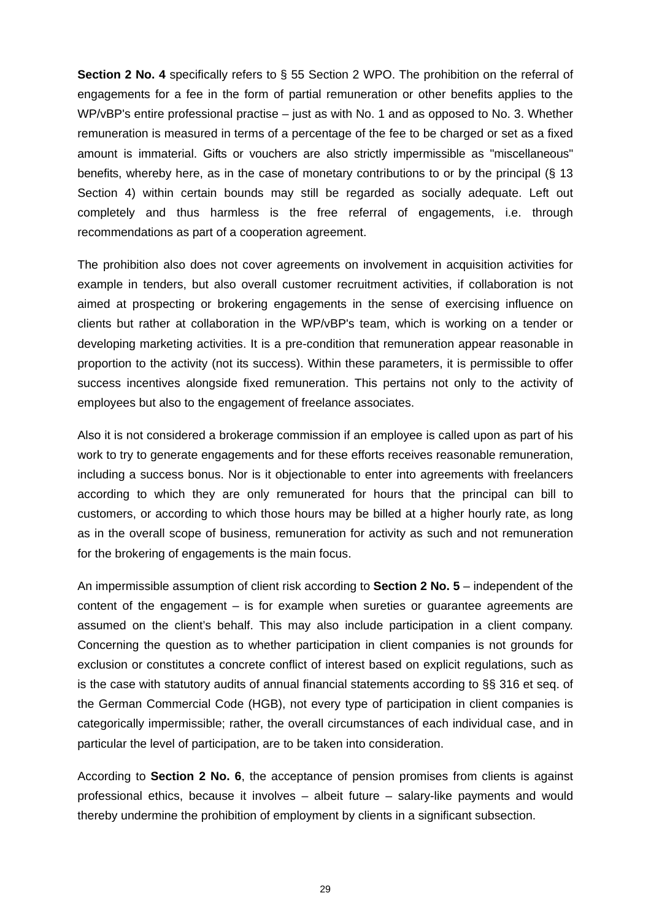**Section 2 No. 4** specifically refers to § 55 Section 2 WPO. The prohibition on the referral of engagements for a fee in the form of partial remuneration or other benefits applies to the WP/vBP's entire professional practise – just as with No. 1 and as opposed to No. 3. Whether remuneration is measured in terms of a percentage of the fee to be charged or set as a fixed amount is immaterial. Gifts or vouchers are also strictly impermissible as "miscellaneous" benefits, whereby here, as in the case of monetary contributions to or by the principal (§ 13 Section 4) within certain bounds may still be regarded as socially adequate. Left out completely and thus harmless is the free referral of engagements, i.e. through recommendations as part of a cooperation agreement.

The prohibition also does not cover agreements on involvement in acquisition activities for example in tenders, but also overall customer recruitment activities, if collaboration is not aimed at prospecting or brokering engagements in the sense of exercising influence on clients but rather at collaboration in the WP/vBP's team, which is working on a tender or developing marketing activities. It is a pre-condition that remuneration appear reasonable in proportion to the activity (not its success). Within these parameters, it is permissible to offer success incentives alongside fixed remuneration. This pertains not only to the activity of employees but also to the engagement of freelance associates.

Also it is not considered a brokerage commission if an employee is called upon as part of his work to try to generate engagements and for these efforts receives reasonable remuneration, including a success bonus. Nor is it objectionable to enter into agreements with freelancers according to which they are only remunerated for hours that the principal can bill to customers, or according to which those hours may be billed at a higher hourly rate, as long as in the overall scope of business, remuneration for activity as such and not remuneration for the brokering of engagements is the main focus.

An impermissible assumption of client risk according to **Section 2 No. 5** – independent of the content of the engagement  $-$  is for example when sureties or guarantee agreements are assumed on the client's behalf. This may also include participation in a client company. Concerning the question as to whether participation in client companies is not grounds for exclusion or constitutes a concrete conflict of interest based on explicit regulations, such as is the case with statutory audits of annual financial statements according to §§ 316 et seq. of the German Commercial Code (HGB), not every type of participation in client companies is categorically impermissible; rather, the overall circumstances of each individual case, and in particular the level of participation, are to be taken into consideration.

According to **Section 2 No. 6**, the acceptance of pension promises from clients is against professional ethics, because it involves – albeit future – salary-like payments and would thereby undermine the prohibition of employment by clients in a significant subsection.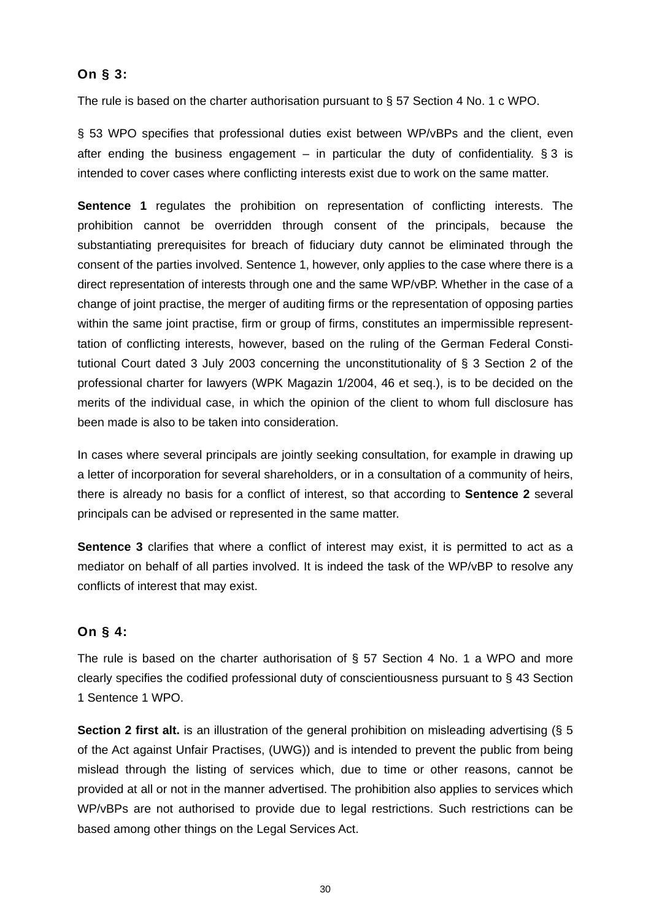### **On § 3:**

The rule is based on the charter authorisation pursuant to § 57 Section 4 No. 1 c WPO.

§ 53 WPO specifies that professional duties exist between WP/vBPs and the client, even after ending the business engagement – in particular the duty of confidentiality.  $\S 3$  is intended to cover cases where conflicting interests exist due to work on the same matter.

**Sentence 1** regulates the prohibition on representation of conflicting interests. The prohibition cannot be overridden through consent of the principals, because the substantiating prerequisites for breach of fiduciary duty cannot be eliminated through the consent of the parties involved. Sentence 1, however, only applies to the case where there is a direct representation of interests through one and the same WP/vBP. Whether in the case of a change of joint practise, the merger of auditing firms or the representation of opposing parties within the same joint practise, firm or group of firms, constitutes an impermissible representtation of conflicting interests, however, based on the ruling of the German Federal Constitutional Court dated 3 July 2003 concerning the unconstitutionality of § 3 Section 2 of the professional charter for lawyers (WPK Magazin 1/2004, 46 et seq.), is to be decided on the merits of the individual case, in which the opinion of the client to whom full disclosure has been made is also to be taken into consideration.

In cases where several principals are jointly seeking consultation, for example in drawing up a letter of incorporation for several shareholders, or in a consultation of a community of heirs, there is already no basis for a conflict of interest, so that according to **Sentence 2** several principals can be advised or represented in the same matter.

**Sentence 3** clarifies that where a conflict of interest may exist, it is permitted to act as a mediator on behalf of all parties involved. It is indeed the task of the WP/vBP to resolve any conflicts of interest that may exist.

### **On § 4:**

The rule is based on the charter authorisation of § 57 Section 4 No. 1 a WPO and more clearly specifies the codified professional duty of conscientiousness pursuant to § 43 Section 1 Sentence 1 WPO.

**Section 2 first alt.** is an illustration of the general prohibition on misleading advertising (§ 5 of the Act against Unfair Practises, (UWG)) and is intended to prevent the public from being mislead through the listing of services which, due to time or other reasons, cannot be provided at all or not in the manner advertised. The prohibition also applies to services which WP/vBPs are not authorised to provide due to legal restrictions. Such restrictions can be based among other things on the Legal Services Act.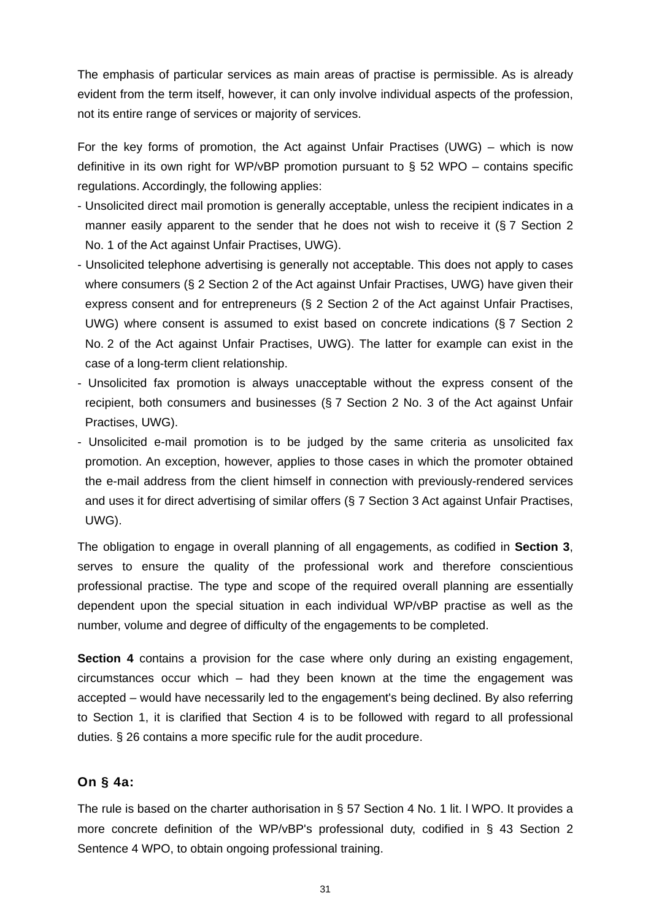The emphasis of particular services as main areas of practise is permissible. As is already evident from the term itself, however, it can only involve individual aspects of the profession, not its entire range of services or majority of services.

For the key forms of promotion, the Act against Unfair Practises (UWG) – which is now definitive in its own right for WP/vBP promotion pursuant to  $\S$  52 WPO – contains specific regulations. Accordingly, the following applies:

- Unsolicited direct mail promotion is generally acceptable, unless the recipient indicates in a manner easily apparent to the sender that he does not wish to receive it (§ 7 Section 2 No. 1 of the Act against Unfair Practises, UWG).
- Unsolicited telephone advertising is generally not acceptable. This does not apply to cases where consumers (§ 2 Section 2 of the Act against Unfair Practises, UWG) have given their express consent and for entrepreneurs (§ 2 Section 2 of the Act against Unfair Practises, UWG) where consent is assumed to exist based on concrete indications (§ 7 Section 2 No. 2 of the Act against Unfair Practises, UWG). The latter for example can exist in the case of a long-term client relationship.
- Unsolicited fax promotion is always unacceptable without the express consent of the recipient, both consumers and businesses (§ 7 Section 2 No. 3 of the Act against Unfair Practises, UWG).
- Unsolicited e-mail promotion is to be judged by the same criteria as unsolicited fax promotion. An exception, however, applies to those cases in which the promoter obtained the e-mail address from the client himself in connection with previously-rendered services and uses it for direct advertising of similar offers (§ 7 Section 3 Act against Unfair Practises, UWG).

The obligation to engage in overall planning of all engagements, as codified in **Section 3**, serves to ensure the quality of the professional work and therefore conscientious professional practise. The type and scope of the required overall planning are essentially dependent upon the special situation in each individual WP/vBP practise as well as the number, volume and degree of difficulty of the engagements to be completed.

**Section 4** contains a provision for the case where only during an existing engagement, circumstances occur which – had they been known at the time the engagement was accepted – would have necessarily led to the engagement's being declined. By also referring to Section 1, it is clarified that Section 4 is to be followed with regard to all professional duties. § 26 contains a more specific rule for the audit procedure.

#### **On § 4a:**

The rule is based on the charter authorisation in § 57 Section 4 No. 1 lit. l WPO. It provides a more concrete definition of the WP/vBP's professional duty, codified in § 43 Section 2 Sentence 4 WPO, to obtain ongoing professional training.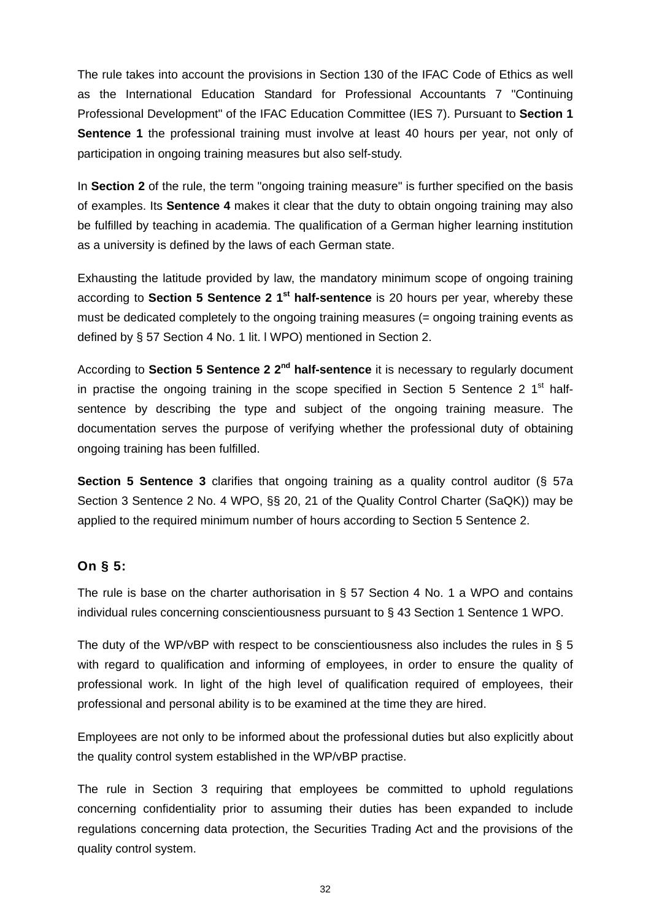The rule takes into account the provisions in Section 130 of the IFAC Code of Ethics as well as the International Education Standard for Professional Accountants 7 "Continuing Professional Development" of the IFAC Education Committee (IES 7). Pursuant to **Section 1 Sentence 1** the professional training must involve at least 40 hours per year, not only of participation in ongoing training measures but also self-study.

In **Section 2** of the rule, the term "ongoing training measure" is further specified on the basis of examples. Its **Sentence 4** makes it clear that the duty to obtain ongoing training may also be fulfilled by teaching in academia. The qualification of a German higher learning institution as a university is defined by the laws of each German state.

Exhausting the latitude provided by law, the mandatory minimum scope of ongoing training according to **Section 5 Sentence 2 1st half-sentence** is 20 hours per year, whereby these must be dedicated completely to the ongoing training measures (= ongoing training events as defined by § 57 Section 4 No. 1 lit. l WPO) mentioned in Section 2.

According to **Section 5 Sentence 2 2nd half-sentence** it is necessary to regularly document in practise the ongoing training in the scope specified in Section 5 Sentence 2  $1<sup>st</sup>$  halfsentence by describing the type and subject of the ongoing training measure. The documentation serves the purpose of verifying whether the professional duty of obtaining ongoing training has been fulfilled.

**Section 5 Sentence 3** clarifies that ongoing training as a quality control auditor (§ 57a Section 3 Sentence 2 No. 4 WPO, §§ 20, 21 of the Quality Control Charter (SaQK)) may be applied to the required minimum number of hours according to Section 5 Sentence 2.

### **On § 5:**

The rule is base on the charter authorisation in § 57 Section 4 No. 1 a WPO and contains individual rules concerning conscientiousness pursuant to § 43 Section 1 Sentence 1 WPO.

The duty of the WP/vBP with respect to be conscientiousness also includes the rules in § 5 with regard to qualification and informing of employees, in order to ensure the quality of professional work. In light of the high level of qualification required of employees, their professional and personal ability is to be examined at the time they are hired.

Employees are not only to be informed about the professional duties but also explicitly about the quality control system established in the WP/vBP practise.

The rule in Section 3 requiring that employees be committed to uphold regulations concerning confidentiality prior to assuming their duties has been expanded to include regulations concerning data protection, the Securities Trading Act and the provisions of the quality control system.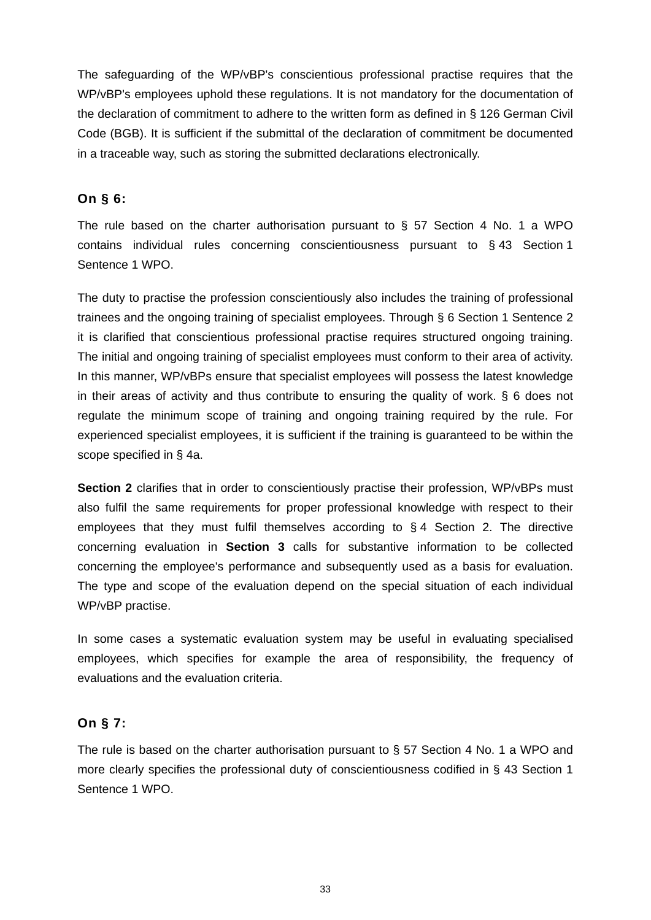The safeguarding of the WP/vBP's conscientious professional practise requires that the WP/vBP's employees uphold these regulations. It is not mandatory for the documentation of the declaration of commitment to adhere to the written form as defined in § 126 German Civil Code (BGB). It is sufficient if the submittal of the declaration of commitment be documented in a traceable way, such as storing the submitted declarations electronically.

### **On § 6:**

The rule based on the charter authorisation pursuant to § 57 Section 4 No. 1 a WPO contains individual rules concerning conscientiousness pursuant to § 43 Section 1 Sentence 1 WPO.

The duty to practise the profession conscientiously also includes the training of professional trainees and the ongoing training of specialist employees. Through § 6 Section 1 Sentence 2 it is clarified that conscientious professional practise requires structured ongoing training. The initial and ongoing training of specialist employees must conform to their area of activity. In this manner, WP/vBPs ensure that specialist employees will possess the latest knowledge in their areas of activity and thus contribute to ensuring the quality of work. § 6 does not regulate the minimum scope of training and ongoing training required by the rule. For experienced specialist employees, it is sufficient if the training is guaranteed to be within the scope specified in § 4a.

**Section 2** clarifies that in order to conscientiously practise their profession, WP/vBPs must also fulfil the same requirements for proper professional knowledge with respect to their employees that they must fulfil themselves according to § 4 Section 2. The directive concerning evaluation in **Section 3** calls for substantive information to be collected concerning the employee's performance and subsequently used as a basis for evaluation. The type and scope of the evaluation depend on the special situation of each individual WP/vBP practise.

In some cases a systematic evaluation system may be useful in evaluating specialised employees, which specifies for example the area of responsibility, the frequency of evaluations and the evaluation criteria.

### **On § 7:**

The rule is based on the charter authorisation pursuant to § 57 Section 4 No. 1 a WPO and more clearly specifies the professional duty of conscientiousness codified in § 43 Section 1 Sentence 1 WPO.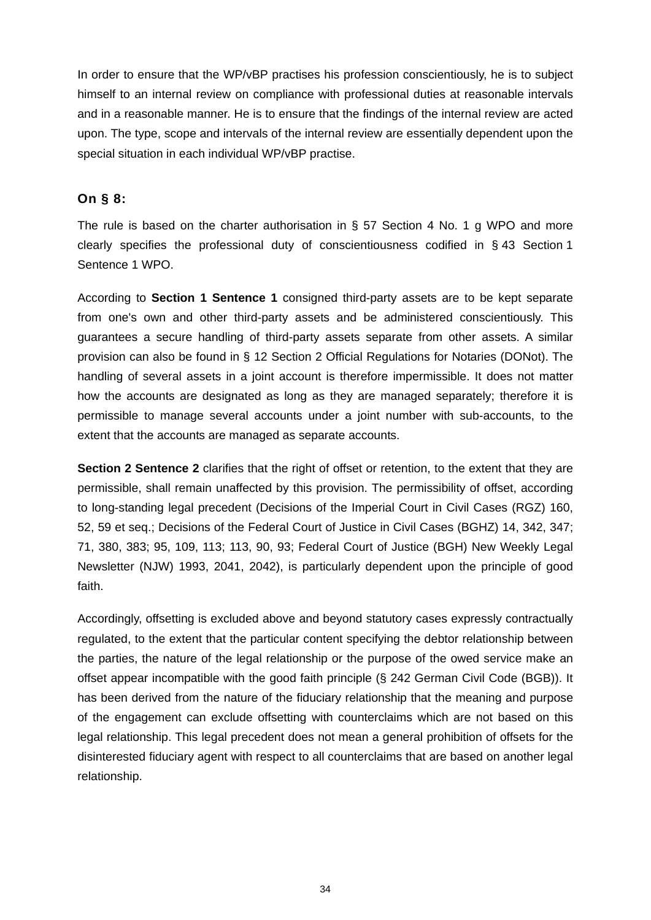In order to ensure that the WP/vBP practises his profession conscientiously, he is to subject himself to an internal review on compliance with professional duties at reasonable intervals and in a reasonable manner. He is to ensure that the findings of the internal review are acted upon. The type, scope and intervals of the internal review are essentially dependent upon the special situation in each individual WP/vBP practise.

### **On § 8:**

The rule is based on the charter authorisation in § 57 Section 4 No. 1 g WPO and more clearly specifies the professional duty of conscientiousness codified in § 43 Section 1 Sentence 1 WPO.

According to **Section 1 Sentence 1** consigned third-party assets are to be kept separate from one's own and other third-party assets and be administered conscientiously. This guarantees a secure handling of third-party assets separate from other assets. A similar provision can also be found in § 12 Section 2 Official Regulations for Notaries (DONot). The handling of several assets in a joint account is therefore impermissible. It does not matter how the accounts are designated as long as they are managed separately; therefore it is permissible to manage several accounts under a joint number with sub-accounts, to the extent that the accounts are managed as separate accounts.

**Section 2 Sentence 2** clarifies that the right of offset or retention, to the extent that they are permissible, shall remain unaffected by this provision. The permissibility of offset, according to long-standing legal precedent (Decisions of the Imperial Court in Civil Cases (RGZ) 160, 52, 59 et seq.; Decisions of the Federal Court of Justice in Civil Cases (BGHZ) 14, 342, 347; 71, 380, 383; 95, 109, 113; 113, 90, 93; Federal Court of Justice (BGH) New Weekly Legal Newsletter (NJW) 1993, 2041, 2042), is particularly dependent upon the principle of good faith.

Accordingly, offsetting is excluded above and beyond statutory cases expressly contractually regulated, to the extent that the particular content specifying the debtor relationship between the parties, the nature of the legal relationship or the purpose of the owed service make an offset appear incompatible with the good faith principle (§ 242 German Civil Code (BGB)). It has been derived from the nature of the fiduciary relationship that the meaning and purpose of the engagement can exclude offsetting with counterclaims which are not based on this legal relationship. This legal precedent does not mean a general prohibition of offsets for the disinterested fiduciary agent with respect to all counterclaims that are based on another legal relationship.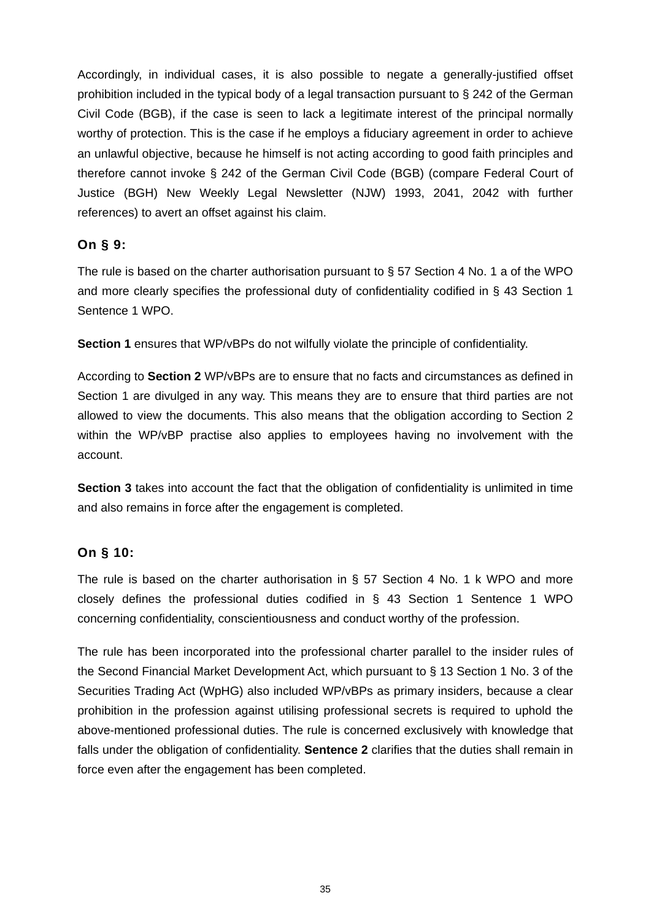Accordingly, in individual cases, it is also possible to negate a generally-justified offset prohibition included in the typical body of a legal transaction pursuant to § 242 of the German Civil Code (BGB), if the case is seen to lack a legitimate interest of the principal normally worthy of protection. This is the case if he employs a fiduciary agreement in order to achieve an unlawful objective, because he himself is not acting according to good faith principles and therefore cannot invoke § 242 of the German Civil Code (BGB) (compare Federal Court of Justice (BGH) New Weekly Legal Newsletter (NJW) 1993, 2041, 2042 with further references) to avert an offset against his claim.

### **On § 9:**

The rule is based on the charter authorisation pursuant to § 57 Section 4 No. 1 a of the WPO and more clearly specifies the professional duty of confidentiality codified in § 43 Section 1 Sentence 1 WPO.

**Section 1** ensures that WP/vBPs do not wilfully violate the principle of confidentiality.

According to **Section 2** WP/vBPs are to ensure that no facts and circumstances as defined in Section 1 are divulged in any way. This means they are to ensure that third parties are not allowed to view the documents. This also means that the obligation according to Section 2 within the WP/vBP practise also applies to employees having no involvement with the account.

**Section 3** takes into account the fact that the obligation of confidentiality is unlimited in time and also remains in force after the engagement is completed.

### **On § 10:**

The rule is based on the charter authorisation in § 57 Section 4 No. 1 k WPO and more closely defines the professional duties codified in § 43 Section 1 Sentence 1 WPO concerning confidentiality, conscientiousness and conduct worthy of the profession.

The rule has been incorporated into the professional charter parallel to the insider rules of the Second Financial Market Development Act, which pursuant to § 13 Section 1 No. 3 of the Securities Trading Act (WpHG) also included WP/vBPs as primary insiders, because a clear prohibition in the profession against utilising professional secrets is required to uphold the above-mentioned professional duties. The rule is concerned exclusively with knowledge that falls under the obligation of confidentiality. **Sentence 2** clarifies that the duties shall remain in force even after the engagement has been completed.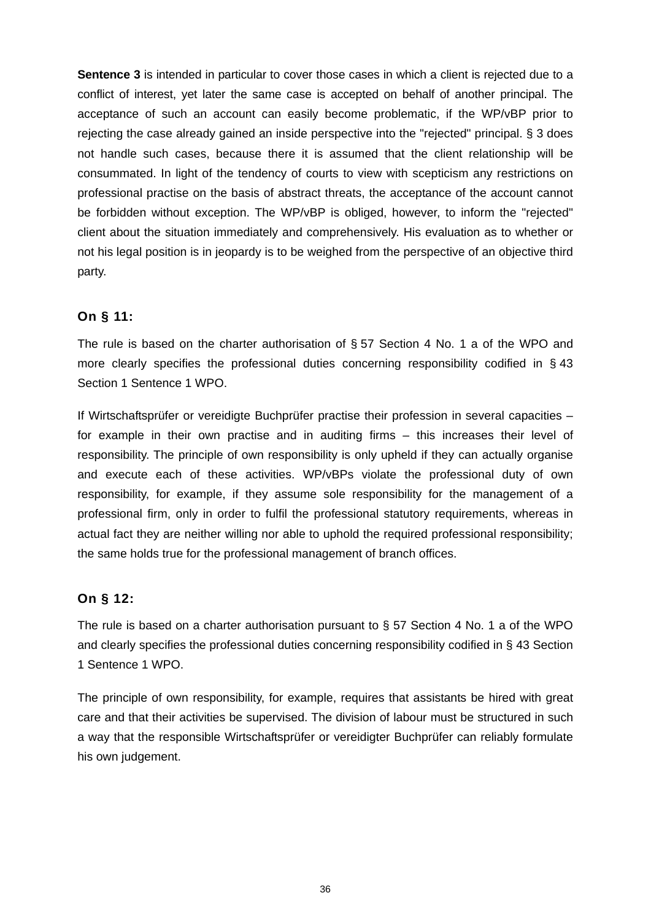**Sentence 3** is intended in particular to cover those cases in which a client is rejected due to a conflict of interest, yet later the same case is accepted on behalf of another principal. The acceptance of such an account can easily become problematic, if the WP/vBP prior to rejecting the case already gained an inside perspective into the "rejected" principal. § 3 does not handle such cases, because there it is assumed that the client relationship will be consummated. In light of the tendency of courts to view with scepticism any restrictions on professional practise on the basis of abstract threats, the acceptance of the account cannot be forbidden without exception. The WP/vBP is obliged, however, to inform the "rejected" client about the situation immediately and comprehensively. His evaluation as to whether or not his legal position is in jeopardy is to be weighed from the perspective of an objective third party.

### **On § 11:**

The rule is based on the charter authorisation of § 57 Section 4 No. 1 a of the WPO and more clearly specifies the professional duties concerning responsibility codified in § 43 Section 1 Sentence 1 WPO.

If Wirtschaftsprüfer or vereidigte Buchprüfer practise their profession in several capacities – for example in their own practise and in auditing firms – this increases their level of responsibility. The principle of own responsibility is only upheld if they can actually organise and execute each of these activities. WP/vBPs violate the professional duty of own responsibility, for example, if they assume sole responsibility for the management of a professional firm, only in order to fulfil the professional statutory requirements, whereas in actual fact they are neither willing nor able to uphold the required professional responsibility; the same holds true for the professional management of branch offices.

### **On § 12:**

The rule is based on a charter authorisation pursuant to  $\S$  57 Section 4 No. 1 a of the WPO and clearly specifies the professional duties concerning responsibility codified in § 43 Section 1 Sentence 1 WPO.

The principle of own responsibility, for example, requires that assistants be hired with great care and that their activities be supervised. The division of labour must be structured in such a way that the responsible Wirtschaftsprüfer or vereidigter Buchprüfer can reliably formulate his own judgement.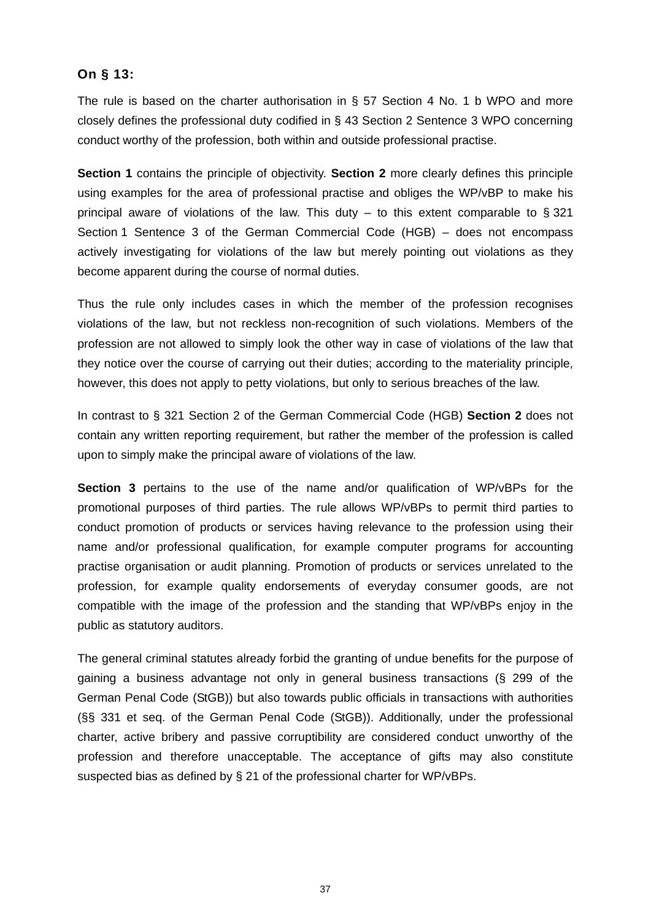## **On § 13:**

The rule is based on the charter authorisation in § 57 Section 4 No. 1 b WPO and more closely defines the professional duty codified in § 43 Section 2 Sentence 3 WPO concerning conduct worthy of the profession, both within and outside professional practise.

**Section 1** contains the principle of objectivity. **Section 2** more clearly defines this principle using examples for the area of professional practise and obliges the WP/vBP to make his principal aware of violations of the law. This duty  $-$  to this extent comparable to § 321 Section 1 Sentence 3 of the German Commercial Code (HGB) – does not encompass actively investigating for violations of the law but merely pointing out violations as they become apparent during the course of normal duties.

Thus the rule only includes cases in which the member of the profession recognises violations of the law, but not reckless non-recognition of such violations. Members of the profession are not allowed to simply look the other way in case of violations of the law that they notice over the course of carrying out their duties; according to the materiality principle, however, this does not apply to petty violations, but only to serious breaches of the law.

In contrast to § 321 Section 2 of the German Commercial Code (HGB) **Section 2** does not contain any written reporting requirement, but rather the member of the profession is called upon to simply make the principal aware of violations of the law.

**Section 3** pertains to the use of the name and/or qualification of WP/vBPs for the promotional purposes of third parties. The rule allows WP/vBPs to permit third parties to conduct promotion of products or services having relevance to the profession using their name and/or professional qualification, for example computer programs for accounting practise organisation or audit planning. Promotion of products or services unrelated to the profession, for example quality endorsements of everyday consumer goods, are not compatible with the image of the profession and the standing that WP/vBPs enjoy in the public as statutory auditors.

The general criminal statutes already forbid the granting of undue benefits for the purpose of gaining a business advantage not only in general business transactions (§ 299 of the German Penal Code (StGB)) but also towards public officials in transactions with authorities (§§ 331 et seq. of the German Penal Code (StGB)). Additionally, under the professional charter, active bribery and passive corruptibility are considered conduct unworthy of the profession and therefore unacceptable. The acceptance of gifts may also constitute suspected bias as defined by § 21 of the professional charter for WP/vBPs.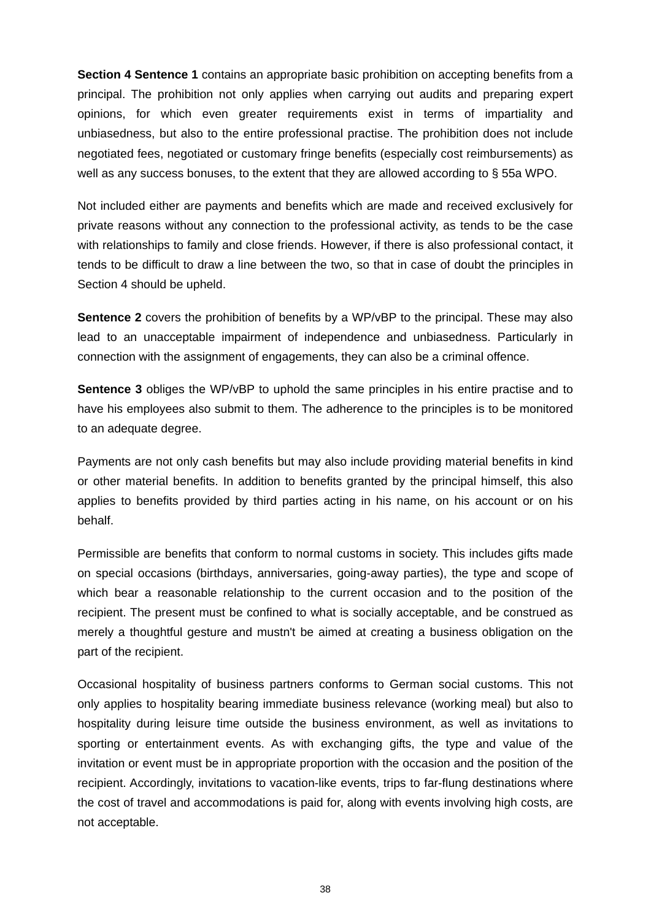**Section 4 Sentence 1** contains an appropriate basic prohibition on accepting benefits from a principal. The prohibition not only applies when carrying out audits and preparing expert opinions, for which even greater requirements exist in terms of impartiality and unbiasedness, but also to the entire professional practise. The prohibition does not include negotiated fees, negotiated or customary fringe benefits (especially cost reimbursements) as well as any success bonuses, to the extent that they are allowed according to § 55a WPO.

Not included either are payments and benefits which are made and received exclusively for private reasons without any connection to the professional activity, as tends to be the case with relationships to family and close friends. However, if there is also professional contact, it tends to be difficult to draw a line between the two, so that in case of doubt the principles in Section 4 should be upheld.

**Sentence 2** covers the prohibition of benefits by a WP/vBP to the principal. These may also lead to an unacceptable impairment of independence and unbiasedness. Particularly in connection with the assignment of engagements, they can also be a criminal offence.

**Sentence 3** obliges the WP/vBP to uphold the same principles in his entire practise and to have his employees also submit to them. The adherence to the principles is to be monitored to an adequate degree.

Payments are not only cash benefits but may also include providing material benefits in kind or other material benefits. In addition to benefits granted by the principal himself, this also applies to benefits provided by third parties acting in his name, on his account or on his behalf.

Permissible are benefits that conform to normal customs in society. This includes gifts made on special occasions (birthdays, anniversaries, going-away parties), the type and scope of which bear a reasonable relationship to the current occasion and to the position of the recipient. The present must be confined to what is socially acceptable, and be construed as merely a thoughtful gesture and mustn't be aimed at creating a business obligation on the part of the recipient.

Occasional hospitality of business partners conforms to German social customs. This not only applies to hospitality bearing immediate business relevance (working meal) but also to hospitality during leisure time outside the business environment, as well as invitations to sporting or entertainment events. As with exchanging gifts, the type and value of the invitation or event must be in appropriate proportion with the occasion and the position of the recipient. Accordingly, invitations to vacation-like events, trips to far-flung destinations where the cost of travel and accommodations is paid for, along with events involving high costs, are not acceptable.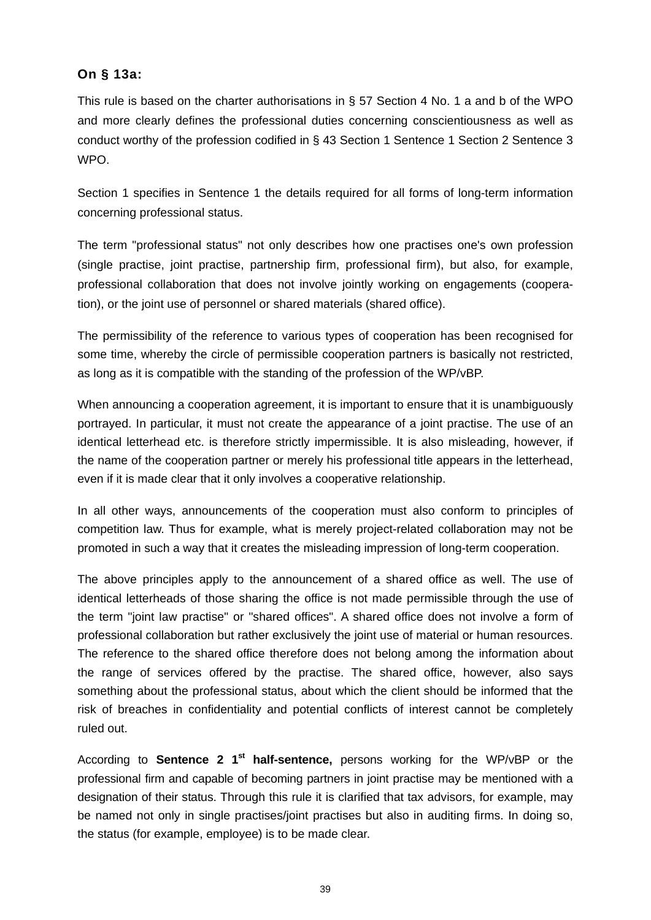# **On § 13a:**

This rule is based on the charter authorisations in § 57 Section 4 No. 1 a and b of the WPO and more clearly defines the professional duties concerning conscientiousness as well as conduct worthy of the profession codified in § 43 Section 1 Sentence 1 Section 2 Sentence 3 WPO.

Section 1 specifies in Sentence 1 the details required for all forms of long-term information concerning professional status.

The term "professional status" not only describes how one practises one's own profession (single practise, joint practise, partnership firm, professional firm), but also, for example, professional collaboration that does not involve jointly working on engagements (cooperation), or the joint use of personnel or shared materials (shared office).

The permissibility of the reference to various types of cooperation has been recognised for some time, whereby the circle of permissible cooperation partners is basically not restricted, as long as it is compatible with the standing of the profession of the WP/vBP.

When announcing a cooperation agreement, it is important to ensure that it is unambiguously portrayed. In particular, it must not create the appearance of a joint practise. The use of an identical letterhead etc. is therefore strictly impermissible. It is also misleading, however, if the name of the cooperation partner or merely his professional title appears in the letterhead, even if it is made clear that it only involves a cooperative relationship.

In all other ways, announcements of the cooperation must also conform to principles of competition law. Thus for example, what is merely project-related collaboration may not be promoted in such a way that it creates the misleading impression of long-term cooperation.

The above principles apply to the announcement of a shared office as well. The use of identical letterheads of those sharing the office is not made permissible through the use of the term "joint law practise" or "shared offices". A shared office does not involve a form of professional collaboration but rather exclusively the joint use of material or human resources. The reference to the shared office therefore does not belong among the information about the range of services offered by the practise. The shared office, however, also says something about the professional status, about which the client should be informed that the risk of breaches in confidentiality and potential conflicts of interest cannot be completely ruled out.

According to **Sentence 2 1st half-sentence,** persons working for the WP/vBP or the professional firm and capable of becoming partners in joint practise may be mentioned with a designation of their status. Through this rule it is clarified that tax advisors, for example, may be named not only in single practises/joint practises but also in auditing firms. In doing so, the status (for example, employee) is to be made clear.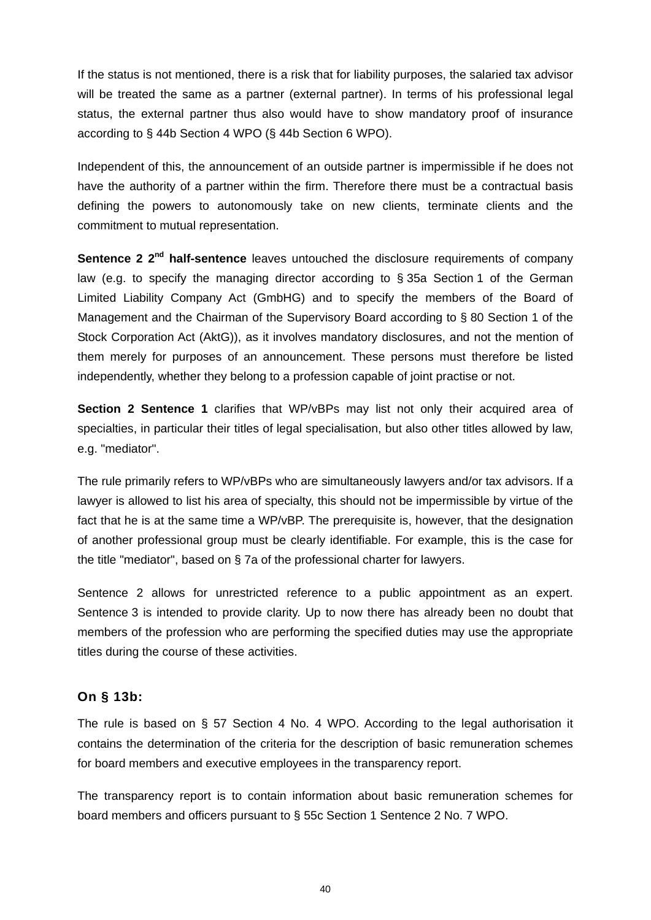If the status is not mentioned, there is a risk that for liability purposes, the salaried tax advisor will be treated the same as a partner (external partner). In terms of his professional legal status, the external partner thus also would have to show mandatory proof of insurance according to § 44b Section 4 WPO (§ 44b Section 6 WPO).

Independent of this, the announcement of an outside partner is impermissible if he does not have the authority of a partner within the firm. Therefore there must be a contractual basis defining the powers to autonomously take on new clients, terminate clients and the commitment to mutual representation.

**Sentence 2 2<sup>nd</sup> half-sentence** leaves untouched the disclosure requirements of company law (e.g. to specify the managing director according to § 35a Section 1 of the German Limited Liability Company Act (GmbHG) and to specify the members of the Board of Management and the Chairman of the Supervisory Board according to § 80 Section 1 of the Stock Corporation Act (AktG)), as it involves mandatory disclosures, and not the mention of them merely for purposes of an announcement. These persons must therefore be listed independently, whether they belong to a profession capable of joint practise or not.

**Section 2 Sentence 1** clarifies that WP/vBPs may list not only their acquired area of specialties, in particular their titles of legal specialisation, but also other titles allowed by law, e.g. "mediator".

The rule primarily refers to WP/vBPs who are simultaneously lawyers and/or tax advisors. If a lawyer is allowed to list his area of specialty, this should not be impermissible by virtue of the fact that he is at the same time a WP/vBP. The prerequisite is, however, that the designation of another professional group must be clearly identifiable. For example, this is the case for the title "mediator", based on § 7a of the professional charter for lawyers.

Sentence 2 allows for unrestricted reference to a public appointment as an expert. Sentence 3 is intended to provide clarity. Up to now there has already been no doubt that members of the profession who are performing the specified duties may use the appropriate titles during the course of these activities.

## **On § 13b:**

The rule is based on § 57 Section 4 No. 4 WPO. According to the legal authorisation it contains the determination of the criteria for the description of basic remuneration schemes for board members and executive employees in the transparency report.

The transparency report is to contain information about basic remuneration schemes for board members and officers pursuant to § 55c Section 1 Sentence 2 No. 7 WPO.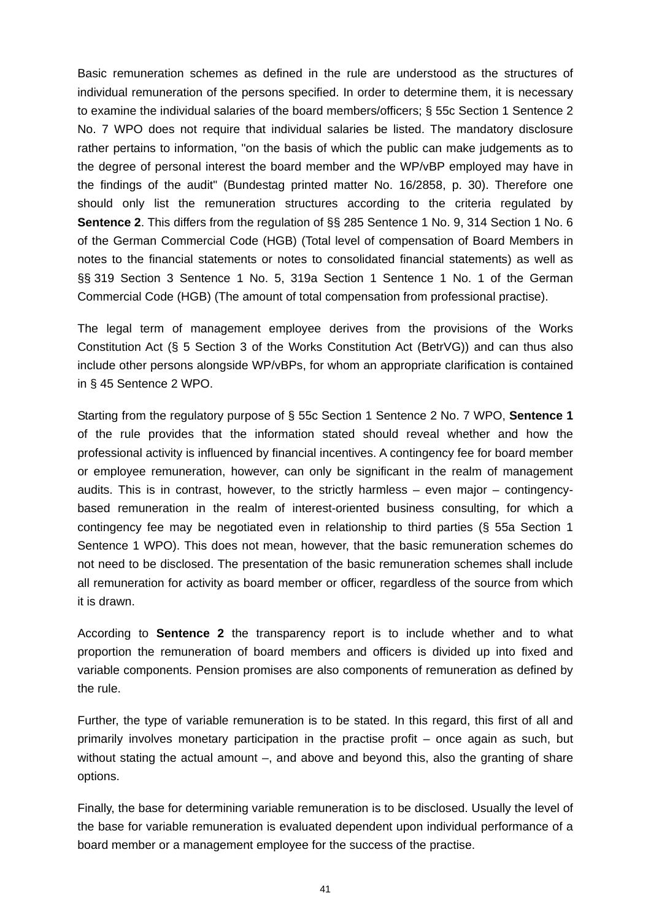Basic remuneration schemes as defined in the rule are understood as the structures of individual remuneration of the persons specified. In order to determine them, it is necessary to examine the individual salaries of the board members/officers; § 55c Section 1 Sentence 2 No. 7 WPO does not require that individual salaries be listed. The mandatory disclosure rather pertains to information, "on the basis of which the public can make judgements as to the degree of personal interest the board member and the WP/vBP employed may have in the findings of the audit" (Bundestag printed matter No. 16/2858, p. 30). Therefore one should only list the remuneration structures according to the criteria regulated by **Sentence 2**. This differs from the regulation of §§ 285 Sentence 1 No. 9, 314 Section 1 No. 6 of the German Commercial Code (HGB) (Total level of compensation of Board Members in notes to the financial statements or notes to consolidated financial statements) as well as §§ 319 Section 3 Sentence 1 No. 5, 319a Section 1 Sentence 1 No. 1 of the German Commercial Code (HGB) (The amount of total compensation from professional practise).

The legal term of management employee derives from the provisions of the Works Constitution Act (§ 5 Section 3 of the Works Constitution Act (BetrVG)) and can thus also include other persons alongside WP/vBPs, for whom an appropriate clarification is contained in § 45 Sentence 2 WPO.

Starting from the regulatory purpose of § 55c Section 1 Sentence 2 No. 7 WPO, **Sentence 1**  of the rule provides that the information stated should reveal whether and how the professional activity is influenced by financial incentives. A contingency fee for board member or employee remuneration, however, can only be significant in the realm of management audits. This is in contrast, however, to the strictly harmless – even major – contingencybased remuneration in the realm of interest-oriented business consulting, for which a contingency fee may be negotiated even in relationship to third parties (§ 55a Section 1 Sentence 1 WPO). This does not mean, however, that the basic remuneration schemes do not need to be disclosed. The presentation of the basic remuneration schemes shall include all remuneration for activity as board member or officer, regardless of the source from which it is drawn.

According to **Sentence 2** the transparency report is to include whether and to what proportion the remuneration of board members and officers is divided up into fixed and variable components. Pension promises are also components of remuneration as defined by the rule.

Further, the type of variable remuneration is to be stated. In this regard, this first of all and primarily involves monetary participation in the practise profit – once again as such, but without stating the actual amount –, and above and beyond this, also the granting of share options.

Finally, the base for determining variable remuneration is to be disclosed. Usually the level of the base for variable remuneration is evaluated dependent upon individual performance of a board member or a management employee for the success of the practise.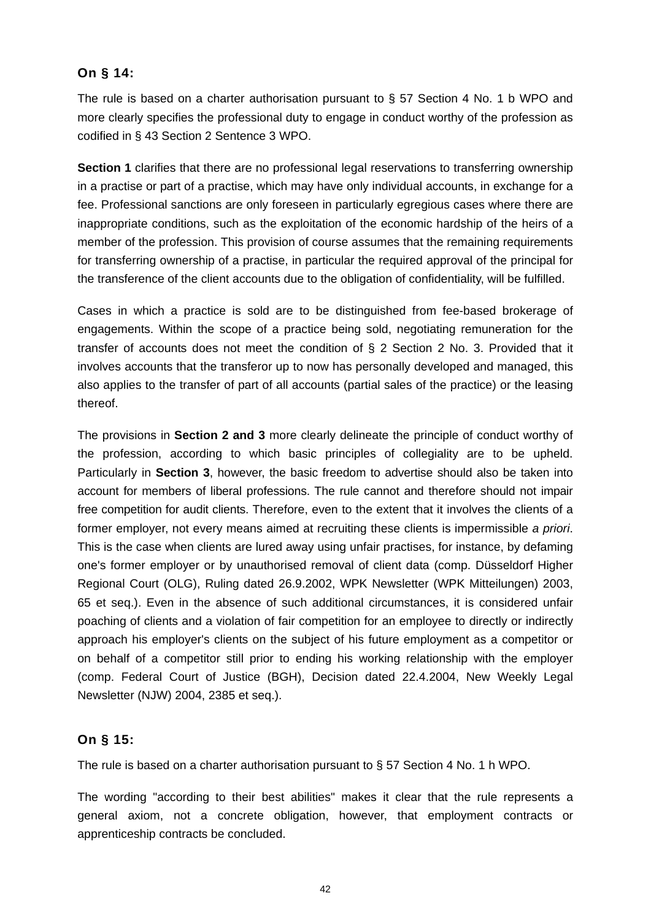## **On § 14:**

The rule is based on a charter authorisation pursuant to § 57 Section 4 No. 1 b WPO and more clearly specifies the professional duty to engage in conduct worthy of the profession as codified in § 43 Section 2 Sentence 3 WPO.

**Section 1** clarifies that there are no professional legal reservations to transferring ownership in a practise or part of a practise, which may have only individual accounts, in exchange for a fee. Professional sanctions are only foreseen in particularly egregious cases where there are inappropriate conditions, such as the exploitation of the economic hardship of the heirs of a member of the profession. This provision of course assumes that the remaining requirements for transferring ownership of a practise, in particular the required approval of the principal for the transference of the client accounts due to the obligation of confidentiality, will be fulfilled.

Cases in which a practice is sold are to be distinguished from fee-based brokerage of engagements. Within the scope of a practice being sold, negotiating remuneration for the transfer of accounts does not meet the condition of § 2 Section 2 No. 3. Provided that it involves accounts that the transferor up to now has personally developed and managed, this also applies to the transfer of part of all accounts (partial sales of the practice) or the leasing thereof.

The provisions in **Section 2 and 3** more clearly delineate the principle of conduct worthy of the profession, according to which basic principles of collegiality are to be upheld. Particularly in **Section 3**, however, the basic freedom to advertise should also be taken into account for members of liberal professions. The rule cannot and therefore should not impair free competition for audit clients. Therefore, even to the extent that it involves the clients of a former employer, not every means aimed at recruiting these clients is impermissible *a priori*. This is the case when clients are lured away using unfair practises, for instance, by defaming one's former employer or by unauthorised removal of client data (comp. Düsseldorf Higher Regional Court (OLG), Ruling dated 26.9.2002, WPK Newsletter (WPK Mitteilungen) 2003, 65 et seq.). Even in the absence of such additional circumstances, it is considered unfair poaching of clients and a violation of fair competition for an employee to directly or indirectly approach his employer's clients on the subject of his future employment as a competitor or on behalf of a competitor still prior to ending his working relationship with the employer (comp. Federal Court of Justice (BGH), Decision dated 22.4.2004, New Weekly Legal Newsletter (NJW) 2004, 2385 et seq.).

# **On § 15:**

The rule is based on a charter authorisation pursuant to § 57 Section 4 No. 1 h WPO.

The wording "according to their best abilities" makes it clear that the rule represents a general axiom, not a concrete obligation, however, that employment contracts or apprenticeship contracts be concluded.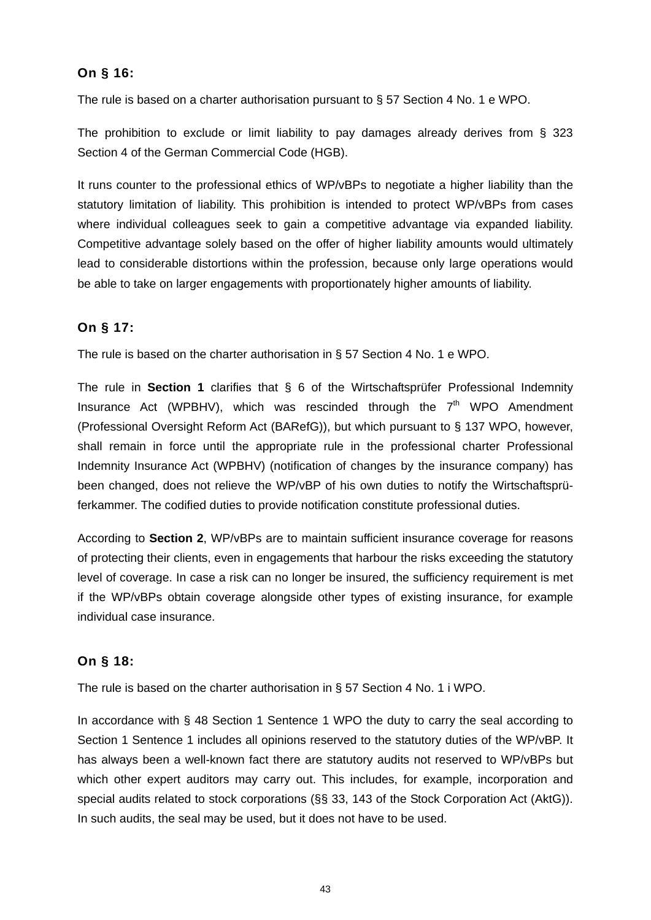## **On § 16:**

The rule is based on a charter authorisation pursuant to § 57 Section 4 No. 1 e WPO.

The prohibition to exclude or limit liability to pay damages already derives from § 323 Section 4 of the German Commercial Code (HGB).

It runs counter to the professional ethics of WP/vBPs to negotiate a higher liability than the statutory limitation of liability. This prohibition is intended to protect WP/vBPs from cases where individual colleagues seek to gain a competitive advantage via expanded liability. Competitive advantage solely based on the offer of higher liability amounts would ultimately lead to considerable distortions within the profession, because only large operations would be able to take on larger engagements with proportionately higher amounts of liability.

# **On § 17:**

The rule is based on the charter authorisation in § 57 Section 4 No. 1 e WPO.

The rule in **Section 1** clarifies that § 6 of the Wirtschaftsprüfer Professional Indemnity Insurance Act (WPBHV), which was rescinded through the  $7<sup>th</sup>$  WPO Amendment (Professional Oversight Reform Act (BARefG)), but which pursuant to § 137 WPO, however, shall remain in force until the appropriate rule in the professional charter Professional Indemnity Insurance Act (WPBHV) (notification of changes by the insurance company) has been changed, does not relieve the WP/vBP of his own duties to notify the Wirtschaftsprüferkammer. The codified duties to provide notification constitute professional duties.

According to **Section 2**, WP/vBPs are to maintain sufficient insurance coverage for reasons of protecting their clients, even in engagements that harbour the risks exceeding the statutory level of coverage. In case a risk can no longer be insured, the sufficiency requirement is met if the WP/vBPs obtain coverage alongside other types of existing insurance, for example individual case insurance.

# **On § 18:**

The rule is based on the charter authorisation in § 57 Section 4 No. 1 i WPO.

In accordance with § 48 Section 1 Sentence 1 WPO the duty to carry the seal according to Section 1 Sentence 1 includes all opinions reserved to the statutory duties of the WP/vBP. It has always been a well-known fact there are statutory audits not reserved to WP/vBPs but which other expert auditors may carry out. This includes, for example, incorporation and special audits related to stock corporations (§§ 33, 143 of the Stock Corporation Act (AktG)). In such audits, the seal may be used, but it does not have to be used.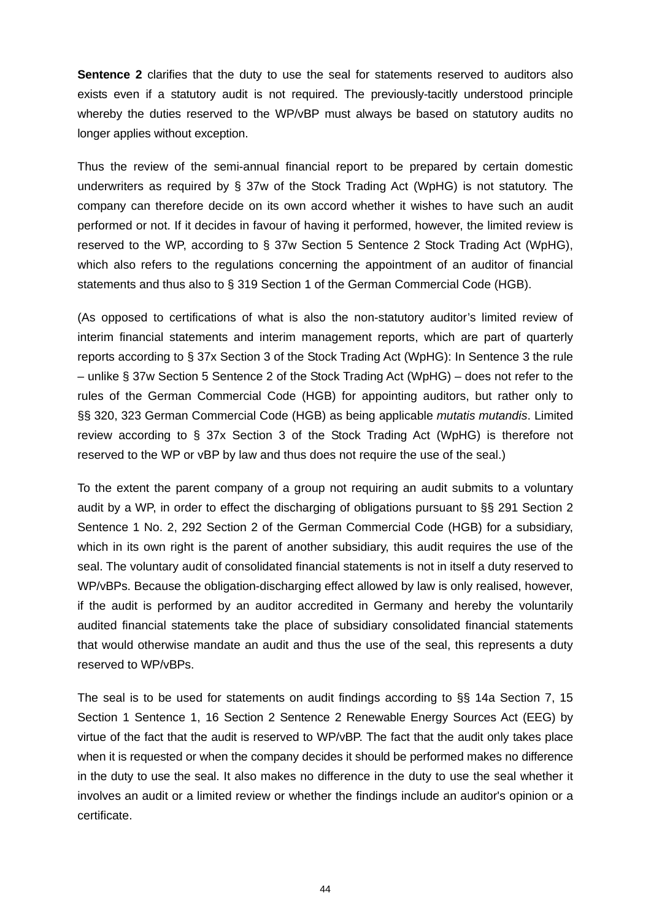**Sentence 2** clarifies that the duty to use the seal for statements reserved to auditors also exists even if a statutory audit is not required. The previously-tacitly understood principle whereby the duties reserved to the WP/vBP must always be based on statutory audits no longer applies without exception.

Thus the review of the semi-annual financial report to be prepared by certain domestic underwriters as required by § 37w of the Stock Trading Act (WpHG) is not statutory. The company can therefore decide on its own accord whether it wishes to have such an audit performed or not. If it decides in favour of having it performed, however, the limited review is reserved to the WP, according to § 37w Section 5 Sentence 2 Stock Trading Act (WpHG), which also refers to the regulations concerning the appointment of an auditor of financial statements and thus also to § 319 Section 1 of the German Commercial Code (HGB).

(As opposed to certifications of what is also the non-statutory auditor's limited review of interim financial statements and interim management reports, which are part of quarterly reports according to § 37x Section 3 of the Stock Trading Act (WpHG): In Sentence 3 the rule – unlike § 37w Section 5 Sentence 2 of the Stock Trading Act (WpHG) – does not refer to the rules of the German Commercial Code (HGB) for appointing auditors, but rather only to §§ 320, 323 German Commercial Code (HGB) as being applicable *mutatis mutandis*. Limited review according to § 37x Section 3 of the Stock Trading Act (WpHG) is therefore not reserved to the WP or vBP by law and thus does not require the use of the seal.)

To the extent the parent company of a group not requiring an audit submits to a voluntary audit by a WP, in order to effect the discharging of obligations pursuant to §§ 291 Section 2 Sentence 1 No. 2, 292 Section 2 of the German Commercial Code (HGB) for a subsidiary, which in its own right is the parent of another subsidiary, this audit requires the use of the seal. The voluntary audit of consolidated financial statements is not in itself a duty reserved to WP/vBPs. Because the obligation-discharging effect allowed by law is only realised, however, if the audit is performed by an auditor accredited in Germany and hereby the voluntarily audited financial statements take the place of subsidiary consolidated financial statements that would otherwise mandate an audit and thus the use of the seal, this represents a duty reserved to WP/vBPs.

The seal is to be used for statements on audit findings according to §§ 14a Section 7, 15 Section 1 Sentence 1, 16 Section 2 Sentence 2 Renewable Energy Sources Act (EEG) by virtue of the fact that the audit is reserved to WP/vBP. The fact that the audit only takes place when it is requested or when the company decides it should be performed makes no difference in the duty to use the seal. It also makes no difference in the duty to use the seal whether it involves an audit or a limited review or whether the findings include an auditor's opinion or a certificate.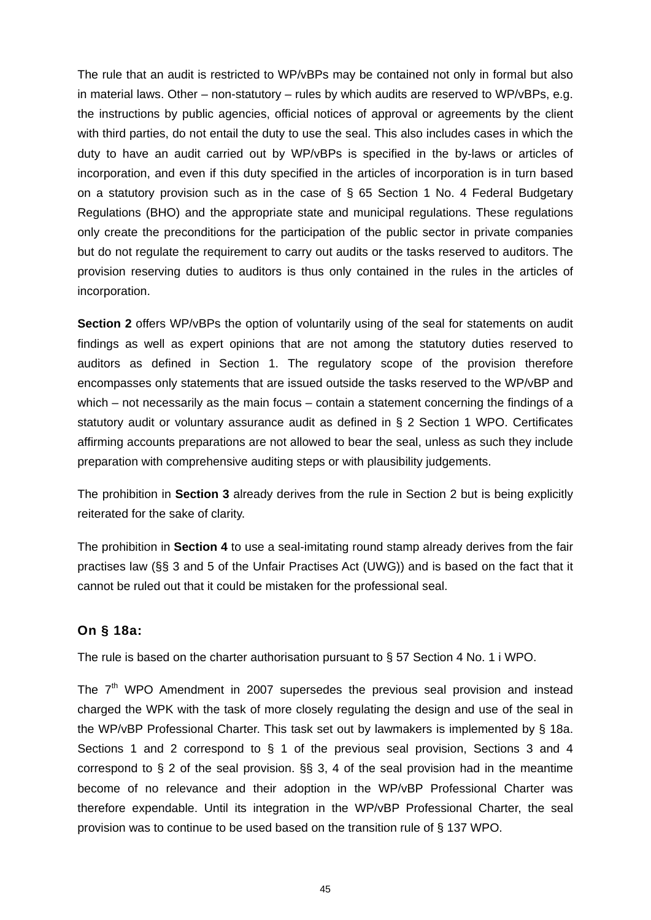The rule that an audit is restricted to WP/vBPs may be contained not only in formal but also in material laws. Other – non-statutory – rules by which audits are reserved to WP/vBPs, e.g. the instructions by public agencies, official notices of approval or agreements by the client with third parties, do not entail the duty to use the seal. This also includes cases in which the duty to have an audit carried out by WP/vBPs is specified in the by-laws or articles of incorporation, and even if this duty specified in the articles of incorporation is in turn based on a statutory provision such as in the case of  $\S$  65 Section 1 No. 4 Federal Budgetary Regulations (BHO) and the appropriate state and municipal regulations. These regulations only create the preconditions for the participation of the public sector in private companies but do not regulate the requirement to carry out audits or the tasks reserved to auditors. The provision reserving duties to auditors is thus only contained in the rules in the articles of incorporation.

**Section 2** offers WP/vBPs the option of voluntarily using of the seal for statements on audit findings as well as expert opinions that are not among the statutory duties reserved to auditors as defined in Section 1. The regulatory scope of the provision therefore encompasses only statements that are issued outside the tasks reserved to the WP/vBP and which – not necessarily as the main focus – contain a statement concerning the findings of a statutory audit or voluntary assurance audit as defined in § 2 Section 1 WPO. Certificates affirming accounts preparations are not allowed to bear the seal, unless as such they include preparation with comprehensive auditing steps or with plausibility judgements.

The prohibition in **Section 3** already derives from the rule in Section 2 but is being explicitly reiterated for the sake of clarity.

The prohibition in **Section 4** to use a seal-imitating round stamp already derives from the fair practises law (§§ 3 and 5 of the Unfair Practises Act (UWG)) and is based on the fact that it cannot be ruled out that it could be mistaken for the professional seal.

## **On § 18a:**

The rule is based on the charter authorisation pursuant to § 57 Section 4 No. 1 i WPO.

The  $7<sup>th</sup>$  WPO Amendment in 2007 supersedes the previous seal provision and instead charged the WPK with the task of more closely regulating the design and use of the seal in the WP/vBP Professional Charter. This task set out by lawmakers is implemented by § 18a. Sections 1 and 2 correspond to § 1 of the previous seal provision, Sections 3 and 4 correspond to  $\S$  2 of the seal provision.  $\S$  $\S$  3, 4 of the seal provision had in the meantime become of no relevance and their adoption in the WP/vBP Professional Charter was therefore expendable. Until its integration in the WP/vBP Professional Charter, the seal provision was to continue to be used based on the transition rule of § 137 WPO.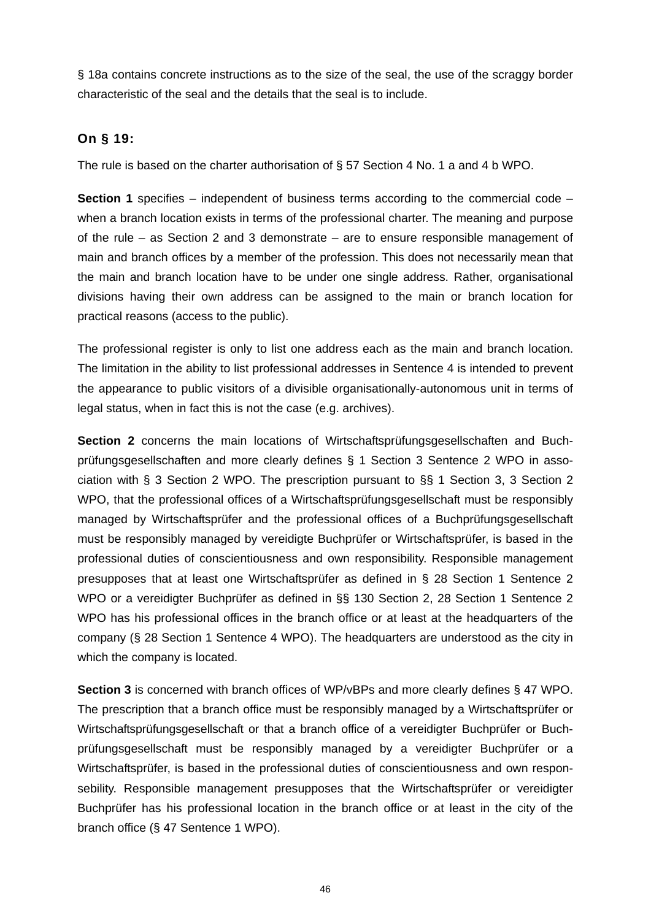§ 18a contains concrete instructions as to the size of the seal, the use of the scraggy border characteristic of the seal and the details that the seal is to include.

# **On § 19:**

The rule is based on the charter authorisation of § 57 Section 4 No. 1 a and 4 b WPO.

**Section 1** specifies – independent of business terms according to the commercial code – when a branch location exists in terms of the professional charter. The meaning and purpose of the rule – as Section 2 and 3 demonstrate – are to ensure responsible management of main and branch offices by a member of the profession. This does not necessarily mean that the main and branch location have to be under one single address. Rather, organisational divisions having their own address can be assigned to the main or branch location for practical reasons (access to the public).

The professional register is only to list one address each as the main and branch location. The limitation in the ability to list professional addresses in Sentence 4 is intended to prevent the appearance to public visitors of a divisible organisationally-autonomous unit in terms of legal status, when in fact this is not the case (e.g. archives).

**Section 2** concerns the main locations of Wirtschaftsprüfungsgesellschaften and Buchprüfungsgesellschaften and more clearly defines § 1 Section 3 Sentence 2 WPO in association with § 3 Section 2 WPO. The prescription pursuant to §§ 1 Section 3, 3 Section 2 WPO, that the professional offices of a Wirtschaftsprüfungsgesellschaft must be responsibly managed by Wirtschaftsprüfer and the professional offices of a Buchprüfungsgesellschaft must be responsibly managed by vereidigte Buchprüfer or Wirtschaftsprüfer, is based in the professional duties of conscientiousness and own responsibility. Responsible management presupposes that at least one Wirtschaftsprüfer as defined in § 28 Section 1 Sentence 2 WPO or a vereidigter Buchprüfer as defined in §§ 130 Section 2, 28 Section 1 Sentence 2 WPO has his professional offices in the branch office or at least at the headquarters of the company (§ 28 Section 1 Sentence 4 WPO). The headquarters are understood as the city in which the company is located.

**Section 3** is concerned with branch offices of WP/vBPs and more clearly defines § 47 WPO. The prescription that a branch office must be responsibly managed by a Wirtschaftsprüfer or Wirtschaftsprüfungsgesellschaft or that a branch office of a vereidigter Buchprüfer or Buchprüfungsgesellschaft must be responsibly managed by a vereidigter Buchprüfer or a Wirtschaftsprüfer, is based in the professional duties of conscientiousness and own responsebility. Responsible management presupposes that the Wirtschaftsprüfer or vereidigter Buchprüfer has his professional location in the branch office or at least in the city of the branch office (§ 47 Sentence 1 WPO).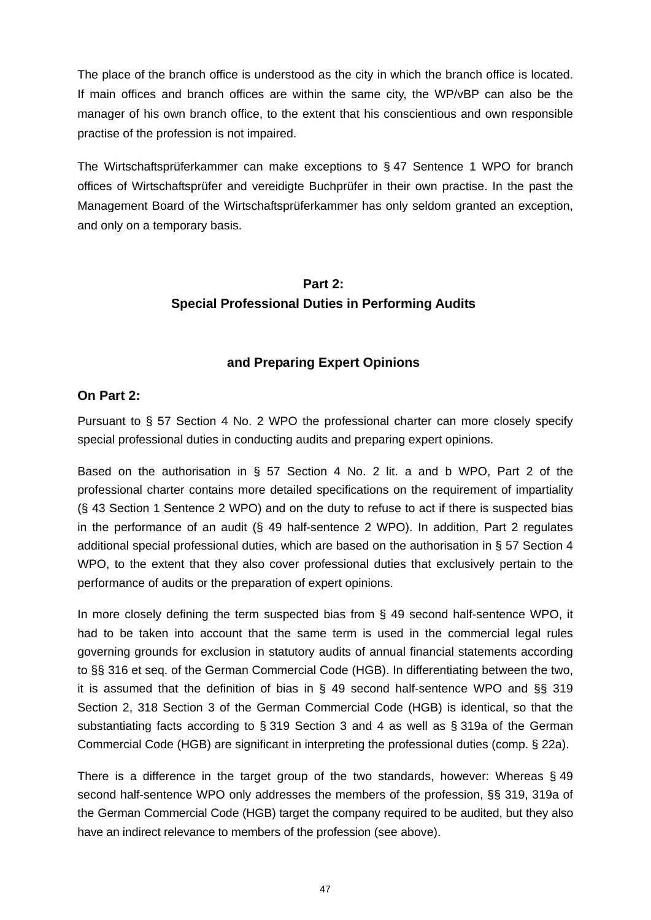The place of the branch office is understood as the city in which the branch office is located. If main offices and branch offices are within the same city, the WP/vBP can also be the manager of his own branch office, to the extent that his conscientious and own responsible practise of the profession is not impaired.

The Wirtschaftsprüferkammer can make exceptions to § 47 Sentence 1 WPO for branch offices of Wirtschaftsprüfer and vereidigte Buchprüfer in their own practise. In the past the Management Board of the Wirtschaftsprüferkammer has only seldom granted an exception, and only on a temporary basis.

# **Part 2: Special Professional Duties in Performing Audits**

## **and Preparing Expert Opinions**

## **On Part 2:**

Pursuant to § 57 Section 4 No. 2 WPO the professional charter can more closely specify special professional duties in conducting audits and preparing expert opinions.

Based on the authorisation in § 57 Section 4 No. 2 lit. a and b WPO, Part 2 of the professional charter contains more detailed specifications on the requirement of impartiality (§ 43 Section 1 Sentence 2 WPO) and on the duty to refuse to act if there is suspected bias in the performance of an audit (§ 49 half-sentence 2 WPO). In addition, Part 2 regulates additional special professional duties, which are based on the authorisation in § 57 Section 4 WPO, to the extent that they also cover professional duties that exclusively pertain to the performance of audits or the preparation of expert opinions.

In more closely defining the term suspected bias from § 49 second half-sentence WPO, it had to be taken into account that the same term is used in the commercial legal rules governing grounds for exclusion in statutory audits of annual financial statements according to §§ 316 et seq. of the German Commercial Code (HGB). In differentiating between the two, it is assumed that the definition of bias in § 49 second half-sentence WPO and §§ 319 Section 2, 318 Section 3 of the German Commercial Code (HGB) is identical, so that the substantiating facts according to § 319 Section 3 and 4 as well as § 319a of the German Commercial Code (HGB) are significant in interpreting the professional duties (comp. § 22a).

There is a difference in the target group of the two standards, however: Whereas § 49 second half-sentence WPO only addresses the members of the profession, §§ 319, 319a of the German Commercial Code (HGB) target the company required to be audited, but they also have an indirect relevance to members of the profession (see above).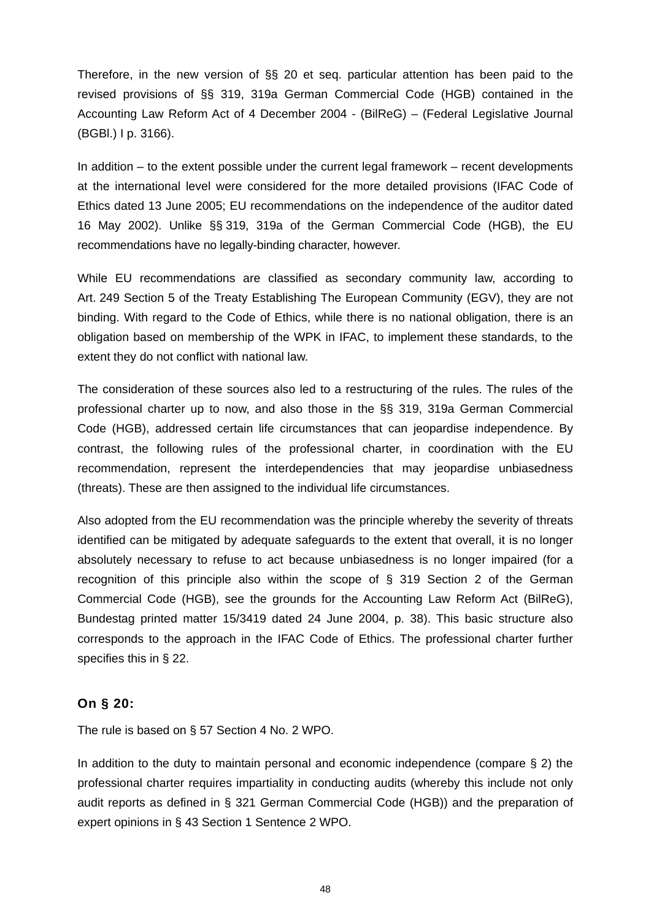Therefore, in the new version of §§ 20 et seq. particular attention has been paid to the revised provisions of §§ 319, 319a German Commercial Code (HGB) contained in the Accounting Law Reform Act of 4 December 2004 - (BilReG) – (Federal Legislative Journal (BGBl.) I p. 3166).

In addition – to the extent possible under the current legal framework – recent developments at the international level were considered for the more detailed provisions (IFAC Code of Ethics dated 13 June 2005; EU recommendations on the independence of the auditor dated 16 May 2002). Unlike §§ 319, 319a of the German Commercial Code (HGB), the EU recommendations have no legally-binding character, however.

While EU recommendations are classified as secondary community law, according to Art. 249 Section 5 of the Treaty Establishing The European Community (EGV), they are not binding. With regard to the Code of Ethics, while there is no national obligation, there is an obligation based on membership of the WPK in IFAC, to implement these standards, to the extent they do not conflict with national law.

The consideration of these sources also led to a restructuring of the rules. The rules of the professional charter up to now, and also those in the §§ 319, 319a German Commercial Code (HGB), addressed certain life circumstances that can jeopardise independence. By contrast, the following rules of the professional charter, in coordination with the EU recommendation, represent the interdependencies that may jeopardise unbiasedness (threats). These are then assigned to the individual life circumstances.

Also adopted from the EU recommendation was the principle whereby the severity of threats identified can be mitigated by adequate safeguards to the extent that overall, it is no longer absolutely necessary to refuse to act because unbiasedness is no longer impaired (for a recognition of this principle also within the scope of § 319 Section 2 of the German Commercial Code (HGB), see the grounds for the Accounting Law Reform Act (BilReG), Bundestag printed matter 15/3419 dated 24 June 2004, p. 38). This basic structure also corresponds to the approach in the IFAC Code of Ethics. The professional charter further specifies this in § 22.

## **On § 20:**

The rule is based on § 57 Section 4 No. 2 WPO.

In addition to the duty to maintain personal and economic independence (compare § 2) the professional charter requires impartiality in conducting audits (whereby this include not only audit reports as defined in § 321 German Commercial Code (HGB)) and the preparation of expert opinions in § 43 Section 1 Sentence 2 WPO.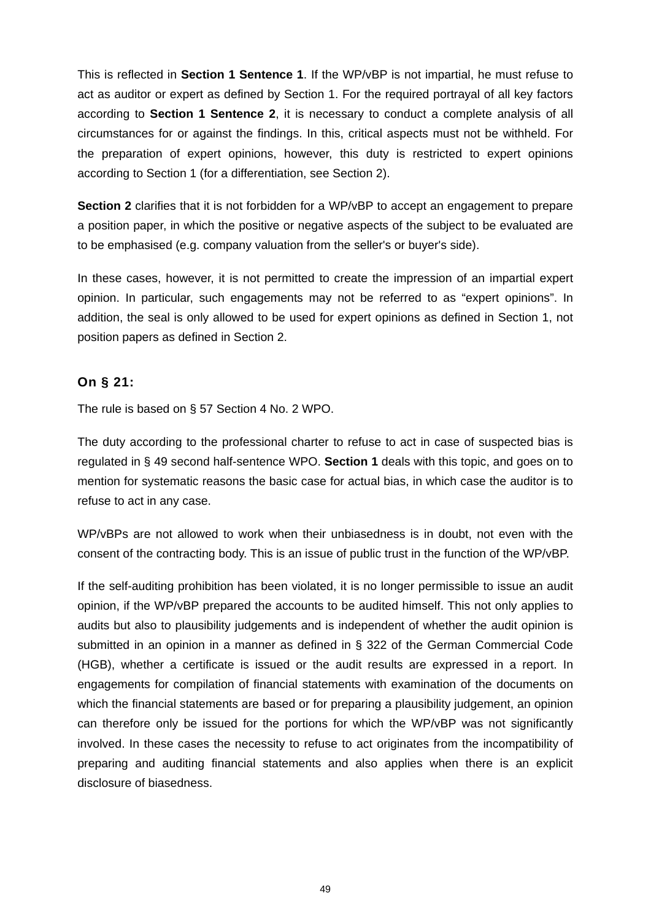This is reflected in **Section 1 Sentence 1**. If the WP/vBP is not impartial, he must refuse to act as auditor or expert as defined by Section 1. For the required portrayal of all key factors according to **Section 1 Sentence 2**, it is necessary to conduct a complete analysis of all circumstances for or against the findings. In this, critical aspects must not be withheld. For the preparation of expert opinions, however, this duty is restricted to expert opinions according to Section 1 (for a differentiation, see Section 2).

**Section 2** clarifies that it is not forbidden for a WP/vBP to accept an engagement to prepare a position paper, in which the positive or negative aspects of the subject to be evaluated are to be emphasised (e.g. company valuation from the seller's or buyer's side).

In these cases, however, it is not permitted to create the impression of an impartial expert opinion. In particular, such engagements may not be referred to as "expert opinions". In addition, the seal is only allowed to be used for expert opinions as defined in Section 1, not position papers as defined in Section 2.

## **On § 21:**

The rule is based on § 57 Section 4 No. 2 WPO.

The duty according to the professional charter to refuse to act in case of suspected bias is regulated in § 49 second half-sentence WPO. **Section 1** deals with this topic, and goes on to mention for systematic reasons the basic case for actual bias, in which case the auditor is to refuse to act in any case.

WP/vBPs are not allowed to work when their unbiasedness is in doubt, not even with the consent of the contracting body. This is an issue of public trust in the function of the WP/vBP.

If the self-auditing prohibition has been violated, it is no longer permissible to issue an audit opinion, if the WP/vBP prepared the accounts to be audited himself. This not only applies to audits but also to plausibility judgements and is independent of whether the audit opinion is submitted in an opinion in a manner as defined in § 322 of the German Commercial Code (HGB), whether a certificate is issued or the audit results are expressed in a report. In engagements for compilation of financial statements with examination of the documents on which the financial statements are based or for preparing a plausibility judgement, an opinion can therefore only be issued for the portions for which the WP/vBP was not significantly involved. In these cases the necessity to refuse to act originates from the incompatibility of preparing and auditing financial statements and also applies when there is an explicit disclosure of biasedness.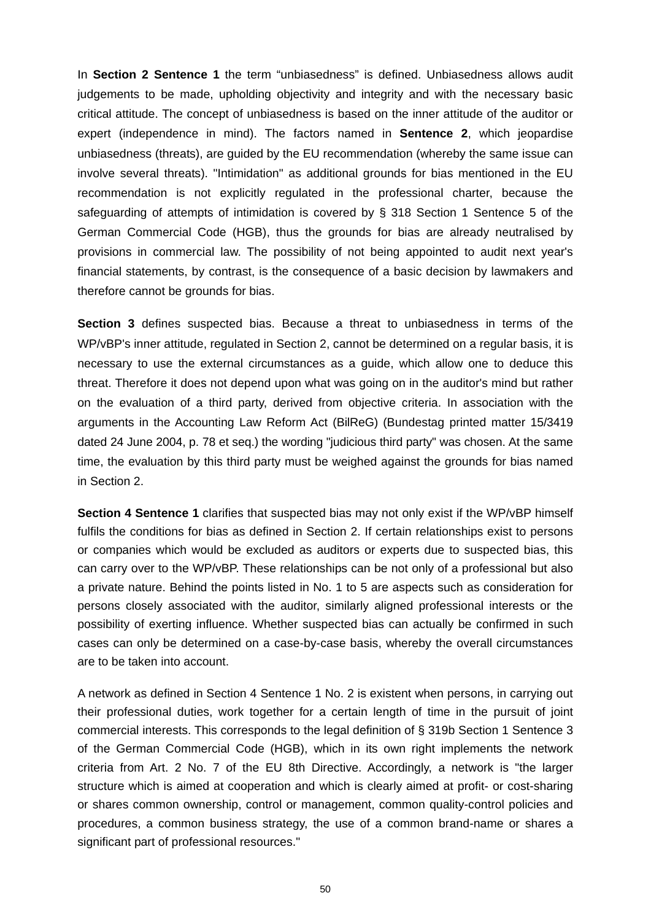In **Section 2 Sentence 1** the term "unbiasedness" is defined. Unbiasedness allows audit judgements to be made, upholding objectivity and integrity and with the necessary basic critical attitude. The concept of unbiasedness is based on the inner attitude of the auditor or expert (independence in mind). The factors named in **Sentence 2**, which jeopardise unbiasedness (threats), are guided by the EU recommendation (whereby the same issue can involve several threats). "Intimidation" as additional grounds for bias mentioned in the EU recommendation is not explicitly regulated in the professional charter, because the safeguarding of attempts of intimidation is covered by § 318 Section 1 Sentence 5 of the German Commercial Code (HGB), thus the grounds for bias are already neutralised by provisions in commercial law. The possibility of not being appointed to audit next year's financial statements, by contrast, is the consequence of a basic decision by lawmakers and therefore cannot be grounds for bias.

**Section 3** defines suspected bias. Because a threat to unbiasedness in terms of the WP/vBP's inner attitude, regulated in Section 2, cannot be determined on a regular basis, it is necessary to use the external circumstances as a guide, which allow one to deduce this threat. Therefore it does not depend upon what was going on in the auditor's mind but rather on the evaluation of a third party, derived from objective criteria. In association with the arguments in the Accounting Law Reform Act (BilReG) (Bundestag printed matter 15/3419 dated 24 June 2004, p. 78 et seq.) the wording "judicious third party" was chosen. At the same time, the evaluation by this third party must be weighed against the grounds for bias named in Section 2.

**Section 4 Sentence 1** clarifies that suspected bias may not only exist if the WP/vBP himself fulfils the conditions for bias as defined in Section 2. If certain relationships exist to persons or companies which would be excluded as auditors or experts due to suspected bias, this can carry over to the WP/vBP. These relationships can be not only of a professional but also a private nature. Behind the points listed in No. 1 to 5 are aspects such as consideration for persons closely associated with the auditor, similarly aligned professional interests or the possibility of exerting influence. Whether suspected bias can actually be confirmed in such cases can only be determined on a case-by-case basis, whereby the overall circumstances are to be taken into account.

A network as defined in Section 4 Sentence 1 No. 2 is existent when persons, in carrying out their professional duties, work together for a certain length of time in the pursuit of joint commercial interests. This corresponds to the legal definition of § 319b Section 1 Sentence 3 of the German Commercial Code (HGB), which in its own right implements the network criteria from Art. 2 No. 7 of the EU 8th Directive. Accordingly, a network is "the larger structure which is aimed at cooperation and which is clearly aimed at profit- or cost-sharing or shares common ownership, control or management, common quality-control policies and procedures, a common business strategy, the use of a common brand-name or shares a significant part of professional resources."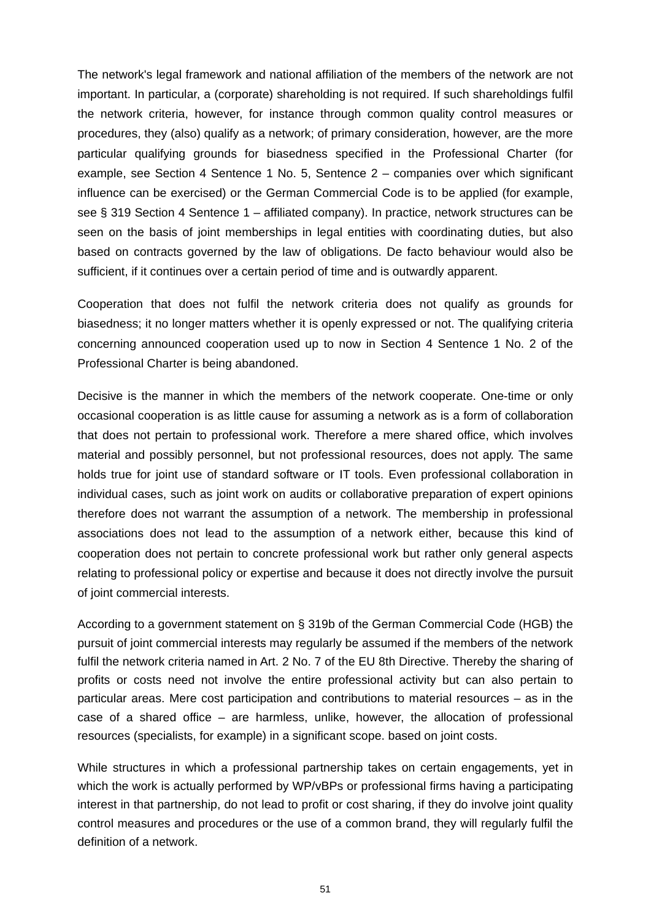The network's legal framework and national affiliation of the members of the network are not important. In particular, a (corporate) shareholding is not required. If such shareholdings fulfil the network criteria, however, for instance through common quality control measures or procedures, they (also) qualify as a network; of primary consideration, however, are the more particular qualifying grounds for biasedness specified in the Professional Charter (for example, see Section 4 Sentence 1 No. 5, Sentence 2 – companies over which significant influence can be exercised) or the German Commercial Code is to be applied (for example, see § 319 Section 4 Sentence 1 – affiliated company). In practice, network structures can be seen on the basis of joint memberships in legal entities with coordinating duties, but also based on contracts governed by the law of obligations. De facto behaviour would also be sufficient, if it continues over a certain period of time and is outwardly apparent.

Cooperation that does not fulfil the network criteria does not qualify as grounds for biasedness; it no longer matters whether it is openly expressed or not. The qualifying criteria concerning announced cooperation used up to now in Section 4 Sentence 1 No. 2 of the Professional Charter is being abandoned.

Decisive is the manner in which the members of the network cooperate. One-time or only occasional cooperation is as little cause for assuming a network as is a form of collaboration that does not pertain to professional work. Therefore a mere shared office, which involves material and possibly personnel, but not professional resources, does not apply. The same holds true for joint use of standard software or IT tools. Even professional collaboration in individual cases, such as joint work on audits or collaborative preparation of expert opinions therefore does not warrant the assumption of a network. The membership in professional associations does not lead to the assumption of a network either, because this kind of cooperation does not pertain to concrete professional work but rather only general aspects relating to professional policy or expertise and because it does not directly involve the pursuit of joint commercial interests.

According to a government statement on § 319b of the German Commercial Code (HGB) the pursuit of joint commercial interests may regularly be assumed if the members of the network fulfil the network criteria named in Art. 2 No. 7 of the EU 8th Directive. Thereby the sharing of profits or costs need not involve the entire professional activity but can also pertain to particular areas. Mere cost participation and contributions to material resources – as in the case of a shared office – are harmless, unlike, however, the allocation of professional resources (specialists, for example) in a significant scope. based on joint costs.

While structures in which a professional partnership takes on certain engagements, yet in which the work is actually performed by WP/vBPs or professional firms having a participating interest in that partnership, do not lead to profit or cost sharing, if they do involve joint quality control measures and procedures or the use of a common brand, they will regularly fulfil the definition of a network.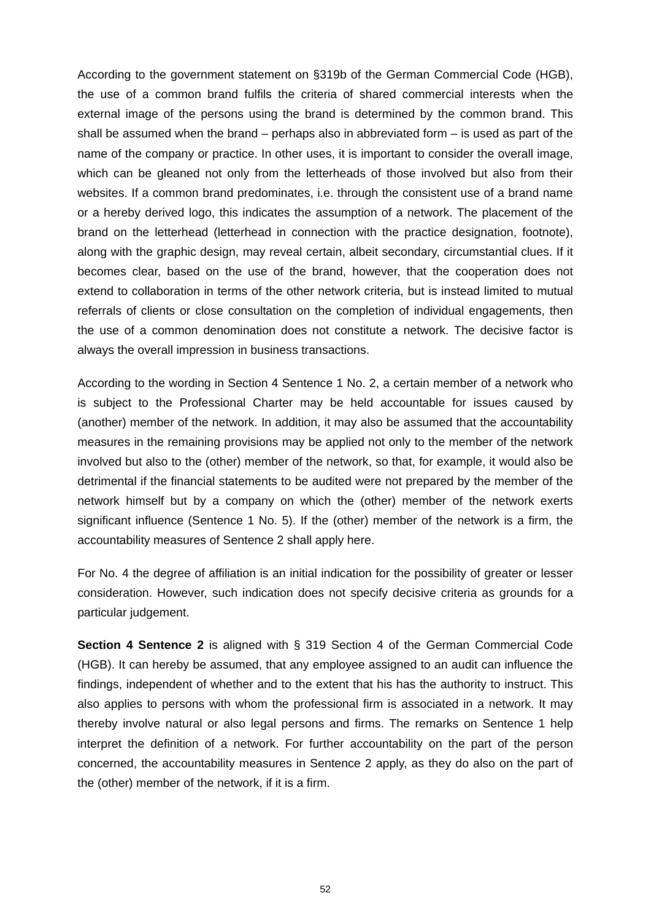According to the government statement on §319b of the German Commercial Code (HGB), the use of a common brand fulfils the criteria of shared commercial interests when the external image of the persons using the brand is determined by the common brand. This shall be assumed when the brand – perhaps also in abbreviated form – is used as part of the name of the company or practice. In other uses, it is important to consider the overall image, which can be gleaned not only from the letterheads of those involved but also from their websites. If a common brand predominates, i.e. through the consistent use of a brand name or a hereby derived logo, this indicates the assumption of a network. The placement of the brand on the letterhead (letterhead in connection with the practice designation, footnote), along with the graphic design, may reveal certain, albeit secondary, circumstantial clues. If it becomes clear, based on the use of the brand, however, that the cooperation does not extend to collaboration in terms of the other network criteria, but is instead limited to mutual referrals of clients or close consultation on the completion of individual engagements, then the use of a common denomination does not constitute a network. The decisive factor is always the overall impression in business transactions.

According to the wording in Section 4 Sentence 1 No. 2, a certain member of a network who is subject to the Professional Charter may be held accountable for issues caused by (another) member of the network. In addition, it may also be assumed that the accountability measures in the remaining provisions may be applied not only to the member of the network involved but also to the (other) member of the network, so that, for example, it would also be detrimental if the financial statements to be audited were not prepared by the member of the network himself but by a company on which the (other) member of the network exerts significant influence (Sentence 1 No. 5). If the (other) member of the network is a firm, the accountability measures of Sentence 2 shall apply here.

For No. 4 the degree of affiliation is an initial indication for the possibility of greater or lesser consideration. However, such indication does not specify decisive criteria as grounds for a particular judgement.

**Section 4 Sentence 2** is aligned with § 319 Section 4 of the German Commercial Code (HGB). It can hereby be assumed, that any employee assigned to an audit can influence the findings, independent of whether and to the extent that his has the authority to instruct. This also applies to persons with whom the professional firm is associated in a network. It may thereby involve natural or also legal persons and firms. The remarks on Sentence 1 help interpret the definition of a network. For further accountability on the part of the person concerned, the accountability measures in Sentence 2 apply, as they do also on the part of the (other) member of the network, if it is a firm.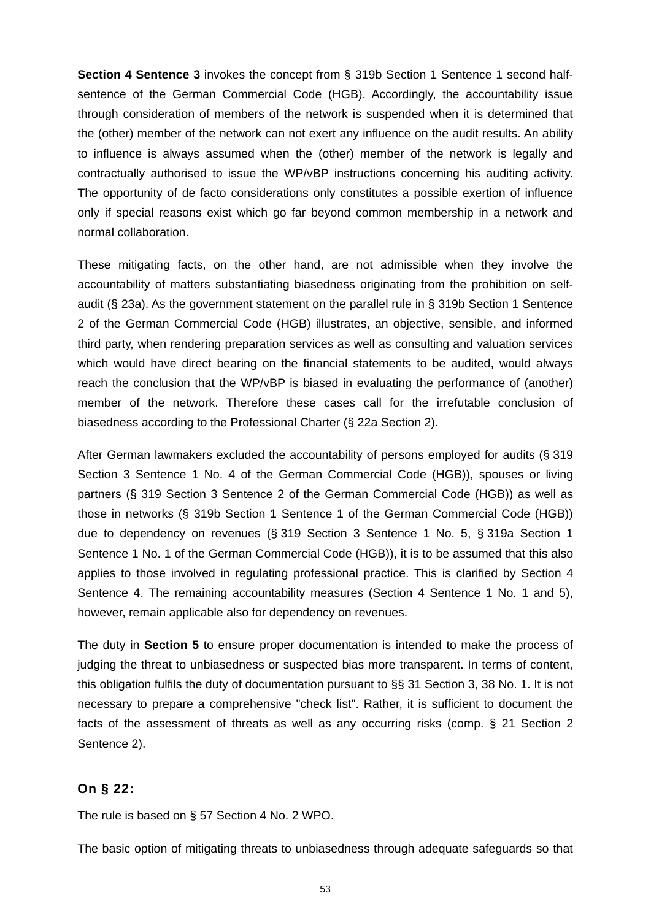**Section 4 Sentence 3** invokes the concept from § 319b Section 1 Sentence 1 second halfsentence of the German Commercial Code (HGB). Accordingly, the accountability issue through consideration of members of the network is suspended when it is determined that the (other) member of the network can not exert any influence on the audit results. An ability to influence is always assumed when the (other) member of the network is legally and contractually authorised to issue the WP/vBP instructions concerning his auditing activity. The opportunity of de facto considerations only constitutes a possible exertion of influence only if special reasons exist which go far beyond common membership in a network and normal collaboration.

These mitigating facts, on the other hand, are not admissible when they involve the accountability of matters substantiating biasedness originating from the prohibition on selfaudit (§ 23a). As the government statement on the parallel rule in § 319b Section 1 Sentence 2 of the German Commercial Code (HGB) illustrates, an objective, sensible, and informed third party, when rendering preparation services as well as consulting and valuation services which would have direct bearing on the financial statements to be audited, would always reach the conclusion that the WP/vBP is biased in evaluating the performance of (another) member of the network. Therefore these cases call for the irrefutable conclusion of biasedness according to the Professional Charter (§ 22a Section 2).

After German lawmakers excluded the accountability of persons employed for audits (§ 319 Section 3 Sentence 1 No. 4 of the German Commercial Code (HGB)), spouses or living partners (§ 319 Section 3 Sentence 2 of the German Commercial Code (HGB)) as well as those in networks (§ 319b Section 1 Sentence 1 of the German Commercial Code (HGB)) due to dependency on revenues (§ 319 Section 3 Sentence 1 No. 5, § 319a Section 1 Sentence 1 No. 1 of the German Commercial Code (HGB)), it is to be assumed that this also applies to those involved in regulating professional practice. This is clarified by Section 4 Sentence 4. The remaining accountability measures (Section 4 Sentence 1 No. 1 and 5), however, remain applicable also for dependency on revenues.

The duty in **Section 5** to ensure proper documentation is intended to make the process of judging the threat to unbiasedness or suspected bias more transparent. In terms of content, this obligation fulfils the duty of documentation pursuant to §§ 31 Section 3, 38 No. 1. It is not necessary to prepare a comprehensive "check list". Rather, it is sufficient to document the facts of the assessment of threats as well as any occurring risks (comp. § 21 Section 2 Sentence 2).

#### **On § 22:**

The rule is based on § 57 Section 4 No. 2 WPO.

The basic option of mitigating threats to unbiasedness through adequate safeguards so that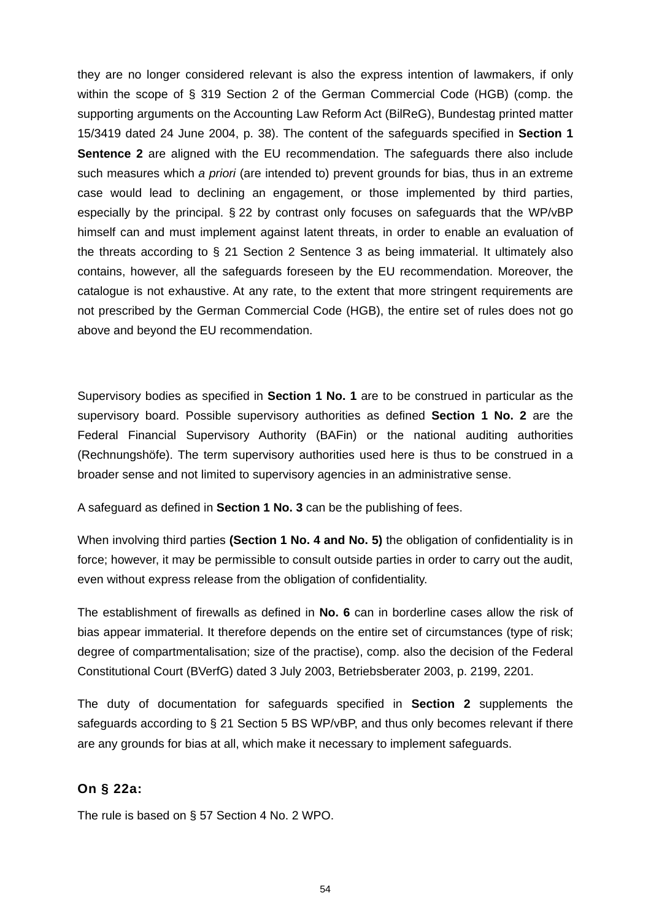they are no longer considered relevant is also the express intention of lawmakers, if only within the scope of § 319 Section 2 of the German Commercial Code (HGB) (comp. the supporting arguments on the Accounting Law Reform Act (BilReG), Bundestag printed matter 15/3419 dated 24 June 2004, p. 38). The content of the safeguards specified in **Section 1 Sentence 2** are aligned with the EU recommendation. The safeguards there also include such measures which *a priori* (are intended to) prevent grounds for bias, thus in an extreme case would lead to declining an engagement, or those implemented by third parties, especially by the principal. § 22 by contrast only focuses on safeguards that the WP/vBP himself can and must implement against latent threats, in order to enable an evaluation of the threats according to § 21 Section 2 Sentence 3 as being immaterial. It ultimately also contains, however, all the safeguards foreseen by the EU recommendation. Moreover, the catalogue is not exhaustive. At any rate, to the extent that more stringent requirements are not prescribed by the German Commercial Code (HGB), the entire set of rules does not go above and beyond the EU recommendation.

Supervisory bodies as specified in **Section 1 No. 1** are to be construed in particular as the supervisory board. Possible supervisory authorities as defined **Section 1 No. 2** are the Federal Financial Supervisory Authority (BAFin) or the national auditing authorities (Rechnungshöfe). The term supervisory authorities used here is thus to be construed in a broader sense and not limited to supervisory agencies in an administrative sense.

A safeguard as defined in **Section 1 No. 3** can be the publishing of fees.

When involving third parties **(Section 1 No. 4 and No. 5)** the obligation of confidentiality is in force; however, it may be permissible to consult outside parties in order to carry out the audit, even without express release from the obligation of confidentiality.

The establishment of firewalls as defined in **No. 6** can in borderline cases allow the risk of bias appear immaterial. It therefore depends on the entire set of circumstances (type of risk; degree of compartmentalisation; size of the practise), comp. also the decision of the Federal Constitutional Court (BVerfG) dated 3 July 2003, Betriebsberater 2003, p. 2199, 2201.

The duty of documentation for safeguards specified in **Section 2** supplements the safeguards according to § 21 Section 5 BS WP/vBP, and thus only becomes relevant if there are any grounds for bias at all, which make it necessary to implement safeguards.

## **On § 22a:**

The rule is based on § 57 Section 4 No. 2 WPO.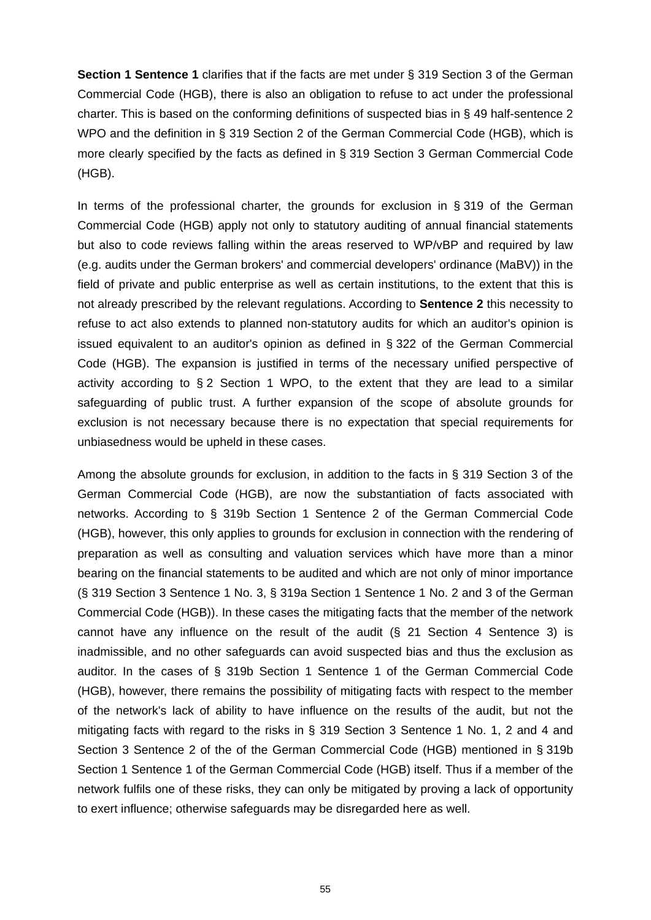**Section 1 Sentence 1** clarifies that if the facts are met under § 319 Section 3 of the German Commercial Code (HGB), there is also an obligation to refuse to act under the professional charter. This is based on the conforming definitions of suspected bias in § 49 half-sentence 2 WPO and the definition in § 319 Section 2 of the German Commercial Code (HGB), which is more clearly specified by the facts as defined in § 319 Section 3 German Commercial Code (HGB).

In terms of the professional charter, the grounds for exclusion in § 319 of the German Commercial Code (HGB) apply not only to statutory auditing of annual financial statements but also to code reviews falling within the areas reserved to WP/vBP and required by law (e.g. audits under the German brokers' and commercial developers' ordinance (MaBV)) in the field of private and public enterprise as well as certain institutions, to the extent that this is not already prescribed by the relevant regulations. According to **Sentence 2** this necessity to refuse to act also extends to planned non-statutory audits for which an auditor's opinion is issued equivalent to an auditor's opinion as defined in § 322 of the German Commercial Code (HGB). The expansion is justified in terms of the necessary unified perspective of activity according to § 2 Section 1 WPO, to the extent that they are lead to a similar safeguarding of public trust. A further expansion of the scope of absolute grounds for exclusion is not necessary because there is no expectation that special requirements for unbiasedness would be upheld in these cases.

Among the absolute grounds for exclusion, in addition to the facts in § 319 Section 3 of the German Commercial Code (HGB), are now the substantiation of facts associated with networks. According to § 319b Section 1 Sentence 2 of the German Commercial Code (HGB), however, this only applies to grounds for exclusion in connection with the rendering of preparation as well as consulting and valuation services which have more than a minor bearing on the financial statements to be audited and which are not only of minor importance (§ 319 Section 3 Sentence 1 No. 3, § 319a Section 1 Sentence 1 No. 2 and 3 of the German Commercial Code (HGB)). In these cases the mitigating facts that the member of the network cannot have any influence on the result of the audit (§ 21 Section 4 Sentence 3) is inadmissible, and no other safeguards can avoid suspected bias and thus the exclusion as auditor. In the cases of § 319b Section 1 Sentence 1 of the German Commercial Code (HGB), however, there remains the possibility of mitigating facts with respect to the member of the network's lack of ability to have influence on the results of the audit, but not the mitigating facts with regard to the risks in § 319 Section 3 Sentence 1 No. 1, 2 and 4 and Section 3 Sentence 2 of the of the German Commercial Code (HGB) mentioned in § 319b Section 1 Sentence 1 of the German Commercial Code (HGB) itself. Thus if a member of the network fulfils one of these risks, they can only be mitigated by proving a lack of opportunity to exert influence; otherwise safeguards may be disregarded here as well.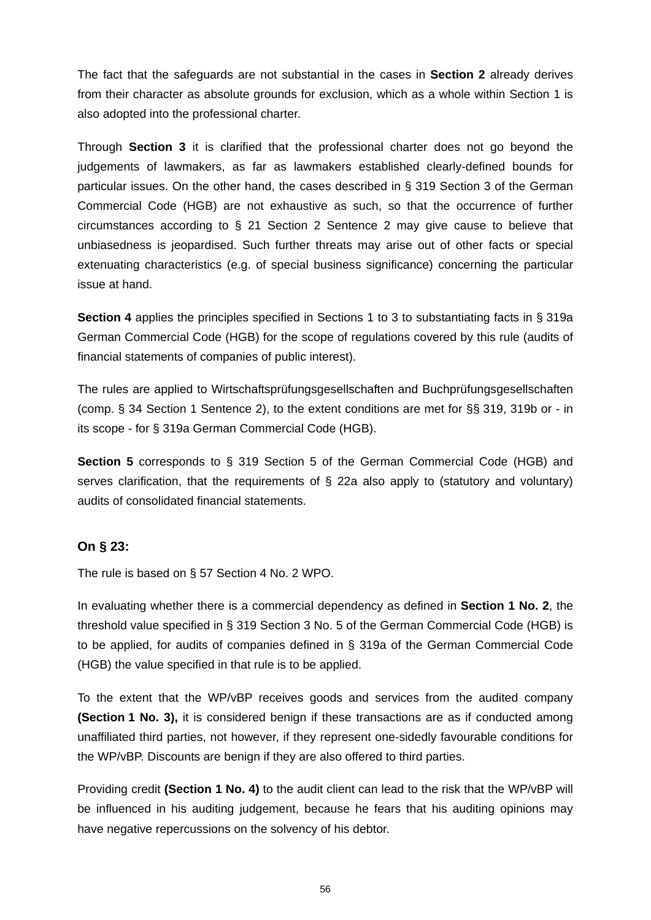The fact that the safeguards are not substantial in the cases in **Section 2** already derives from their character as absolute grounds for exclusion, which as a whole within Section 1 is also adopted into the professional charter.

Through **Section 3** it is clarified that the professional charter does not go beyond the judgements of lawmakers, as far as lawmakers established clearly-defined bounds for particular issues. On the other hand, the cases described in § 319 Section 3 of the German Commercial Code (HGB) are not exhaustive as such, so that the occurrence of further circumstances according to § 21 Section 2 Sentence 2 may give cause to believe that unbiasedness is jeopardised. Such further threats may arise out of other facts or special extenuating characteristics (e.g. of special business significance) concerning the particular issue at hand.

**Section 4** applies the principles specified in Sections 1 to 3 to substantiating facts in § 319a German Commercial Code (HGB) for the scope of regulations covered by this rule (audits of financial statements of companies of public interest).

The rules are applied to Wirtschaftsprüfungsgesellschaften and Buchprüfungsgesellschaften (comp. § 34 Section 1 Sentence 2), to the extent conditions are met for §§ 319, 319b or - in its scope - for § 319a German Commercial Code (HGB).

**Section 5** corresponds to § 319 Section 5 of the German Commercial Code (HGB) and serves clarification, that the requirements of § 22a also apply to (statutory and voluntary) audits of consolidated financial statements.

# **On § 23:**

The rule is based on § 57 Section 4 No. 2 WPO.

In evaluating whether there is a commercial dependency as defined in **Section 1 No. 2**, the threshold value specified in § 319 Section 3 No. 5 of the German Commercial Code (HGB) is to be applied, for audits of companies defined in § 319a of the German Commercial Code (HGB) the value specified in that rule is to be applied.

To the extent that the WP/vBP receives goods and services from the audited company **(Section 1 No. 3),** it is considered benign if these transactions are as if conducted among unaffiliated third parties, not however, if they represent one-sidedly favourable conditions for the WP/vBP. Discounts are benign if they are also offered to third parties.

Providing credit **(Section 1 No. 4)** to the audit client can lead to the risk that the WP/vBP will be influenced in his auditing judgement, because he fears that his auditing opinions may have negative repercussions on the solvency of his debtor.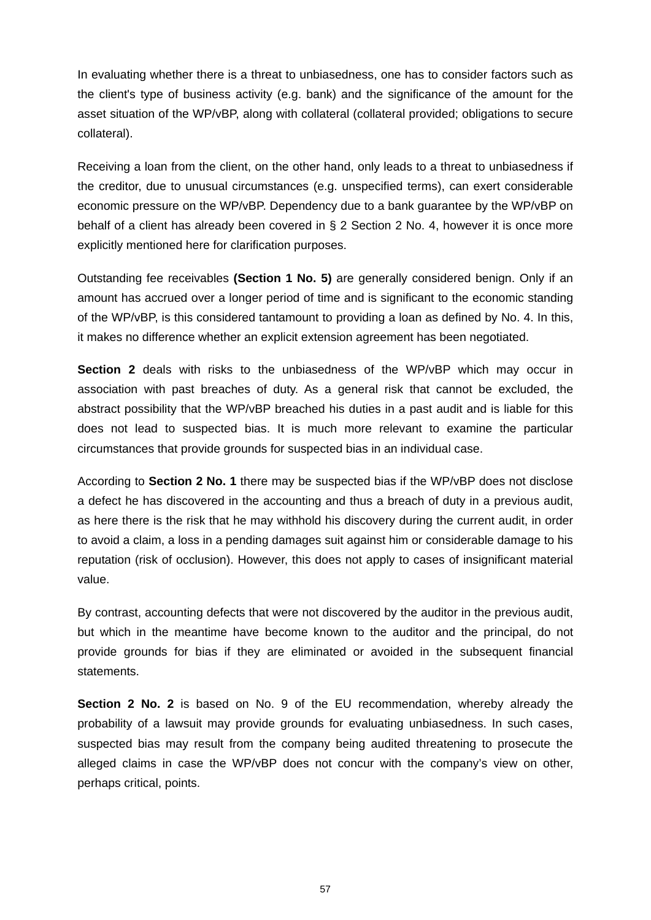In evaluating whether there is a threat to unbiasedness, one has to consider factors such as the client's type of business activity (e.g. bank) and the significance of the amount for the asset situation of the WP/vBP, along with collateral (collateral provided; obligations to secure collateral).

Receiving a loan from the client, on the other hand, only leads to a threat to unbiasedness if the creditor, due to unusual circumstances (e.g. unspecified terms), can exert considerable economic pressure on the WP/vBP. Dependency due to a bank guarantee by the WP/vBP on behalf of a client has already been covered in § 2 Section 2 No. 4, however it is once more explicitly mentioned here for clarification purposes.

Outstanding fee receivables **(Section 1 No. 5)** are generally considered benign. Only if an amount has accrued over a longer period of time and is significant to the economic standing of the WP/vBP, is this considered tantamount to providing a loan as defined by No. 4. In this, it makes no difference whether an explicit extension agreement has been negotiated.

**Section 2** deals with risks to the unbiasedness of the WP/vBP which may occur in association with past breaches of duty. As a general risk that cannot be excluded, the abstract possibility that the WP/vBP breached his duties in a past audit and is liable for this does not lead to suspected bias. It is much more relevant to examine the particular circumstances that provide grounds for suspected bias in an individual case.

According to **Section 2 No. 1** there may be suspected bias if the WP/vBP does not disclose a defect he has discovered in the accounting and thus a breach of duty in a previous audit, as here there is the risk that he may withhold his discovery during the current audit, in order to avoid a claim, a loss in a pending damages suit against him or considerable damage to his reputation (risk of occlusion). However, this does not apply to cases of insignificant material value.

By contrast, accounting defects that were not discovered by the auditor in the previous audit, but which in the meantime have become known to the auditor and the principal, do not provide grounds for bias if they are eliminated or avoided in the subsequent financial statements.

**Section 2 No. 2** is based on No. 9 of the EU recommendation, whereby already the probability of a lawsuit may provide grounds for evaluating unbiasedness. In such cases, suspected bias may result from the company being audited threatening to prosecute the alleged claims in case the WP/vBP does not concur with the company's view on other, perhaps critical, points.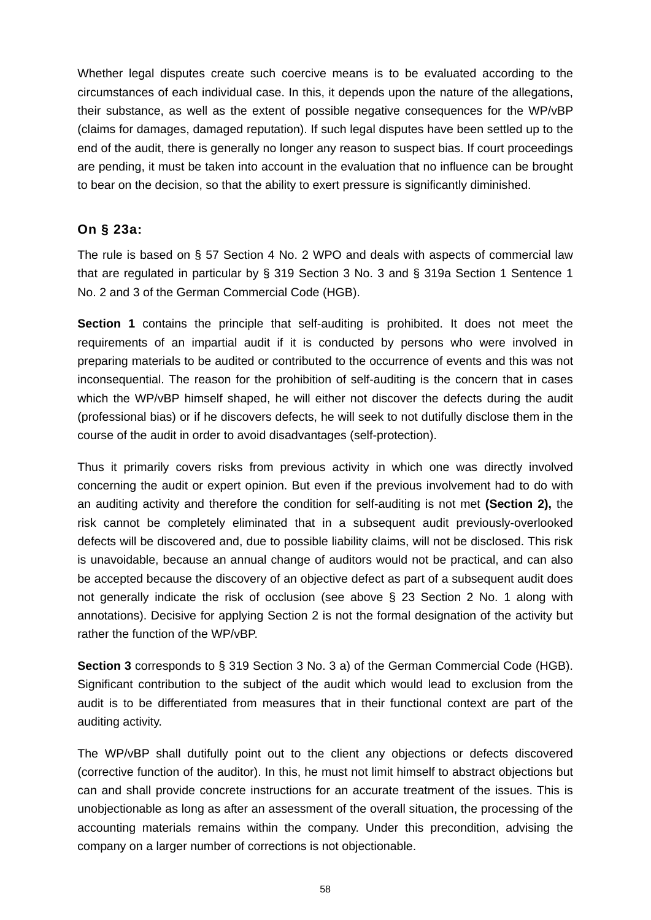Whether legal disputes create such coercive means is to be evaluated according to the circumstances of each individual case. In this, it depends upon the nature of the allegations, their substance, as well as the extent of possible negative consequences for the WP/vBP (claims for damages, damaged reputation). If such legal disputes have been settled up to the end of the audit, there is generally no longer any reason to suspect bias. If court proceedings are pending, it must be taken into account in the evaluation that no influence can be brought to bear on the decision, so that the ability to exert pressure is significantly diminished.

## **On § 23a:**

The rule is based on § 57 Section 4 No. 2 WPO and deals with aspects of commercial law that are regulated in particular by § 319 Section 3 No. 3 and § 319a Section 1 Sentence 1 No. 2 and 3 of the German Commercial Code (HGB).

**Section 1** contains the principle that self-auditing is prohibited. It does not meet the requirements of an impartial audit if it is conducted by persons who were involved in preparing materials to be audited or contributed to the occurrence of events and this was not inconsequential. The reason for the prohibition of self-auditing is the concern that in cases which the WP/vBP himself shaped, he will either not discover the defects during the audit (professional bias) or if he discovers defects, he will seek to not dutifully disclose them in the course of the audit in order to avoid disadvantages (self-protection).

Thus it primarily covers risks from previous activity in which one was directly involved concerning the audit or expert opinion. But even if the previous involvement had to do with an auditing activity and therefore the condition for self-auditing is not met **(Section 2),** the risk cannot be completely eliminated that in a subsequent audit previously-overlooked defects will be discovered and, due to possible liability claims, will not be disclosed. This risk is unavoidable, because an annual change of auditors would not be practical, and can also be accepted because the discovery of an objective defect as part of a subsequent audit does not generally indicate the risk of occlusion (see above  $\S$  23 Section 2 No. 1 along with annotations). Decisive for applying Section 2 is not the formal designation of the activity but rather the function of the WP/vBP.

**Section 3** corresponds to § 319 Section 3 No. 3 a) of the German Commercial Code (HGB). Significant contribution to the subject of the audit which would lead to exclusion from the audit is to be differentiated from measures that in their functional context are part of the auditing activity.

The WP/vBP shall dutifully point out to the client any objections or defects discovered (corrective function of the auditor). In this, he must not limit himself to abstract objections but can and shall provide concrete instructions for an accurate treatment of the issues. This is unobjectionable as long as after an assessment of the overall situation, the processing of the accounting materials remains within the company. Under this precondition, advising the company on a larger number of corrections is not objectionable.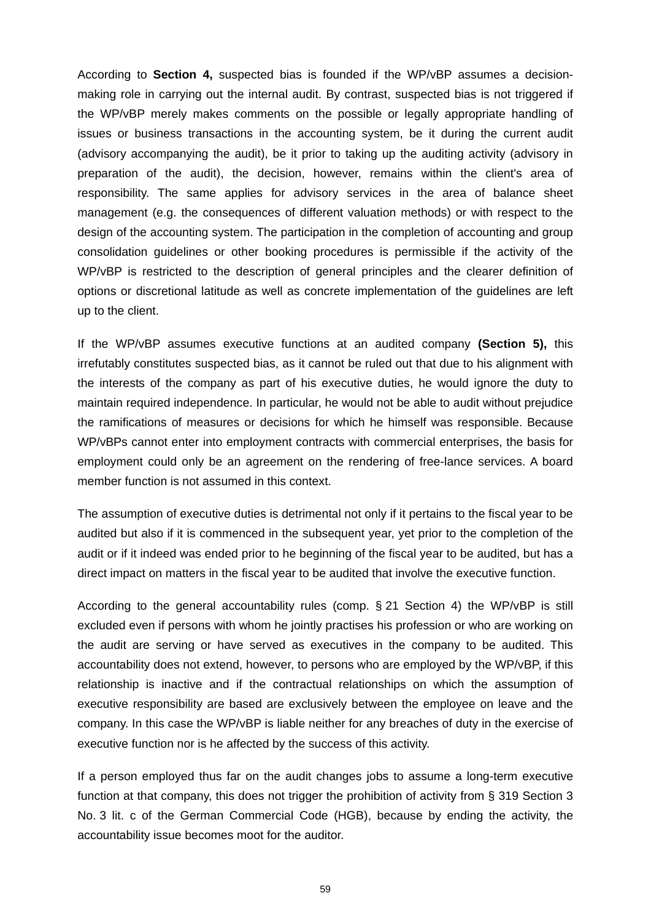According to **Section 4,** suspected bias is founded if the WP/vBP assumes a decisionmaking role in carrying out the internal audit. By contrast, suspected bias is not triggered if the WP/vBP merely makes comments on the possible or legally appropriate handling of issues or business transactions in the accounting system, be it during the current audit (advisory accompanying the audit), be it prior to taking up the auditing activity (advisory in preparation of the audit), the decision, however, remains within the client's area of responsibility. The same applies for advisory services in the area of balance sheet management (e.g. the consequences of different valuation methods) or with respect to the design of the accounting system. The participation in the completion of accounting and group consolidation guidelines or other booking procedures is permissible if the activity of the WP/vBP is restricted to the description of general principles and the clearer definition of options or discretional latitude as well as concrete implementation of the guidelines are left up to the client.

If the WP/vBP assumes executive functions at an audited company **(Section 5),** this irrefutably constitutes suspected bias, as it cannot be ruled out that due to his alignment with the interests of the company as part of his executive duties, he would ignore the duty to maintain required independence. In particular, he would not be able to audit without prejudice the ramifications of measures or decisions for which he himself was responsible. Because WP/vBPs cannot enter into employment contracts with commercial enterprises, the basis for employment could only be an agreement on the rendering of free-lance services. A board member function is not assumed in this context.

The assumption of executive duties is detrimental not only if it pertains to the fiscal year to be audited but also if it is commenced in the subsequent year, yet prior to the completion of the audit or if it indeed was ended prior to he beginning of the fiscal year to be audited, but has a direct impact on matters in the fiscal year to be audited that involve the executive function.

According to the general accountability rules (comp. § 21 Section 4) the WP/vBP is still excluded even if persons with whom he jointly practises his profession or who are working on the audit are serving or have served as executives in the company to be audited. This accountability does not extend, however, to persons who are employed by the WP/vBP, if this relationship is inactive and if the contractual relationships on which the assumption of executive responsibility are based are exclusively between the employee on leave and the company. In this case the WP/vBP is liable neither for any breaches of duty in the exercise of executive function nor is he affected by the success of this activity.

If a person employed thus far on the audit changes jobs to assume a long-term executive function at that company, this does not trigger the prohibition of activity from § 319 Section 3 No. 3 lit. c of the German Commercial Code (HGB), because by ending the activity, the accountability issue becomes moot for the auditor.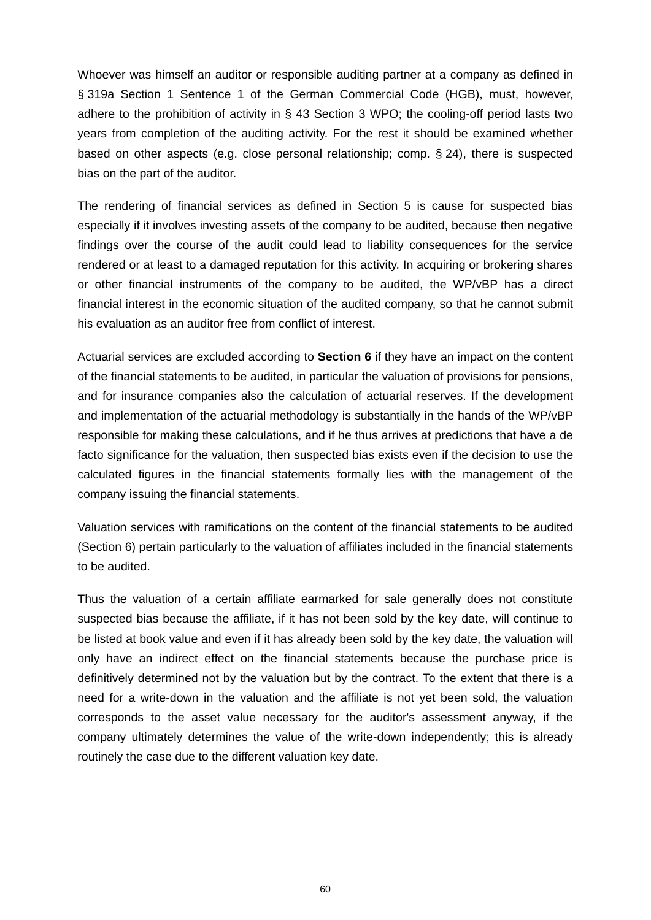Whoever was himself an auditor or responsible auditing partner at a company as defined in § 319a Section 1 Sentence 1 of the German Commercial Code (HGB), must, however, adhere to the prohibition of activity in § 43 Section 3 WPO; the cooling-off period lasts two years from completion of the auditing activity. For the rest it should be examined whether based on other aspects (e.g. close personal relationship; comp. § 24), there is suspected bias on the part of the auditor.

The rendering of financial services as defined in Section 5 is cause for suspected bias especially if it involves investing assets of the company to be audited, because then negative findings over the course of the audit could lead to liability consequences for the service rendered or at least to a damaged reputation for this activity. In acquiring or brokering shares or other financial instruments of the company to be audited, the WP/vBP has a direct financial interest in the economic situation of the audited company, so that he cannot submit his evaluation as an auditor free from conflict of interest.

Actuarial services are excluded according to **Section 6** if they have an impact on the content of the financial statements to be audited, in particular the valuation of provisions for pensions, and for insurance companies also the calculation of actuarial reserves. If the development and implementation of the actuarial methodology is substantially in the hands of the WP/vBP responsible for making these calculations, and if he thus arrives at predictions that have a de facto significance for the valuation, then suspected bias exists even if the decision to use the calculated figures in the financial statements formally lies with the management of the company issuing the financial statements.

Valuation services with ramifications on the content of the financial statements to be audited (Section 6) pertain particularly to the valuation of affiliates included in the financial statements to be audited.

Thus the valuation of a certain affiliate earmarked for sale generally does not constitute suspected bias because the affiliate, if it has not been sold by the key date, will continue to be listed at book value and even if it has already been sold by the key date, the valuation will only have an indirect effect on the financial statements because the purchase price is definitively determined not by the valuation but by the contract. To the extent that there is a need for a write-down in the valuation and the affiliate is not yet been sold, the valuation corresponds to the asset value necessary for the auditor's assessment anyway, if the company ultimately determines the value of the write-down independently; this is already routinely the case due to the different valuation key date.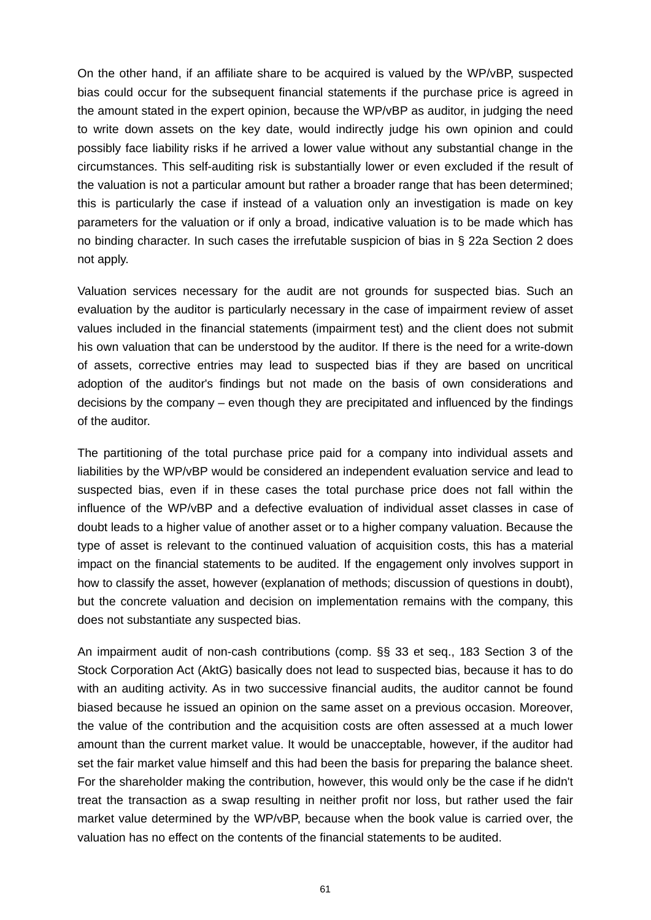On the other hand, if an affiliate share to be acquired is valued by the WP/vBP, suspected bias could occur for the subsequent financial statements if the purchase price is agreed in the amount stated in the expert opinion, because the WP/vBP as auditor, in judging the need to write down assets on the key date, would indirectly judge his own opinion and could possibly face liability risks if he arrived a lower value without any substantial change in the circumstances. This self-auditing risk is substantially lower or even excluded if the result of the valuation is not a particular amount but rather a broader range that has been determined; this is particularly the case if instead of a valuation only an investigation is made on key parameters for the valuation or if only a broad, indicative valuation is to be made which has no binding character. In such cases the irrefutable suspicion of bias in § 22a Section 2 does not apply.

Valuation services necessary for the audit are not grounds for suspected bias. Such an evaluation by the auditor is particularly necessary in the case of impairment review of asset values included in the financial statements (impairment test) and the client does not submit his own valuation that can be understood by the auditor. If there is the need for a write-down of assets, corrective entries may lead to suspected bias if they are based on uncritical adoption of the auditor's findings but not made on the basis of own considerations and decisions by the company – even though they are precipitated and influenced by the findings of the auditor.

The partitioning of the total purchase price paid for a company into individual assets and liabilities by the WP/vBP would be considered an independent evaluation service and lead to suspected bias, even if in these cases the total purchase price does not fall within the influence of the WP/vBP and a defective evaluation of individual asset classes in case of doubt leads to a higher value of another asset or to a higher company valuation. Because the type of asset is relevant to the continued valuation of acquisition costs, this has a material impact on the financial statements to be audited. If the engagement only involves support in how to classify the asset, however (explanation of methods; discussion of questions in doubt), but the concrete valuation and decision on implementation remains with the company, this does not substantiate any suspected bias.

An impairment audit of non-cash contributions (comp. §§ 33 et seq., 183 Section 3 of the Stock Corporation Act (AktG) basically does not lead to suspected bias, because it has to do with an auditing activity. As in two successive financial audits, the auditor cannot be found biased because he issued an opinion on the same asset on a previous occasion. Moreover, the value of the contribution and the acquisition costs are often assessed at a much lower amount than the current market value. It would be unacceptable, however, if the auditor had set the fair market value himself and this had been the basis for preparing the balance sheet. For the shareholder making the contribution, however, this would only be the case if he didn't treat the transaction as a swap resulting in neither profit nor loss, but rather used the fair market value determined by the WP/vBP, because when the book value is carried over, the valuation has no effect on the contents of the financial statements to be audited.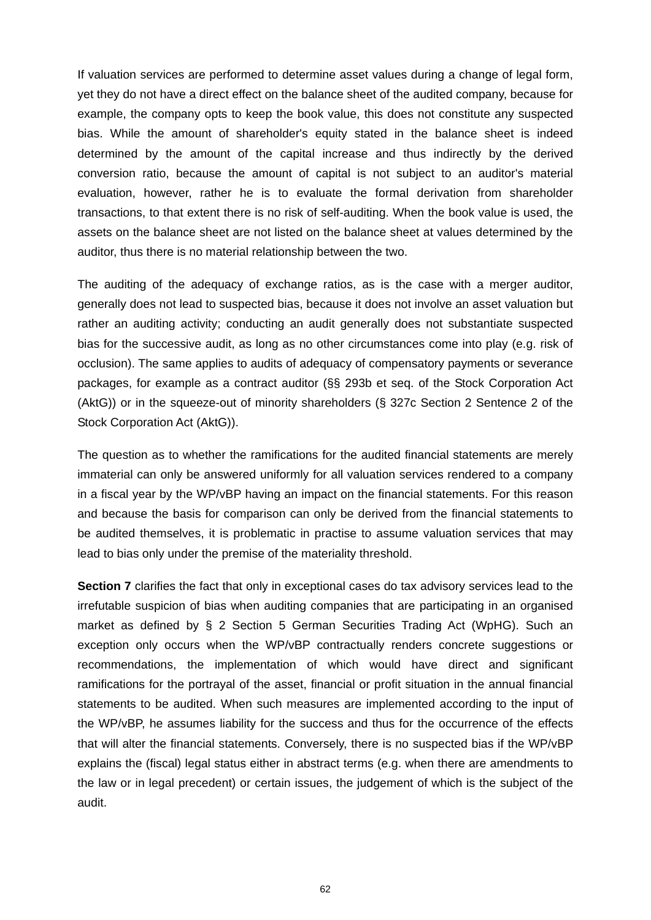If valuation services are performed to determine asset values during a change of legal form, yet they do not have a direct effect on the balance sheet of the audited company, because for example, the company opts to keep the book value, this does not constitute any suspected bias. While the amount of shareholder's equity stated in the balance sheet is indeed determined by the amount of the capital increase and thus indirectly by the derived conversion ratio, because the amount of capital is not subject to an auditor's material evaluation, however, rather he is to evaluate the formal derivation from shareholder transactions, to that extent there is no risk of self-auditing. When the book value is used, the assets on the balance sheet are not listed on the balance sheet at values determined by the auditor, thus there is no material relationship between the two.

The auditing of the adequacy of exchange ratios, as is the case with a merger auditor, generally does not lead to suspected bias, because it does not involve an asset valuation but rather an auditing activity; conducting an audit generally does not substantiate suspected bias for the successive audit, as long as no other circumstances come into play (e.g. risk of occlusion). The same applies to audits of adequacy of compensatory payments or severance packages, for example as a contract auditor (§§ 293b et seq. of the Stock Corporation Act (AktG)) or in the squeeze-out of minority shareholders (§ 327c Section 2 Sentence 2 of the Stock Corporation Act (AktG)).

The question as to whether the ramifications for the audited financial statements are merely immaterial can only be answered uniformly for all valuation services rendered to a company in a fiscal year by the WP/vBP having an impact on the financial statements. For this reason and because the basis for comparison can only be derived from the financial statements to be audited themselves, it is problematic in practise to assume valuation services that may lead to bias only under the premise of the materiality threshold.

**Section 7** clarifies the fact that only in exceptional cases do tax advisory services lead to the irrefutable suspicion of bias when auditing companies that are participating in an organised market as defined by § 2 Section 5 German Securities Trading Act (WpHG). Such an exception only occurs when the WP/vBP contractually renders concrete suggestions or recommendations, the implementation of which would have direct and significant ramifications for the portrayal of the asset, financial or profit situation in the annual financial statements to be audited. When such measures are implemented according to the input of the WP/vBP, he assumes liability for the success and thus for the occurrence of the effects that will alter the financial statements. Conversely, there is no suspected bias if the WP/vBP explains the (fiscal) legal status either in abstract terms (e.g. when there are amendments to the law or in legal precedent) or certain issues, the judgement of which is the subject of the audit.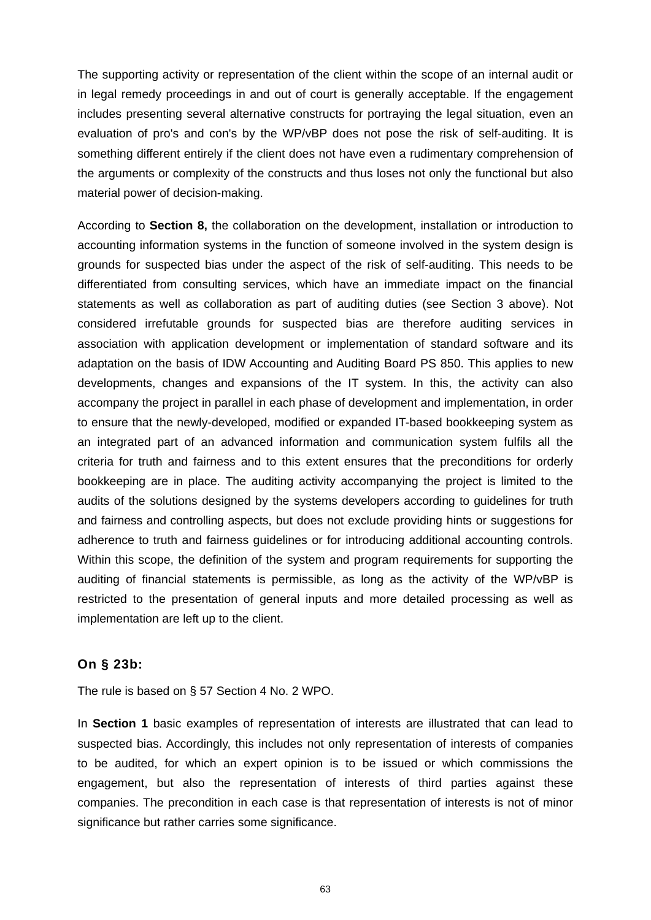The supporting activity or representation of the client within the scope of an internal audit or in legal remedy proceedings in and out of court is generally acceptable. If the engagement includes presenting several alternative constructs for portraying the legal situation, even an evaluation of pro's and con's by the WP/vBP does not pose the risk of self-auditing. It is something different entirely if the client does not have even a rudimentary comprehension of the arguments or complexity of the constructs and thus loses not only the functional but also material power of decision-making.

According to **Section 8,** the collaboration on the development, installation or introduction to accounting information systems in the function of someone involved in the system design is grounds for suspected bias under the aspect of the risk of self-auditing. This needs to be differentiated from consulting services, which have an immediate impact on the financial statements as well as collaboration as part of auditing duties (see Section 3 above). Not considered irrefutable grounds for suspected bias are therefore auditing services in association with application development or implementation of standard software and its adaptation on the basis of IDW Accounting and Auditing Board PS 850. This applies to new developments, changes and expansions of the IT system. In this, the activity can also accompany the project in parallel in each phase of development and implementation, in order to ensure that the newly-developed, modified or expanded IT-based bookkeeping system as an integrated part of an advanced information and communication system fulfils all the criteria for truth and fairness and to this extent ensures that the preconditions for orderly bookkeeping are in place. The auditing activity accompanying the project is limited to the audits of the solutions designed by the systems developers according to guidelines for truth and fairness and controlling aspects, but does not exclude providing hints or suggestions for adherence to truth and fairness guidelines or for introducing additional accounting controls. Within this scope, the definition of the system and program requirements for supporting the auditing of financial statements is permissible, as long as the activity of the WP/vBP is restricted to the presentation of general inputs and more detailed processing as well as implementation are left up to the client.

#### **On § 23b:**

The rule is based on § 57 Section 4 No. 2 WPO.

In **Section 1** basic examples of representation of interests are illustrated that can lead to suspected bias. Accordingly, this includes not only representation of interests of companies to be audited, for which an expert opinion is to be issued or which commissions the engagement, but also the representation of interests of third parties against these companies. The precondition in each case is that representation of interests is not of minor significance but rather carries some significance.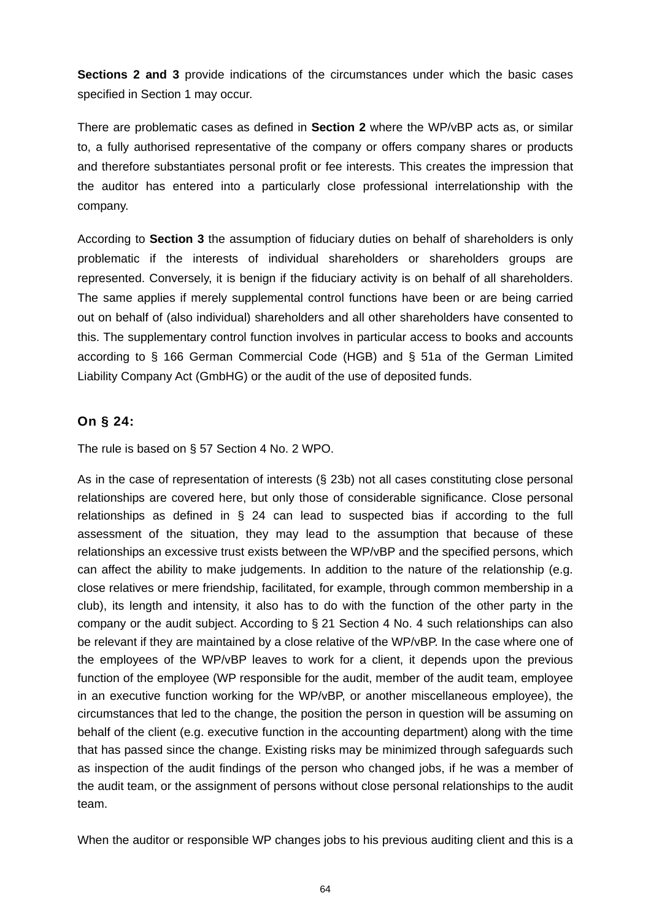**Sections 2 and 3** provide indications of the circumstances under which the basic cases specified in Section 1 may occur.

There are problematic cases as defined in **Section 2** where the WP/vBP acts as, or similar to, a fully authorised representative of the company or offers company shares or products and therefore substantiates personal profit or fee interests. This creates the impression that the auditor has entered into a particularly close professional interrelationship with the company.

According to **Section 3** the assumption of fiduciary duties on behalf of shareholders is only problematic if the interests of individual shareholders or shareholders groups are represented. Conversely, it is benign if the fiduciary activity is on behalf of all shareholders. The same applies if merely supplemental control functions have been or are being carried out on behalf of (also individual) shareholders and all other shareholders have consented to this. The supplementary control function involves in particular access to books and accounts according to § 166 German Commercial Code (HGB) and § 51a of the German Limited Liability Company Act (GmbHG) or the audit of the use of deposited funds.

# **On § 24:**

The rule is based on § 57 Section 4 No. 2 WPO.

As in the case of representation of interests (§ 23b) not all cases constituting close personal relationships are covered here, but only those of considerable significance. Close personal relationships as defined in § 24 can lead to suspected bias if according to the full assessment of the situation, they may lead to the assumption that because of these relationships an excessive trust exists between the WP/vBP and the specified persons, which can affect the ability to make judgements. In addition to the nature of the relationship (e.g. close relatives or mere friendship, facilitated, for example, through common membership in a club), its length and intensity, it also has to do with the function of the other party in the company or the audit subject. According to § 21 Section 4 No. 4 such relationships can also be relevant if they are maintained by a close relative of the WP/vBP. In the case where one of the employees of the WP/vBP leaves to work for a client, it depends upon the previous function of the employee (WP responsible for the audit, member of the audit team, employee in an executive function working for the WP/vBP, or another miscellaneous employee), the circumstances that led to the change, the position the person in question will be assuming on behalf of the client (e.g. executive function in the accounting department) along with the time that has passed since the change. Existing risks may be minimized through safeguards such as inspection of the audit findings of the person who changed jobs, if he was a member of the audit team, or the assignment of persons without close personal relationships to the audit team.

When the auditor or responsible WP changes jobs to his previous auditing client and this is a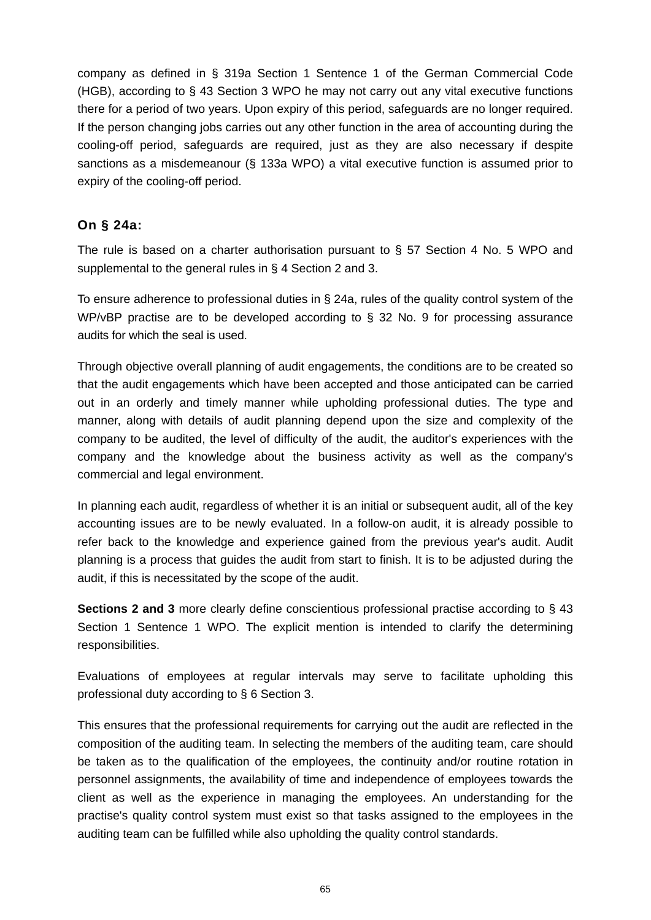company as defined in § 319a Section 1 Sentence 1 of the German Commercial Code (HGB), according to § 43 Section 3 WPO he may not carry out any vital executive functions there for a period of two years. Upon expiry of this period, safeguards are no longer required. If the person changing jobs carries out any other function in the area of accounting during the cooling-off period, safeguards are required, just as they are also necessary if despite sanctions as a misdemeanour (§ 133a WPO) a vital executive function is assumed prior to expiry of the cooling-off period.

## **On § 24a:**

The rule is based on a charter authorisation pursuant to § 57 Section 4 No. 5 WPO and supplemental to the general rules in § 4 Section 2 and 3.

To ensure adherence to professional duties in § 24a, rules of the quality control system of the WP/vBP practise are to be developed according to § 32 No. 9 for processing assurance audits for which the seal is used.

Through objective overall planning of audit engagements, the conditions are to be created so that the audit engagements which have been accepted and those anticipated can be carried out in an orderly and timely manner while upholding professional duties. The type and manner, along with details of audit planning depend upon the size and complexity of the company to be audited, the level of difficulty of the audit, the auditor's experiences with the company and the knowledge about the business activity as well as the company's commercial and legal environment.

In planning each audit, regardless of whether it is an initial or subsequent audit, all of the key accounting issues are to be newly evaluated. In a follow-on audit, it is already possible to refer back to the knowledge and experience gained from the previous year's audit. Audit planning is a process that guides the audit from start to finish. It is to be adjusted during the audit, if this is necessitated by the scope of the audit.

**Sections 2 and 3** more clearly define conscientious professional practise according to § 43 Section 1 Sentence 1 WPO. The explicit mention is intended to clarify the determining responsibilities.

Evaluations of employees at regular intervals may serve to facilitate upholding this professional duty according to § 6 Section 3.

This ensures that the professional requirements for carrying out the audit are reflected in the composition of the auditing team. In selecting the members of the auditing team, care should be taken as to the qualification of the employees, the continuity and/or routine rotation in personnel assignments, the availability of time and independence of employees towards the client as well as the experience in managing the employees. An understanding for the practise's quality control system must exist so that tasks assigned to the employees in the auditing team can be fulfilled while also upholding the quality control standards.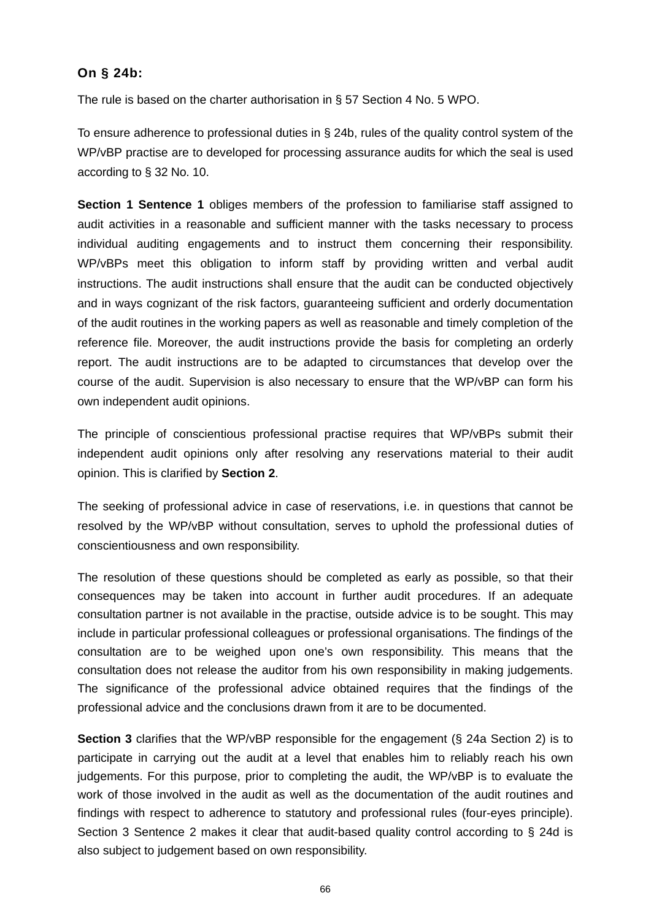#### **On § 24b:**

The rule is based on the charter authorisation in § 57 Section 4 No. 5 WPO.

To ensure adherence to professional duties in § 24b, rules of the quality control system of the WP/vBP practise are to developed for processing assurance audits for which the seal is used according to § 32 No. 10.

**Section 1 Sentence 1** obliges members of the profession to familiarise staff assigned to audit activities in a reasonable and sufficient manner with the tasks necessary to process individual auditing engagements and to instruct them concerning their responsibility. WP/vBPs meet this obligation to inform staff by providing written and verbal audit instructions. The audit instructions shall ensure that the audit can be conducted objectively and in ways cognizant of the risk factors, guaranteeing sufficient and orderly documentation of the audit routines in the working papers as well as reasonable and timely completion of the reference file. Moreover, the audit instructions provide the basis for completing an orderly report. The audit instructions are to be adapted to circumstances that develop over the course of the audit. Supervision is also necessary to ensure that the WP/vBP can form his own independent audit opinions.

The principle of conscientious professional practise requires that WP/vBPs submit their independent audit opinions only after resolving any reservations material to their audit opinion. This is clarified by **Section 2**.

The seeking of professional advice in case of reservations, i.e. in questions that cannot be resolved by the WP/vBP without consultation, serves to uphold the professional duties of conscientiousness and own responsibility.

The resolution of these questions should be completed as early as possible, so that their consequences may be taken into account in further audit procedures. If an adequate consultation partner is not available in the practise, outside advice is to be sought. This may include in particular professional colleagues or professional organisations. The findings of the consultation are to be weighed upon one's own responsibility. This means that the consultation does not release the auditor from his own responsibility in making judgements. The significance of the professional advice obtained requires that the findings of the professional advice and the conclusions drawn from it are to be documented.

**Section 3** clarifies that the WP/vBP responsible for the engagement (§ 24a Section 2) is to participate in carrying out the audit at a level that enables him to reliably reach his own judgements. For this purpose, prior to completing the audit, the WP/vBP is to evaluate the work of those involved in the audit as well as the documentation of the audit routines and findings with respect to adherence to statutory and professional rules (four-eyes principle). Section 3 Sentence 2 makes it clear that audit-based quality control according to § 24d is also subject to judgement based on own responsibility.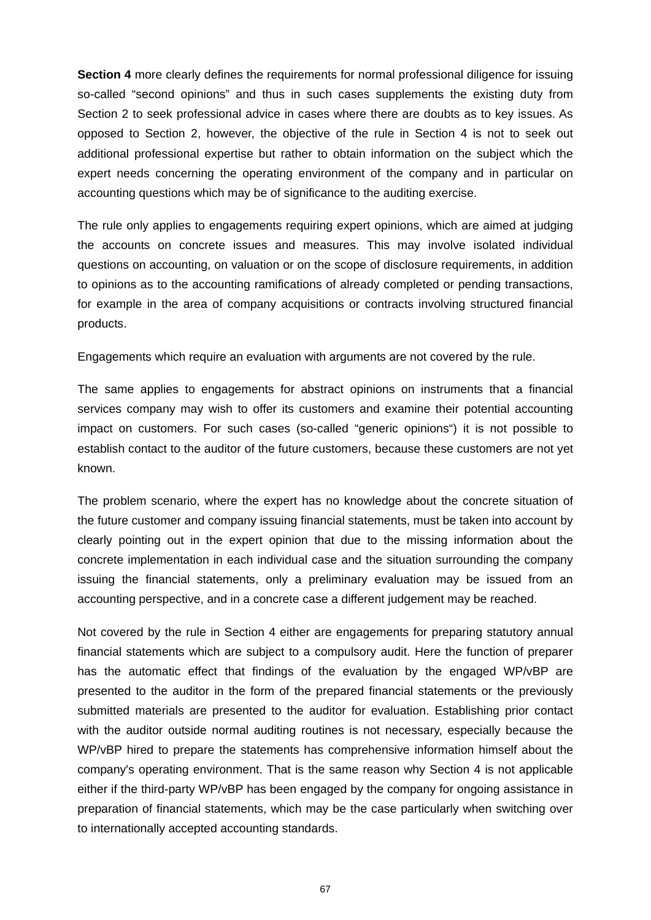**Section 4** more clearly defines the requirements for normal professional diligence for issuing so-called "second opinions" and thus in such cases supplements the existing duty from Section 2 to seek professional advice in cases where there are doubts as to key issues. As opposed to Section 2, however, the objective of the rule in Section 4 is not to seek out additional professional expertise but rather to obtain information on the subject which the expert needs concerning the operating environment of the company and in particular on accounting questions which may be of significance to the auditing exercise.

The rule only applies to engagements requiring expert opinions, which are aimed at judging the accounts on concrete issues and measures. This may involve isolated individual questions on accounting, on valuation or on the scope of disclosure requirements, in addition to opinions as to the accounting ramifications of already completed or pending transactions, for example in the area of company acquisitions or contracts involving structured financial products.

Engagements which require an evaluation with arguments are not covered by the rule.

The same applies to engagements for abstract opinions on instruments that a financial services company may wish to offer its customers and examine their potential accounting impact on customers. For such cases (so-called "generic opinions") it is not possible to establish contact to the auditor of the future customers, because these customers are not yet known.

The problem scenario, where the expert has no knowledge about the concrete situation of the future customer and company issuing financial statements, must be taken into account by clearly pointing out in the expert opinion that due to the missing information about the concrete implementation in each individual case and the situation surrounding the company issuing the financial statements, only a preliminary evaluation may be issued from an accounting perspective, and in a concrete case a different judgement may be reached.

Not covered by the rule in Section 4 either are engagements for preparing statutory annual financial statements which are subject to a compulsory audit. Here the function of preparer has the automatic effect that findings of the evaluation by the engaged WP/vBP are presented to the auditor in the form of the prepared financial statements or the previously submitted materials are presented to the auditor for evaluation. Establishing prior contact with the auditor outside normal auditing routines is not necessary, especially because the WP/vBP hired to prepare the statements has comprehensive information himself about the company's operating environment. That is the same reason why Section 4 is not applicable either if the third-party WP/vBP has been engaged by the company for ongoing assistance in preparation of financial statements, which may be the case particularly when switching over to internationally accepted accounting standards.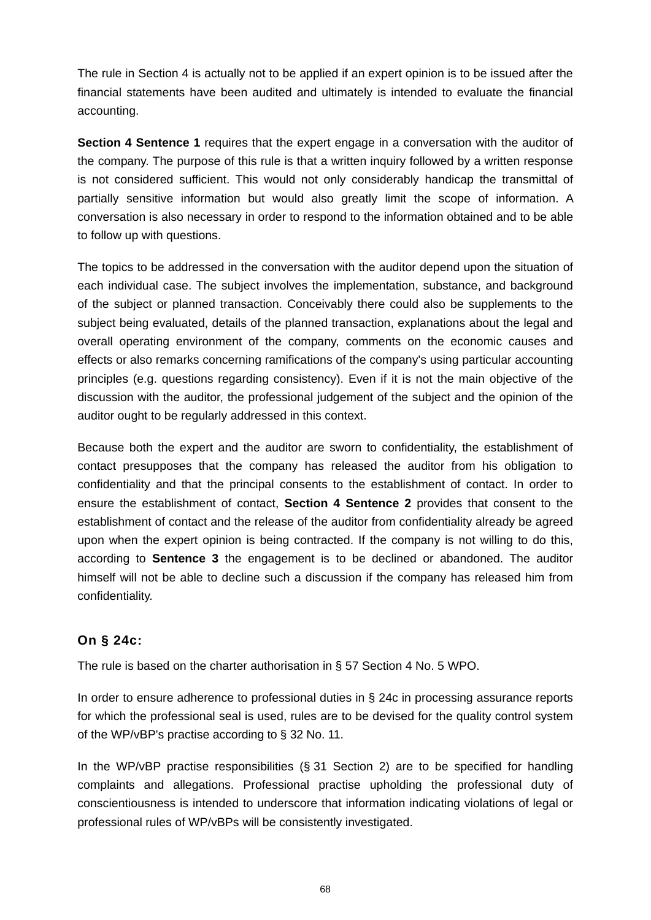The rule in Section 4 is actually not to be applied if an expert opinion is to be issued after the financial statements have been audited and ultimately is intended to evaluate the financial accounting.

**Section 4 Sentence 1** requires that the expert engage in a conversation with the auditor of the company. The purpose of this rule is that a written inquiry followed by a written response is not considered sufficient. This would not only considerably handicap the transmittal of partially sensitive information but would also greatly limit the scope of information. A conversation is also necessary in order to respond to the information obtained and to be able to follow up with questions.

The topics to be addressed in the conversation with the auditor depend upon the situation of each individual case. The subject involves the implementation, substance, and background of the subject or planned transaction. Conceivably there could also be supplements to the subject being evaluated, details of the planned transaction, explanations about the legal and overall operating environment of the company, comments on the economic causes and effects or also remarks concerning ramifications of the company's using particular accounting principles (e.g. questions regarding consistency). Even if it is not the main objective of the discussion with the auditor, the professional judgement of the subject and the opinion of the auditor ought to be regularly addressed in this context.

Because both the expert and the auditor are sworn to confidentiality, the establishment of contact presupposes that the company has released the auditor from his obligation to confidentiality and that the principal consents to the establishment of contact. In order to ensure the establishment of contact, **Section 4 Sentence 2** provides that consent to the establishment of contact and the release of the auditor from confidentiality already be agreed upon when the expert opinion is being contracted. If the company is not willing to do this, according to **Sentence 3** the engagement is to be declined or abandoned. The auditor himself will not be able to decline such a discussion if the company has released him from confidentiality.

# **On § 24c:**

The rule is based on the charter authorisation in § 57 Section 4 No. 5 WPO.

In order to ensure adherence to professional duties in § 24c in processing assurance reports for which the professional seal is used, rules are to be devised for the quality control system of the WP/vBP's practise according to § 32 No. 11.

In the WP/vBP practise responsibilities (§ 31 Section 2) are to be specified for handling complaints and allegations. Professional practise upholding the professional duty of conscientiousness is intended to underscore that information indicating violations of legal or professional rules of WP/vBPs will be consistently investigated.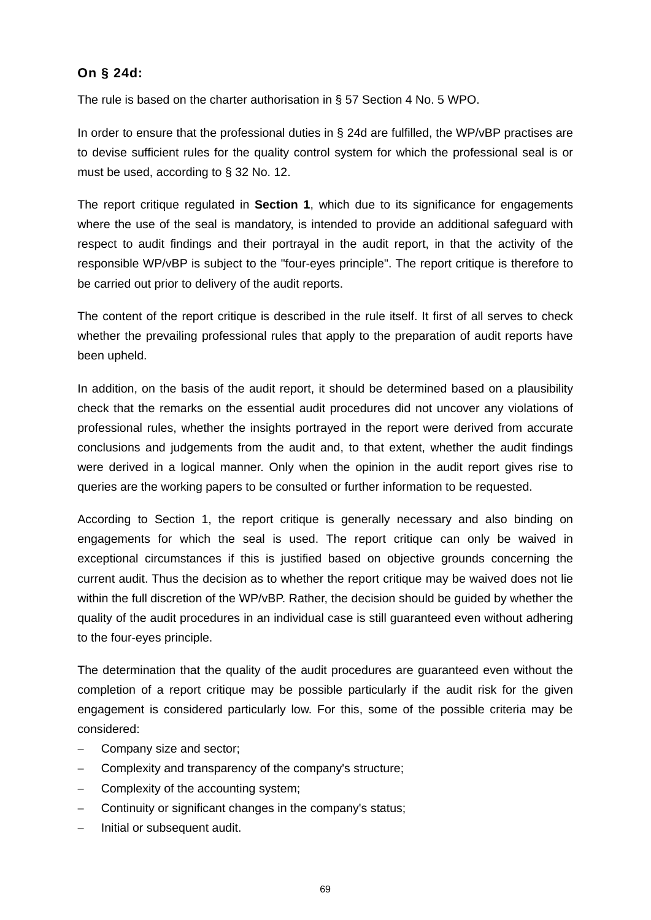## **On § 24d:**

The rule is based on the charter authorisation in § 57 Section 4 No. 5 WPO.

In order to ensure that the professional duties in § 24d are fulfilled, the WP/vBP practises are to devise sufficient rules for the quality control system for which the professional seal is or must be used, according to § 32 No. 12.

The report critique regulated in **Section 1**, which due to its significance for engagements where the use of the seal is mandatory, is intended to provide an additional safeguard with respect to audit findings and their portrayal in the audit report, in that the activity of the responsible WP/vBP is subject to the "four-eyes principle". The report critique is therefore to be carried out prior to delivery of the audit reports.

The content of the report critique is described in the rule itself. It first of all serves to check whether the prevailing professional rules that apply to the preparation of audit reports have been upheld.

In addition, on the basis of the audit report, it should be determined based on a plausibility check that the remarks on the essential audit procedures did not uncover any violations of professional rules, whether the insights portrayed in the report were derived from accurate conclusions and judgements from the audit and, to that extent, whether the audit findings were derived in a logical manner. Only when the opinion in the audit report gives rise to queries are the working papers to be consulted or further information to be requested.

According to Section 1, the report critique is generally necessary and also binding on engagements for which the seal is used. The report critique can only be waived in exceptional circumstances if this is justified based on objective grounds concerning the current audit. Thus the decision as to whether the report critique may be waived does not lie within the full discretion of the WP/vBP. Rather, the decision should be guided by whether the quality of the audit procedures in an individual case is still guaranteed even without adhering to the four-eyes principle.

The determination that the quality of the audit procedures are guaranteed even without the completion of a report critique may be possible particularly if the audit risk for the given engagement is considered particularly low. For this, some of the possible criteria may be considered:

- Company size and sector;
- Complexity and transparency of the company's structure;
- Complexity of the accounting system;
- Continuity or significant changes in the company's status:
- Initial or subsequent audit.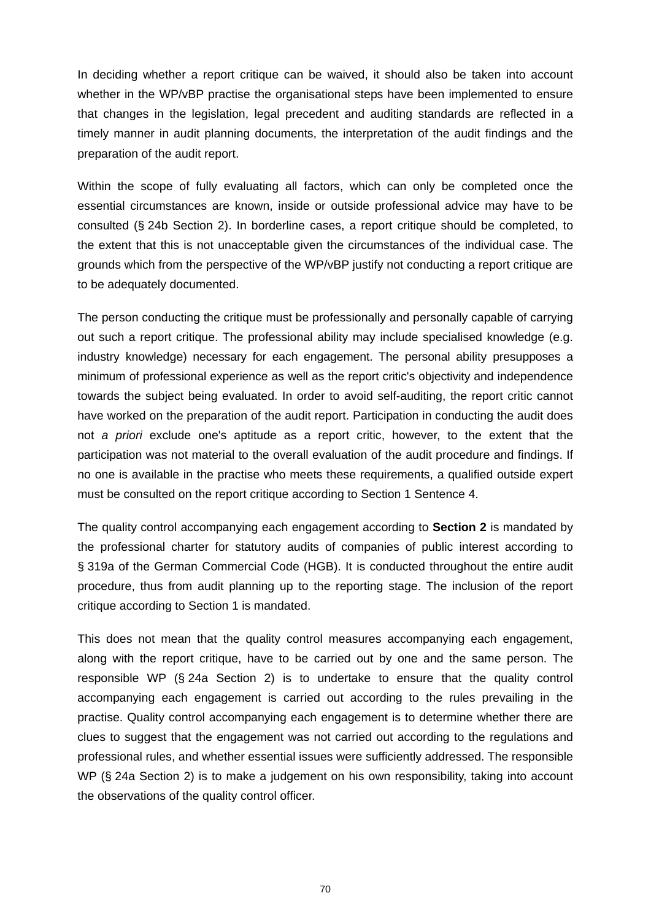In deciding whether a report critique can be waived, it should also be taken into account whether in the WP/vBP practise the organisational steps have been implemented to ensure that changes in the legislation, legal precedent and auditing standards are reflected in a timely manner in audit planning documents, the interpretation of the audit findings and the preparation of the audit report.

Within the scope of fully evaluating all factors, which can only be completed once the essential circumstances are known, inside or outside professional advice may have to be consulted (§ 24b Section 2). In borderline cases, a report critique should be completed, to the extent that this is not unacceptable given the circumstances of the individual case. The grounds which from the perspective of the WP/vBP justify not conducting a report critique are to be adequately documented.

The person conducting the critique must be professionally and personally capable of carrying out such a report critique. The professional ability may include specialised knowledge (e.g. industry knowledge) necessary for each engagement. The personal ability presupposes a minimum of professional experience as well as the report critic's objectivity and independence towards the subject being evaluated. In order to avoid self-auditing, the report critic cannot have worked on the preparation of the audit report. Participation in conducting the audit does not *a priori* exclude one's aptitude as a report critic, however, to the extent that the participation was not material to the overall evaluation of the audit procedure and findings. If no one is available in the practise who meets these requirements, a qualified outside expert must be consulted on the report critique according to Section 1 Sentence 4.

The quality control accompanying each engagement according to **Section 2** is mandated by the professional charter for statutory audits of companies of public interest according to § 319a of the German Commercial Code (HGB). It is conducted throughout the entire audit procedure, thus from audit planning up to the reporting stage. The inclusion of the report critique according to Section 1 is mandated.

This does not mean that the quality control measures accompanying each engagement, along with the report critique, have to be carried out by one and the same person. The responsible WP (§ 24a Section 2) is to undertake to ensure that the quality control accompanying each engagement is carried out according to the rules prevailing in the practise. Quality control accompanying each engagement is to determine whether there are clues to suggest that the engagement was not carried out according to the regulations and professional rules, and whether essential issues were sufficiently addressed. The responsible WP (§ 24a Section 2) is to make a judgement on his own responsibility, taking into account the observations of the quality control officer.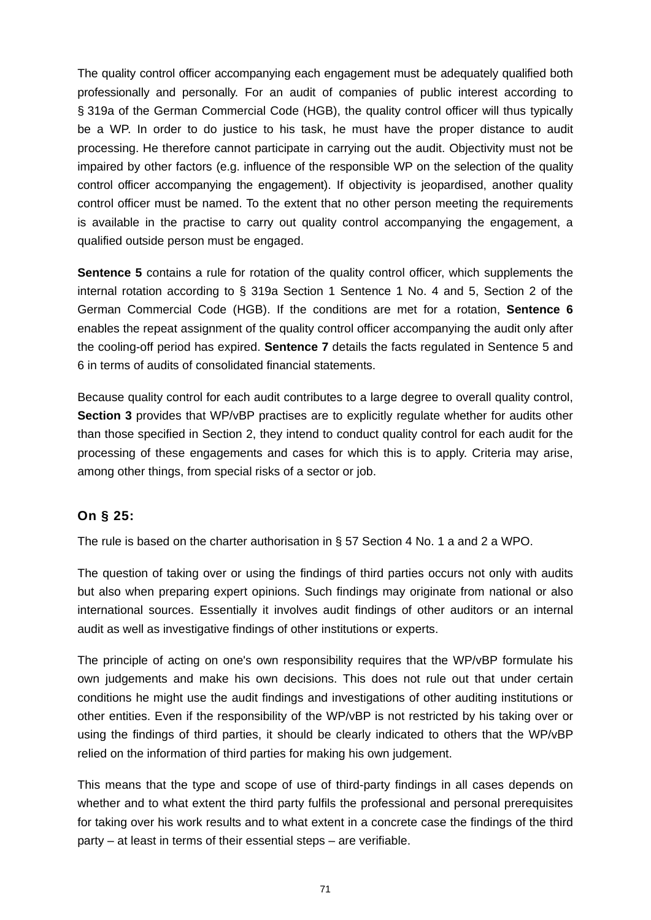The quality control officer accompanying each engagement must be adequately qualified both professionally and personally. For an audit of companies of public interest according to § 319a of the German Commercial Code (HGB), the quality control officer will thus typically be a WP. In order to do justice to his task, he must have the proper distance to audit processing. He therefore cannot participate in carrying out the audit. Objectivity must not be impaired by other factors (e.g. influence of the responsible WP on the selection of the quality control officer accompanying the engagement). If objectivity is jeopardised, another quality control officer must be named. To the extent that no other person meeting the requirements is available in the practise to carry out quality control accompanying the engagement, a qualified outside person must be engaged.

**Sentence 5** contains a rule for rotation of the quality control officer, which supplements the internal rotation according to § 319a Section 1 Sentence 1 No. 4 and 5, Section 2 of the German Commercial Code (HGB). If the conditions are met for a rotation, **Sentence 6**  enables the repeat assignment of the quality control officer accompanying the audit only after the cooling-off period has expired. **Sentence 7** details the facts regulated in Sentence 5 and 6 in terms of audits of consolidated financial statements.

Because quality control for each audit contributes to a large degree to overall quality control, **Section 3** provides that WP/vBP practises are to explicitly regulate whether for audits other than those specified in Section 2, they intend to conduct quality control for each audit for the processing of these engagements and cases for which this is to apply. Criteria may arise, among other things, from special risks of a sector or job.

# **On § 25:**

The rule is based on the charter authorisation in § 57 Section 4 No. 1 a and 2 a WPO.

The question of taking over or using the findings of third parties occurs not only with audits but also when preparing expert opinions. Such findings may originate from national or also international sources. Essentially it involves audit findings of other auditors or an internal audit as well as investigative findings of other institutions or experts.

The principle of acting on one's own responsibility requires that the WP/vBP formulate his own judgements and make his own decisions. This does not rule out that under certain conditions he might use the audit findings and investigations of other auditing institutions or other entities. Even if the responsibility of the WP/vBP is not restricted by his taking over or using the findings of third parties, it should be clearly indicated to others that the WP/vBP relied on the information of third parties for making his own judgement.

This means that the type and scope of use of third-party findings in all cases depends on whether and to what extent the third party fulfils the professional and personal prerequisites for taking over his work results and to what extent in a concrete case the findings of the third party – at least in terms of their essential steps – are verifiable.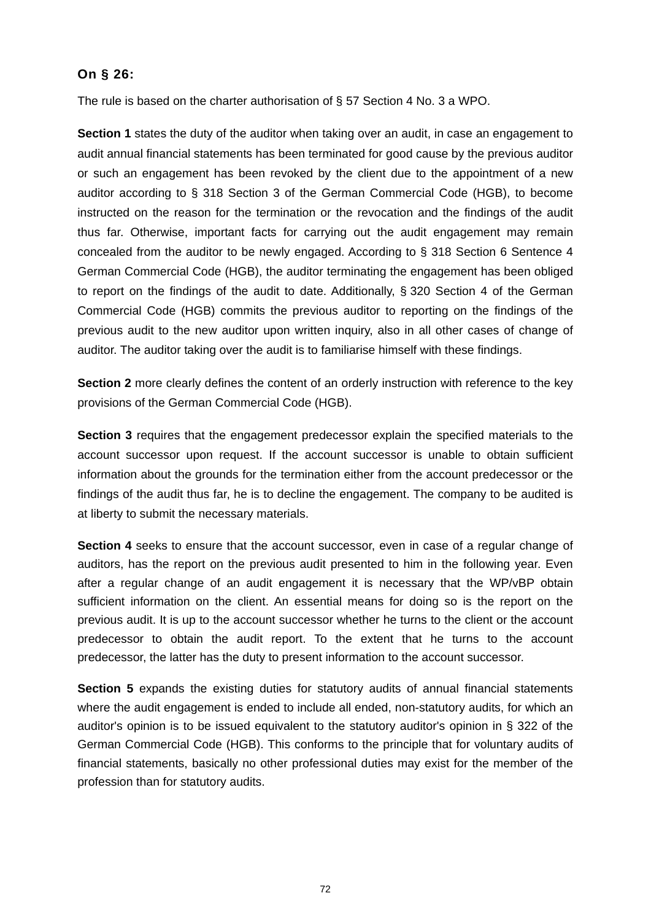## **On § 26:**

The rule is based on the charter authorisation of § 57 Section 4 No. 3 a WPO.

**Section 1** states the duty of the auditor when taking over an audit, in case an engagement to audit annual financial statements has been terminated for good cause by the previous auditor or such an engagement has been revoked by the client due to the appointment of a new auditor according to § 318 Section 3 of the German Commercial Code (HGB), to become instructed on the reason for the termination or the revocation and the findings of the audit thus far. Otherwise, important facts for carrying out the audit engagement may remain concealed from the auditor to be newly engaged. According to § 318 Section 6 Sentence 4 German Commercial Code (HGB), the auditor terminating the engagement has been obliged to report on the findings of the audit to date. Additionally, § 320 Section 4 of the German Commercial Code (HGB) commits the previous auditor to reporting on the findings of the previous audit to the new auditor upon written inquiry, also in all other cases of change of auditor. The auditor taking over the audit is to familiarise himself with these findings.

**Section 2** more clearly defines the content of an orderly instruction with reference to the key provisions of the German Commercial Code (HGB).

**Section 3** requires that the engagement predecessor explain the specified materials to the account successor upon request. If the account successor is unable to obtain sufficient information about the grounds for the termination either from the account predecessor or the findings of the audit thus far, he is to decline the engagement. The company to be audited is at liberty to submit the necessary materials.

**Section 4** seeks to ensure that the account successor, even in case of a regular change of auditors, has the report on the previous audit presented to him in the following year. Even after a regular change of an audit engagement it is necessary that the WP/vBP obtain sufficient information on the client. An essential means for doing so is the report on the previous audit. It is up to the account successor whether he turns to the client or the account predecessor to obtain the audit report. To the extent that he turns to the account predecessor, the latter has the duty to present information to the account successor.

**Section 5** expands the existing duties for statutory audits of annual financial statements where the audit engagement is ended to include all ended, non-statutory audits, for which an auditor's opinion is to be issued equivalent to the statutory auditor's opinion in § 322 of the German Commercial Code (HGB). This conforms to the principle that for voluntary audits of financial statements, basically no other professional duties may exist for the member of the profession than for statutory audits.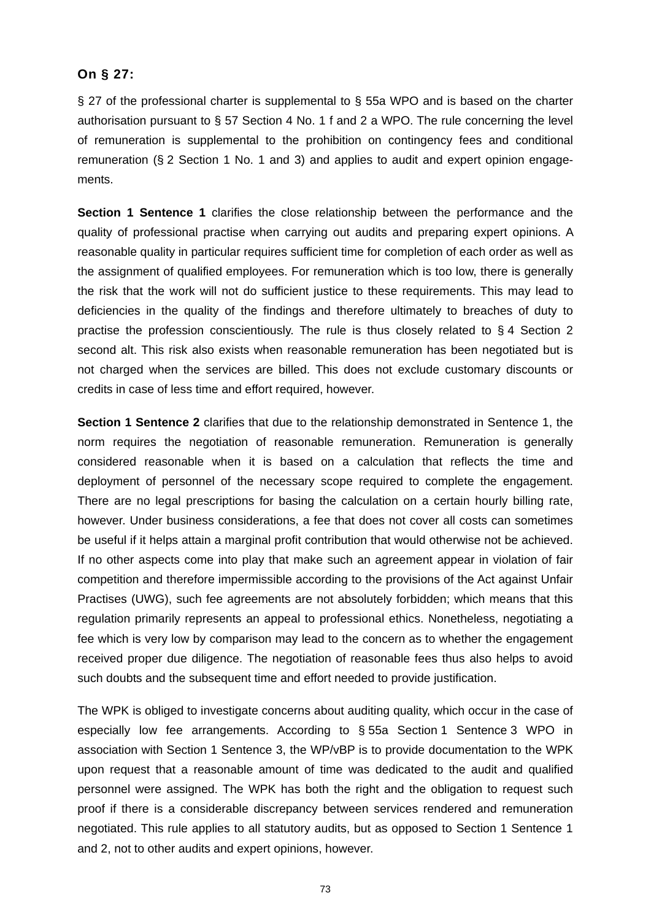### **On § 27:**

§ 27 of the professional charter is supplemental to § 55a WPO and is based on the charter authorisation pursuant to § 57 Section 4 No. 1 f and 2 a WPO. The rule concerning the level of remuneration is supplemental to the prohibition on contingency fees and conditional remuneration (§ 2 Section 1 No. 1 and 3) and applies to audit and expert opinion engagements.

**Section 1 Sentence 1** clarifies the close relationship between the performance and the quality of professional practise when carrying out audits and preparing expert opinions. A reasonable quality in particular requires sufficient time for completion of each order as well as the assignment of qualified employees. For remuneration which is too low, there is generally the risk that the work will not do sufficient justice to these requirements. This may lead to deficiencies in the quality of the findings and therefore ultimately to breaches of duty to practise the profession conscientiously. The rule is thus closely related to § 4 Section 2 second alt. This risk also exists when reasonable remuneration has been negotiated but is not charged when the services are billed. This does not exclude customary discounts or credits in case of less time and effort required, however.

**Section 1 Sentence 2** clarifies that due to the relationship demonstrated in Sentence 1, the norm requires the negotiation of reasonable remuneration. Remuneration is generally considered reasonable when it is based on a calculation that reflects the time and deployment of personnel of the necessary scope required to complete the engagement. There are no legal prescriptions for basing the calculation on a certain hourly billing rate, however. Under business considerations, a fee that does not cover all costs can sometimes be useful if it helps attain a marginal profit contribution that would otherwise not be achieved. If no other aspects come into play that make such an agreement appear in violation of fair competition and therefore impermissible according to the provisions of the Act against Unfair Practises (UWG), such fee agreements are not absolutely forbidden; which means that this regulation primarily represents an appeal to professional ethics. Nonetheless, negotiating a fee which is very low by comparison may lead to the concern as to whether the engagement received proper due diligence. The negotiation of reasonable fees thus also helps to avoid such doubts and the subsequent time and effort needed to provide justification.

The WPK is obliged to investigate concerns about auditing quality, which occur in the case of especially low fee arrangements. According to § 55a Section 1 Sentence 3 WPO in association with Section 1 Sentence 3, the WP/vBP is to provide documentation to the WPK upon request that a reasonable amount of time was dedicated to the audit and qualified personnel were assigned. The WPK has both the right and the obligation to request such proof if there is a considerable discrepancy between services rendered and remuneration negotiated. This rule applies to all statutory audits, but as opposed to Section 1 Sentence 1 and 2, not to other audits and expert opinions, however.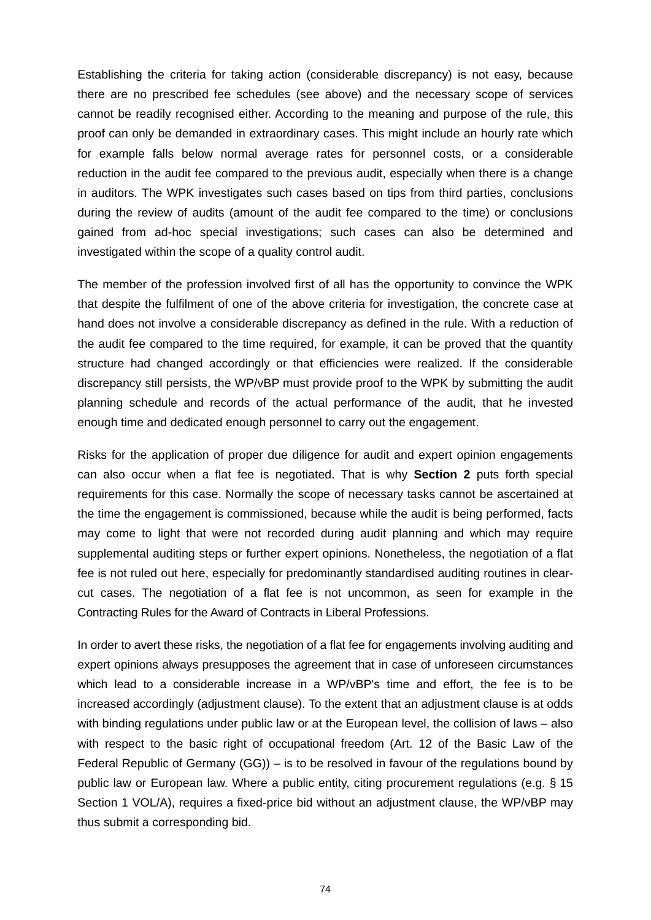Establishing the criteria for taking action (considerable discrepancy) is not easy, because there are no prescribed fee schedules (see above) and the necessary scope of services cannot be readily recognised either. According to the meaning and purpose of the rule, this proof can only be demanded in extraordinary cases. This might include an hourly rate which for example falls below normal average rates for personnel costs, or a considerable reduction in the audit fee compared to the previous audit, especially when there is a change in auditors. The WPK investigates such cases based on tips from third parties, conclusions during the review of audits (amount of the audit fee compared to the time) or conclusions gained from ad-hoc special investigations; such cases can also be determined and investigated within the scope of a quality control audit.

The member of the profession involved first of all has the opportunity to convince the WPK that despite the fulfilment of one of the above criteria for investigation, the concrete case at hand does not involve a considerable discrepancy as defined in the rule. With a reduction of the audit fee compared to the time required, for example, it can be proved that the quantity structure had changed accordingly or that efficiencies were realized. If the considerable discrepancy still persists, the WP/vBP must provide proof to the WPK by submitting the audit planning schedule and records of the actual performance of the audit, that he invested enough time and dedicated enough personnel to carry out the engagement.

Risks for the application of proper due diligence for audit and expert opinion engagements can also occur when a flat fee is negotiated. That is why **Section 2** puts forth special requirements for this case. Normally the scope of necessary tasks cannot be ascertained at the time the engagement is commissioned, because while the audit is being performed, facts may come to light that were not recorded during audit planning and which may require supplemental auditing steps or further expert opinions. Nonetheless, the negotiation of a flat fee is not ruled out here, especially for predominantly standardised auditing routines in clearcut cases. The negotiation of a flat fee is not uncommon, as seen for example in the Contracting Rules for the Award of Contracts in Liberal Professions.

In order to avert these risks, the negotiation of a flat fee for engagements involving auditing and expert opinions always presupposes the agreement that in case of unforeseen circumstances which lead to a considerable increase in a WP/vBP's time and effort, the fee is to be increased accordingly (adjustment clause). To the extent that an adjustment clause is at odds with binding regulations under public law or at the European level, the collision of laws – also with respect to the basic right of occupational freedom (Art. 12 of the Basic Law of the Federal Republic of Germany (GG)) – is to be resolved in favour of the regulations bound by public law or European law. Where a public entity, citing procurement regulations (e.g. § 15 Section 1 VOL/A), requires a fixed-price bid without an adjustment clause, the WP/vBP may thus submit a corresponding bid.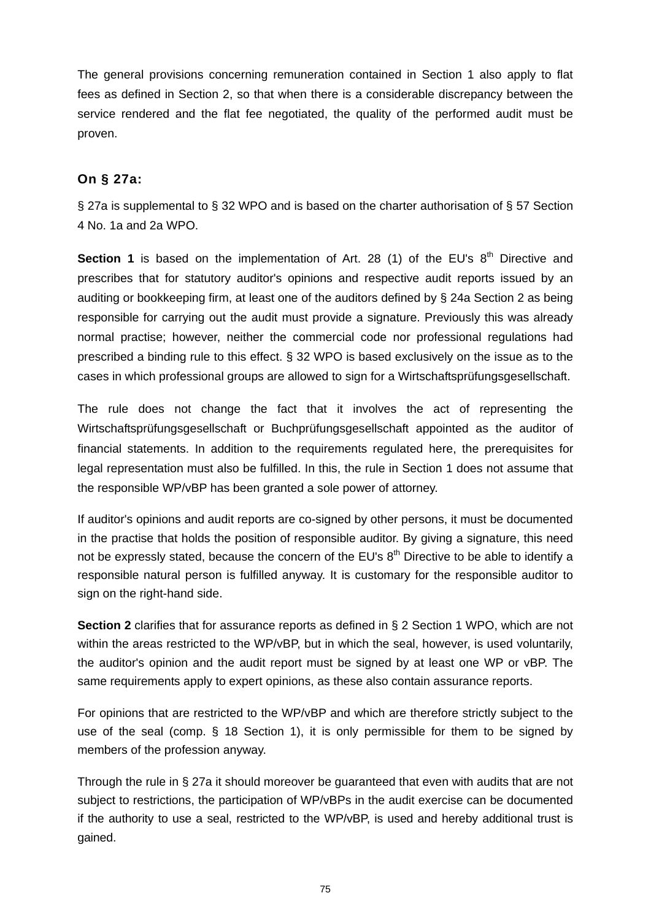The general provisions concerning remuneration contained in Section 1 also apply to flat fees as defined in Section 2, so that when there is a considerable discrepancy between the service rendered and the flat fee negotiated, the quality of the performed audit must be proven.

### **On § 27a:**

§ 27a is supplemental to § 32 WPO and is based on the charter authorisation of § 57 Section 4 No. 1a and 2a WPO.

**Section 1** is based on the implementation of Art. 28 (1) of the EU's 8<sup>th</sup> Directive and prescribes that for statutory auditor's opinions and respective audit reports issued by an auditing or bookkeeping firm, at least one of the auditors defined by § 24a Section 2 as being responsible for carrying out the audit must provide a signature. Previously this was already normal practise; however, neither the commercial code nor professional regulations had prescribed a binding rule to this effect. § 32 WPO is based exclusively on the issue as to the cases in which professional groups are allowed to sign for a Wirtschaftsprüfungsgesellschaft.

The rule does not change the fact that it involves the act of representing the Wirtschaftsprüfungsgesellschaft or Buchprüfungsgesellschaft appointed as the auditor of financial statements. In addition to the requirements regulated here, the prerequisites for legal representation must also be fulfilled. In this, the rule in Section 1 does not assume that the responsible WP/vBP has been granted a sole power of attorney.

If auditor's opinions and audit reports are co-signed by other persons, it must be documented in the practise that holds the position of responsible auditor. By giving a signature, this need not be expressly stated, because the concern of the EU's 8<sup>th</sup> Directive to be able to identify a responsible natural person is fulfilled anyway. It is customary for the responsible auditor to sign on the right-hand side.

**Section 2** clarifies that for assurance reports as defined in § 2 Section 1 WPO, which are not within the areas restricted to the WP/vBP, but in which the seal, however, is used voluntarily, the auditor's opinion and the audit report must be signed by at least one WP or vBP. The same requirements apply to expert opinions, as these also contain assurance reports.

For opinions that are restricted to the WP/vBP and which are therefore strictly subject to the use of the seal (comp. § 18 Section 1), it is only permissible for them to be signed by members of the profession anyway.

Through the rule in § 27a it should moreover be guaranteed that even with audits that are not subject to restrictions, the participation of WP/vBPs in the audit exercise can be documented if the authority to use a seal, restricted to the WP/vBP, is used and hereby additional trust is gained.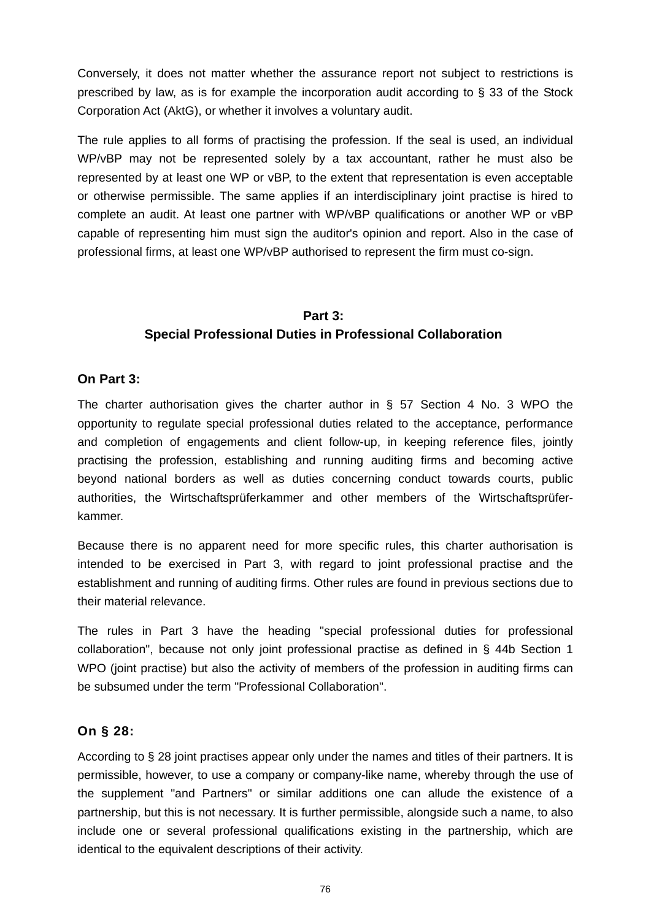Conversely, it does not matter whether the assurance report not subject to restrictions is prescribed by law, as is for example the incorporation audit according to  $\S$  33 of the Stock Corporation Act (AktG), or whether it involves a voluntary audit.

The rule applies to all forms of practising the profession. If the seal is used, an individual WP/vBP may not be represented solely by a tax accountant, rather he must also be represented by at least one WP or vBP, to the extent that representation is even acceptable or otherwise permissible. The same applies if an interdisciplinary joint practise is hired to complete an audit. At least one partner with WP/vBP qualifications or another WP or vBP capable of representing him must sign the auditor's opinion and report. Also in the case of professional firms, at least one WP/vBP authorised to represent the firm must co-sign.

# **Part 3: Special Professional Duties in Professional Collaboration**

#### **On Part 3:**

The charter authorisation gives the charter author in § 57 Section 4 No. 3 WPO the opportunity to regulate special professional duties related to the acceptance, performance and completion of engagements and client follow-up, in keeping reference files, jointly practising the profession, establishing and running auditing firms and becoming active beyond national borders as well as duties concerning conduct towards courts, public authorities, the Wirtschaftsprüferkammer and other members of the Wirtschaftsprüferkammer.

Because there is no apparent need for more specific rules, this charter authorisation is intended to be exercised in Part 3, with regard to joint professional practise and the establishment and running of auditing firms. Other rules are found in previous sections due to their material relevance.

The rules in Part 3 have the heading "special professional duties for professional collaboration", because not only joint professional practise as defined in § 44b Section 1 WPO (joint practise) but also the activity of members of the profession in auditing firms can be subsumed under the term "Professional Collaboration".

### **On § 28:**

According to § 28 joint practises appear only under the names and titles of their partners. It is permissible, however, to use a company or company-like name, whereby through the use of the supplement "and Partners" or similar additions one can allude the existence of a partnership, but this is not necessary. It is further permissible, alongside such a name, to also include one or several professional qualifications existing in the partnership, which are identical to the equivalent descriptions of their activity.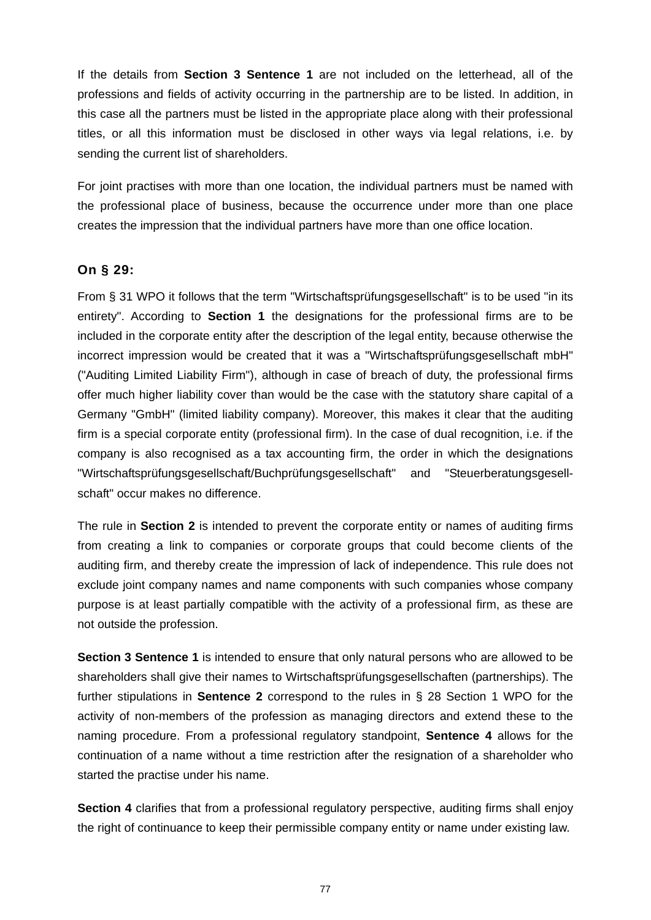If the details from **Section 3 Sentence 1** are not included on the letterhead, all of the professions and fields of activity occurring in the partnership are to be listed. In addition, in this case all the partners must be listed in the appropriate place along with their professional titles, or all this information must be disclosed in other ways via legal relations, i.e. by sending the current list of shareholders.

For joint practises with more than one location, the individual partners must be named with the professional place of business, because the occurrence under more than one place creates the impression that the individual partners have more than one office location.

### **On § 29:**

From § 31 WPO it follows that the term "Wirtschaftsprüfungsgesellschaft" is to be used "in its entirety". According to **Section 1** the designations for the professional firms are to be included in the corporate entity after the description of the legal entity, because otherwise the incorrect impression would be created that it was a "Wirtschaftsprüfungsgesellschaft mbH" ("Auditing Limited Liability Firm"), although in case of breach of duty, the professional firms offer much higher liability cover than would be the case with the statutory share capital of a Germany "GmbH" (limited liability company). Moreover, this makes it clear that the auditing firm is a special corporate entity (professional firm). In the case of dual recognition, i.e. if the company is also recognised as a tax accounting firm, the order in which the designations "Wirtschaftsprüfungsgesellschaft/Buchprüfungsgesellschaft" and "Steuerberatungsgesellschaft" occur makes no difference.

The rule in **Section 2** is intended to prevent the corporate entity or names of auditing firms from creating a link to companies or corporate groups that could become clients of the auditing firm, and thereby create the impression of lack of independence. This rule does not exclude joint company names and name components with such companies whose company purpose is at least partially compatible with the activity of a professional firm, as these are not outside the profession.

**Section 3 Sentence 1** is intended to ensure that only natural persons who are allowed to be shareholders shall give their names to Wirtschaftsprüfungsgesellschaften (partnerships). The further stipulations in **Sentence 2** correspond to the rules in § 28 Section 1 WPO for the activity of non-members of the profession as managing directors and extend these to the naming procedure. From a professional regulatory standpoint, **Sentence 4** allows for the continuation of a name without a time restriction after the resignation of a shareholder who started the practise under his name.

**Section 4** clarifies that from a professional regulatory perspective, auditing firms shall enjoy the right of continuance to keep their permissible company entity or name under existing law.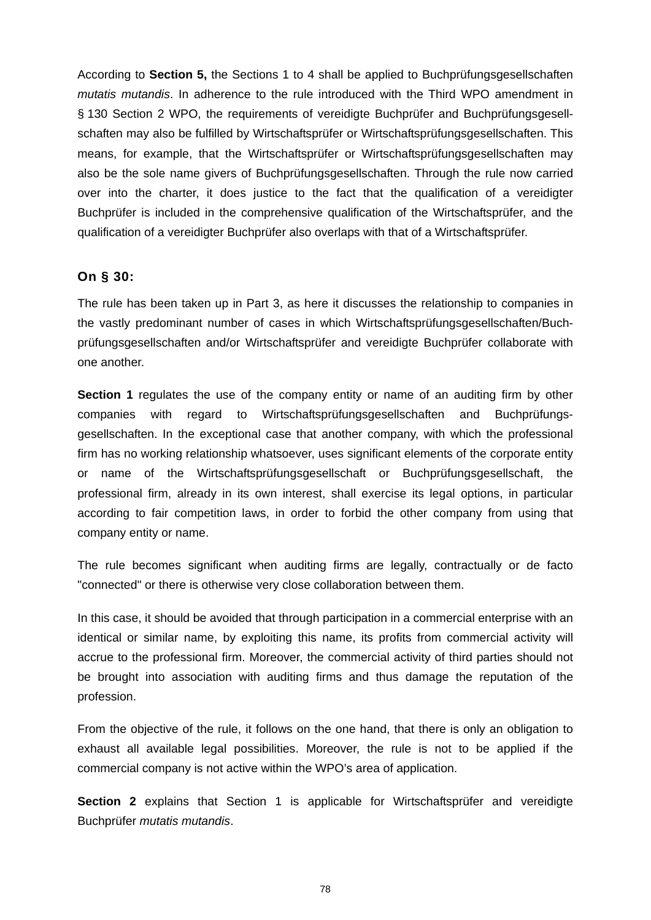According to **Section 5,** the Sections 1 to 4 shall be applied to Buchprüfungsgesellschaften *mutatis mutandis*. In adherence to the rule introduced with the Third WPO amendment in § 130 Section 2 WPO, the requirements of vereidigte Buchprüfer and Buchprüfungsgesellschaften may also be fulfilled by Wirtschaftsprüfer or Wirtschaftsprüfungsgesellschaften. This means, for example, that the Wirtschaftsprüfer or Wirtschaftsprüfungsgesellschaften may also be the sole name givers of Buchprüfungsgesellschaften. Through the rule now carried over into the charter, it does justice to the fact that the qualification of a vereidigter Buchprüfer is included in the comprehensive qualification of the Wirtschaftsprüfer, and the qualification of a vereidigter Buchprüfer also overlaps with that of a Wirtschaftsprüfer.

### **On § 30:**

The rule has been taken up in Part 3, as here it discusses the relationship to companies in the vastly predominant number of cases in which Wirtschaftsprüfungsgesellschaften/Buchprüfungsgesellschaften and/or Wirtschaftsprüfer and vereidigte Buchprüfer collaborate with one another.

**Section 1** regulates the use of the company entity or name of an auditing firm by other companies with regard to Wirtschaftsprüfungsgesellschaften and Buchprüfungsgesellschaften. In the exceptional case that another company, with which the professional firm has no working relationship whatsoever, uses significant elements of the corporate entity or name of the Wirtschaftsprüfungsgesellschaft or Buchprüfungsgesellschaft, the professional firm, already in its own interest, shall exercise its legal options, in particular according to fair competition laws, in order to forbid the other company from using that company entity or name.

The rule becomes significant when auditing firms are legally, contractually or de facto "connected" or there is otherwise very close collaboration between them.

In this case, it should be avoided that through participation in a commercial enterprise with an identical or similar name, by exploiting this name, its profits from commercial activity will accrue to the professional firm. Moreover, the commercial activity of third parties should not be brought into association with auditing firms and thus damage the reputation of the profession.

From the objective of the rule, it follows on the one hand, that there is only an obligation to exhaust all available legal possibilities. Moreover, the rule is not to be applied if the commercial company is not active within the WPO's area of application.

**Section 2** explains that Section 1 is applicable for Wirtschaftsprüfer and vereidigte Buchprüfer *mutatis mutandis*.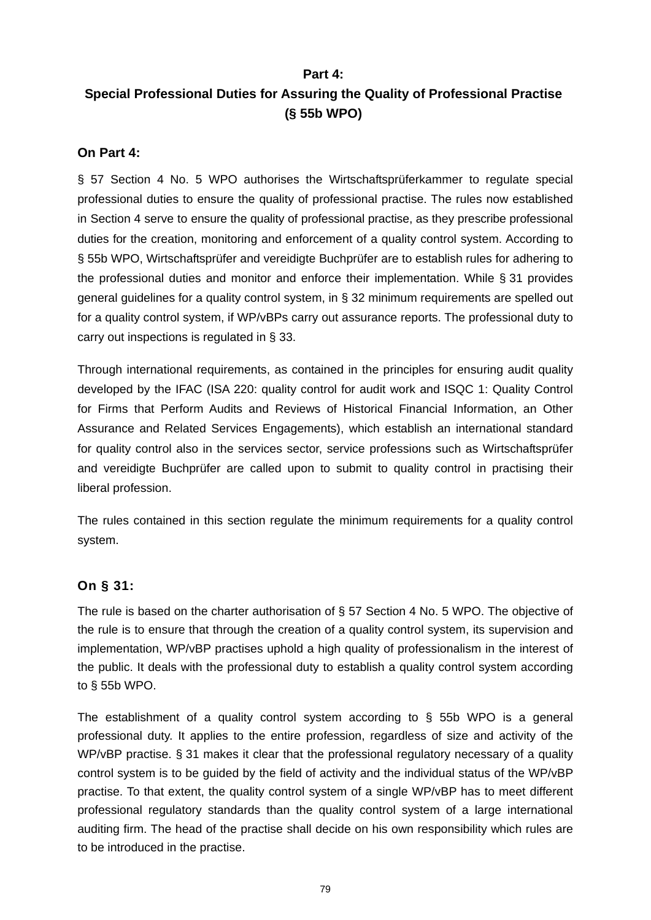### **Part 4:**

# **Special Professional Duties for Assuring the Quality of Professional Practise (§ 55b WPO)**

### **On Part 4:**

§ 57 Section 4 No. 5 WPO authorises the Wirtschaftsprüferkammer to regulate special professional duties to ensure the quality of professional practise. The rules now established in Section 4 serve to ensure the quality of professional practise, as they prescribe professional duties for the creation, monitoring and enforcement of a quality control system. According to § 55b WPO, Wirtschaftsprüfer and vereidigte Buchprüfer are to establish rules for adhering to the professional duties and monitor and enforce their implementation. While § 31 provides general guidelines for a quality control system, in § 32 minimum requirements are spelled out for a quality control system, if WP/vBPs carry out assurance reports. The professional duty to carry out inspections is regulated in § 33.

Through international requirements, as contained in the principles for ensuring audit quality developed by the IFAC (ISA 220: quality control for audit work and ISQC 1: Quality Control for Firms that Perform Audits and Reviews of Historical Financial Information, an Other Assurance and Related Services Engagements), which establish an international standard for quality control also in the services sector, service professions such as Wirtschaftsprüfer and vereidigte Buchprüfer are called upon to submit to quality control in practising their liberal profession.

The rules contained in this section regulate the minimum requirements for a quality control system.

## **On § 31:**

The rule is based on the charter authorisation of § 57 Section 4 No. 5 WPO. The objective of the rule is to ensure that through the creation of a quality control system, its supervision and implementation, WP/vBP practises uphold a high quality of professionalism in the interest of the public. It deals with the professional duty to establish a quality control system according to § 55b WPO.

The establishment of a quality control system according to  $\S$  55b WPO is a general professional duty. It applies to the entire profession, regardless of size and activity of the WP/vBP practise. § 31 makes it clear that the professional regulatory necessary of a quality control system is to be guided by the field of activity and the individual status of the WP/vBP practise. To that extent, the quality control system of a single WP/vBP has to meet different professional regulatory standards than the quality control system of a large international auditing firm. The head of the practise shall decide on his own responsibility which rules are to be introduced in the practise.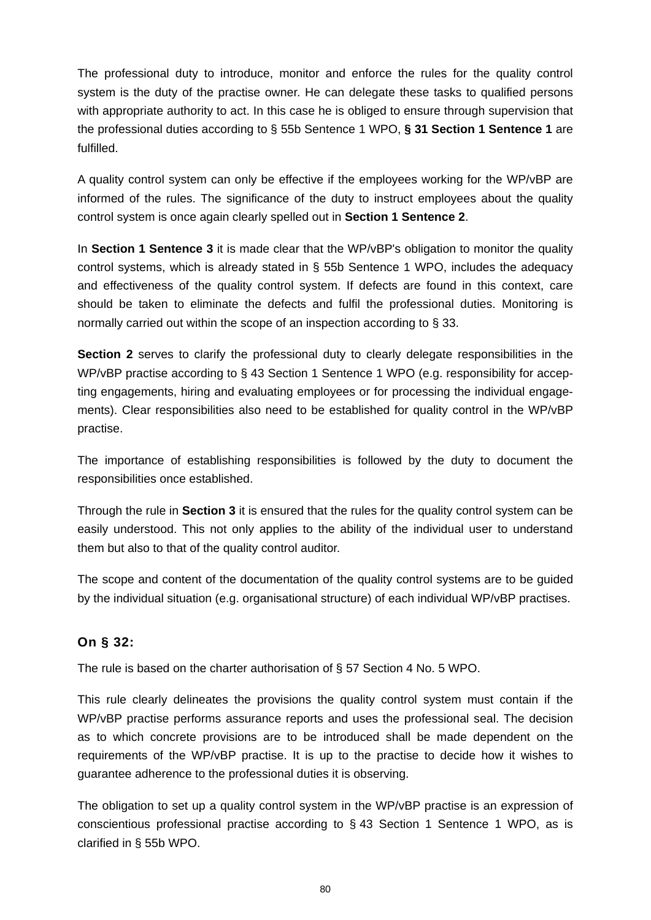The professional duty to introduce, monitor and enforce the rules for the quality control system is the duty of the practise owner. He can delegate these tasks to qualified persons with appropriate authority to act. In this case he is obliged to ensure through supervision that the professional duties according to § 55b Sentence 1 WPO, **§ 31 Section 1 Sentence 1** are fulfilled.

A quality control system can only be effective if the employees working for the WP/vBP are informed of the rules. The significance of the duty to instruct employees about the quality control system is once again clearly spelled out in **Section 1 Sentence 2**.

In **Section 1 Sentence 3** it is made clear that the WP/vBP's obligation to monitor the quality control systems, which is already stated in § 55b Sentence 1 WPO, includes the adequacy and effectiveness of the quality control system. If defects are found in this context, care should be taken to eliminate the defects and fulfil the professional duties. Monitoring is normally carried out within the scope of an inspection according to § 33.

**Section 2** serves to clarify the professional duty to clearly delegate responsibilities in the WP/vBP practise according to § 43 Section 1 Sentence 1 WPO (e.g. responsibility for accepting engagements, hiring and evaluating employees or for processing the individual engagements). Clear responsibilities also need to be established for quality control in the WP/vBP practise.

The importance of establishing responsibilities is followed by the duty to document the responsibilities once established.

Through the rule in **Section 3** it is ensured that the rules for the quality control system can be easily understood. This not only applies to the ability of the individual user to understand them but also to that of the quality control auditor.

The scope and content of the documentation of the quality control systems are to be guided by the individual situation (e.g. organisational structure) of each individual WP/vBP practises.

## **On § 32:**

The rule is based on the charter authorisation of § 57 Section 4 No. 5 WPO.

This rule clearly delineates the provisions the quality control system must contain if the WP/vBP practise performs assurance reports and uses the professional seal. The decision as to which concrete provisions are to be introduced shall be made dependent on the requirements of the WP/vBP practise. It is up to the practise to decide how it wishes to guarantee adherence to the professional duties it is observing.

The obligation to set up a quality control system in the WP/vBP practise is an expression of conscientious professional practise according to § 43 Section 1 Sentence 1 WPO, as is clarified in § 55b WPO.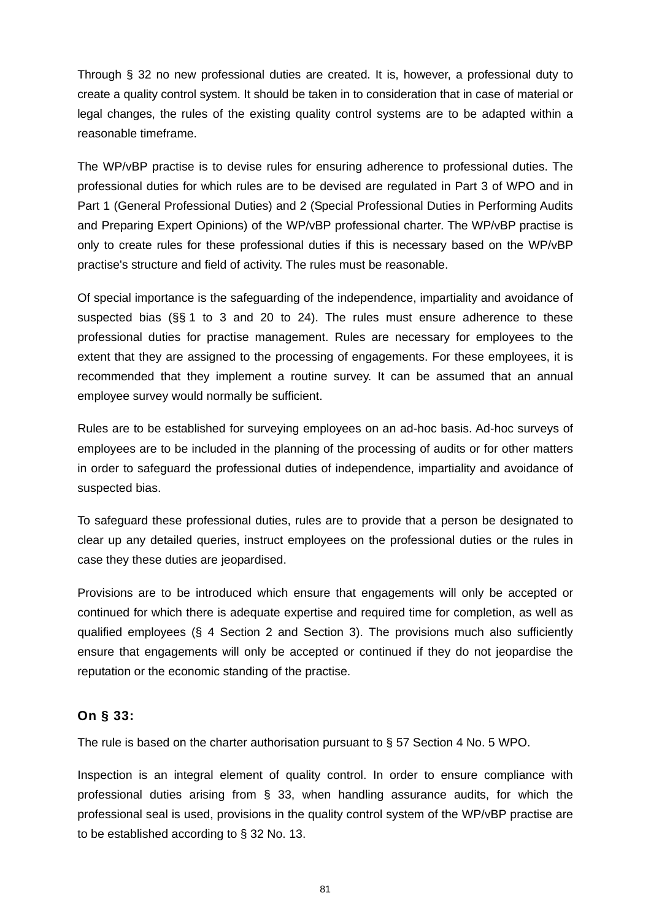Through § 32 no new professional duties are created. It is, however, a professional duty to create a quality control system. It should be taken in to consideration that in case of material or legal changes, the rules of the existing quality control systems are to be adapted within a reasonable timeframe.

The WP/vBP practise is to devise rules for ensuring adherence to professional duties. The professional duties for which rules are to be devised are regulated in Part 3 of WPO and in Part 1 (General Professional Duties) and 2 (Special Professional Duties in Performing Audits and Preparing Expert Opinions) of the WP/vBP professional charter. The WP/vBP practise is only to create rules for these professional duties if this is necessary based on the WP/vBP practise's structure and field of activity. The rules must be reasonable.

Of special importance is the safeguarding of the independence, impartiality and avoidance of suspected bias (§§ 1 to 3 and 20 to 24). The rules must ensure adherence to these professional duties for practise management. Rules are necessary for employees to the extent that they are assigned to the processing of engagements. For these employees, it is recommended that they implement a routine survey. It can be assumed that an annual employee survey would normally be sufficient.

Rules are to be established for surveying employees on an ad-hoc basis. Ad-hoc surveys of employees are to be included in the planning of the processing of audits or for other matters in order to safeguard the professional duties of independence, impartiality and avoidance of suspected bias.

To safeguard these professional duties, rules are to provide that a person be designated to clear up any detailed queries, instruct employees on the professional duties or the rules in case they these duties are jeopardised.

Provisions are to be introduced which ensure that engagements will only be accepted or continued for which there is adequate expertise and required time for completion, as well as qualified employees (§ 4 Section 2 and Section 3). The provisions much also sufficiently ensure that engagements will only be accepted or continued if they do not jeopardise the reputation or the economic standing of the practise.

### **On § 33:**

The rule is based on the charter authorisation pursuant to § 57 Section 4 No. 5 WPO.

Inspection is an integral element of quality control. In order to ensure compliance with professional duties arising from § 33, when handling assurance audits, for which the professional seal is used, provisions in the quality control system of the WP/vBP practise are to be established according to § 32 No. 13.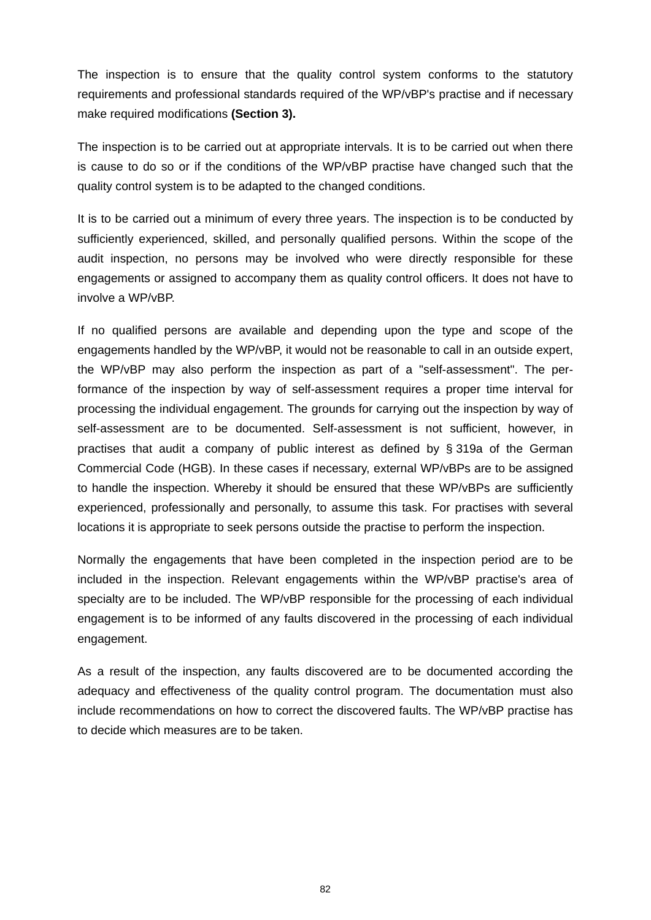The inspection is to ensure that the quality control system conforms to the statutory requirements and professional standards required of the WP/vBP's practise and if necessary make required modifications **(Section 3).** 

The inspection is to be carried out at appropriate intervals. It is to be carried out when there is cause to do so or if the conditions of the WP/vBP practise have changed such that the quality control system is to be adapted to the changed conditions.

It is to be carried out a minimum of every three years. The inspection is to be conducted by sufficiently experienced, skilled, and personally qualified persons. Within the scope of the audit inspection, no persons may be involved who were directly responsible for these engagements or assigned to accompany them as quality control officers. It does not have to involve a WP/vBP.

If no qualified persons are available and depending upon the type and scope of the engagements handled by the WP/vBP, it would not be reasonable to call in an outside expert, the WP/vBP may also perform the inspection as part of a "self-assessment". The performance of the inspection by way of self-assessment requires a proper time interval for processing the individual engagement. The grounds for carrying out the inspection by way of self-assessment are to be documented. Self-assessment is not sufficient, however, in practises that audit a company of public interest as defined by § 319a of the German Commercial Code (HGB). In these cases if necessary, external WP/vBPs are to be assigned to handle the inspection. Whereby it should be ensured that these WP/vBPs are sufficiently experienced, professionally and personally, to assume this task. For practises with several locations it is appropriate to seek persons outside the practise to perform the inspection.

Normally the engagements that have been completed in the inspection period are to be included in the inspection. Relevant engagements within the WP/vBP practise's area of specialty are to be included. The WP/vBP responsible for the processing of each individual engagement is to be informed of any faults discovered in the processing of each individual engagement.

As a result of the inspection, any faults discovered are to be documented according the adequacy and effectiveness of the quality control program. The documentation must also include recommendations on how to correct the discovered faults. The WP/vBP practise has to decide which measures are to be taken.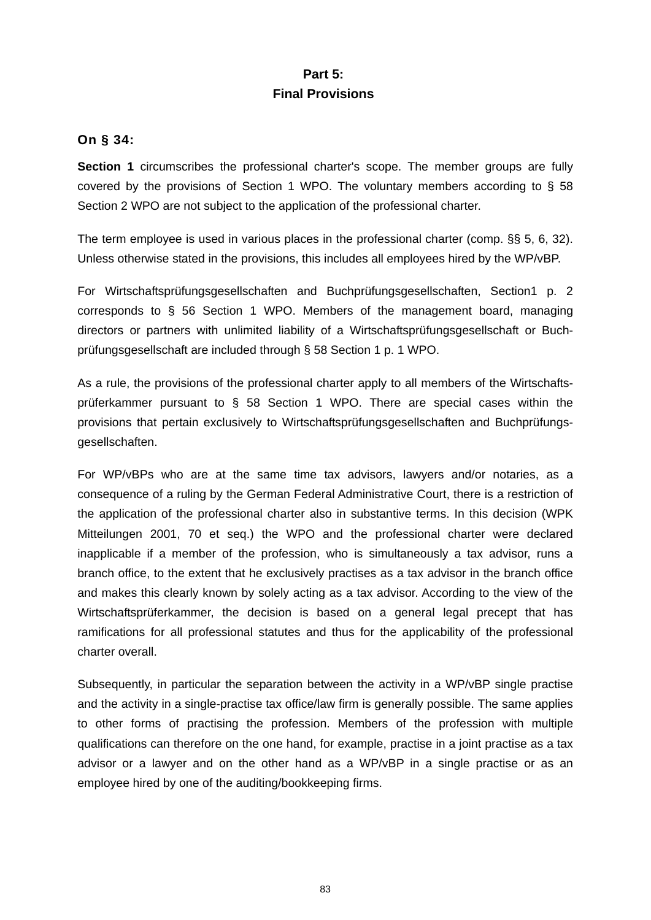## **Part 5: Final Provisions**

### **On § 34:**

**Section 1** circumscribes the professional charter's scope. The member groups are fully covered by the provisions of Section 1 WPO. The voluntary members according to § 58 Section 2 WPO are not subject to the application of the professional charter.

The term employee is used in various places in the professional charter (comp. §§ 5, 6, 32). Unless otherwise stated in the provisions, this includes all employees hired by the WP/vBP.

For Wirtschaftsprüfungsgesellschaften and Buchprüfungsgesellschaften, Section1 p. 2 corresponds to § 56 Section 1 WPO. Members of the management board, managing directors or partners with unlimited liability of a Wirtschaftsprüfungsgesellschaft or Buchprüfungsgesellschaft are included through § 58 Section 1 p. 1 WPO.

As a rule, the provisions of the professional charter apply to all members of the Wirtschaftsprüferkammer pursuant to § 58 Section 1 WPO. There are special cases within the provisions that pertain exclusively to Wirtschaftsprüfungsgesellschaften and Buchprüfungsgesellschaften.

For WP/vBPs who are at the same time tax advisors, lawyers and/or notaries, as a consequence of a ruling by the German Federal Administrative Court, there is a restriction of the application of the professional charter also in substantive terms. In this decision (WPK Mitteilungen 2001, 70 et seq.) the WPO and the professional charter were declared inapplicable if a member of the profession, who is simultaneously a tax advisor, runs a branch office, to the extent that he exclusively practises as a tax advisor in the branch office and makes this clearly known by solely acting as a tax advisor. According to the view of the Wirtschaftsprüferkammer, the decision is based on a general legal precept that has ramifications for all professional statutes and thus for the applicability of the professional charter overall.

Subsequently, in particular the separation between the activity in a WP/vBP single practise and the activity in a single-practise tax office/law firm is generally possible. The same applies to other forms of practising the profession. Members of the profession with multiple qualifications can therefore on the one hand, for example, practise in a joint practise as a tax advisor or a lawyer and on the other hand as a WP/vBP in a single practise or as an employee hired by one of the auditing/bookkeeping firms.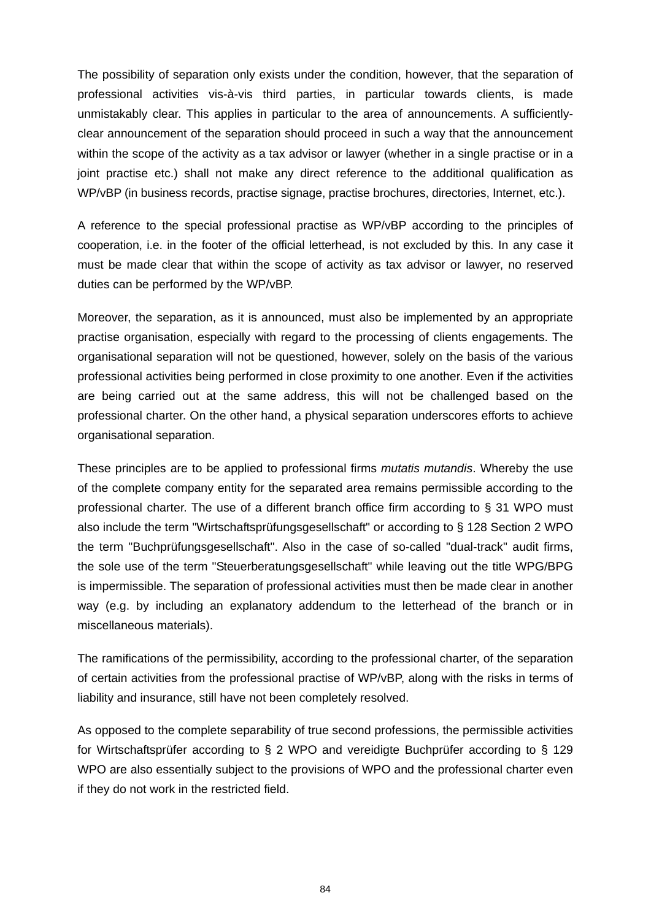The possibility of separation only exists under the condition, however, that the separation of professional activities vis-à-vis third parties, in particular towards clients, is made unmistakably clear. This applies in particular to the area of announcements. A sufficientlyclear announcement of the separation should proceed in such a way that the announcement within the scope of the activity as a tax advisor or lawyer (whether in a single practise or in a joint practise etc.) shall not make any direct reference to the additional qualification as WP/vBP (in business records, practise signage, practise brochures, directories, Internet, etc.).

A reference to the special professional practise as WP/vBP according to the principles of cooperation, i.e. in the footer of the official letterhead, is not excluded by this. In any case it must be made clear that within the scope of activity as tax advisor or lawyer, no reserved duties can be performed by the WP/vBP.

Moreover, the separation, as it is announced, must also be implemented by an appropriate practise organisation, especially with regard to the processing of clients engagements. The organisational separation will not be questioned, however, solely on the basis of the various professional activities being performed in close proximity to one another. Even if the activities are being carried out at the same address, this will not be challenged based on the professional charter. On the other hand, a physical separation underscores efforts to achieve organisational separation.

These principles are to be applied to professional firms *mutatis mutandis*. Whereby the use of the complete company entity for the separated area remains permissible according to the professional charter. The use of a different branch office firm according to § 31 WPO must also include the term "Wirtschaftsprüfungsgesellschaft" or according to § 128 Section 2 WPO the term "Buchprüfungsgesellschaft". Also in the case of so-called "dual-track" audit firms, the sole use of the term "Steuerberatungsgesellschaft" while leaving out the title WPG/BPG is impermissible. The separation of professional activities must then be made clear in another way (e.g. by including an explanatory addendum to the letterhead of the branch or in miscellaneous materials).

The ramifications of the permissibility, according to the professional charter, of the separation of certain activities from the professional practise of WP/vBP, along with the risks in terms of liability and insurance, still have not been completely resolved.

As opposed to the complete separability of true second professions, the permissible activities for Wirtschaftsprüfer according to § 2 WPO and vereidigte Buchprüfer according to § 129 WPO are also essentially subject to the provisions of WPO and the professional charter even if they do not work in the restricted field.